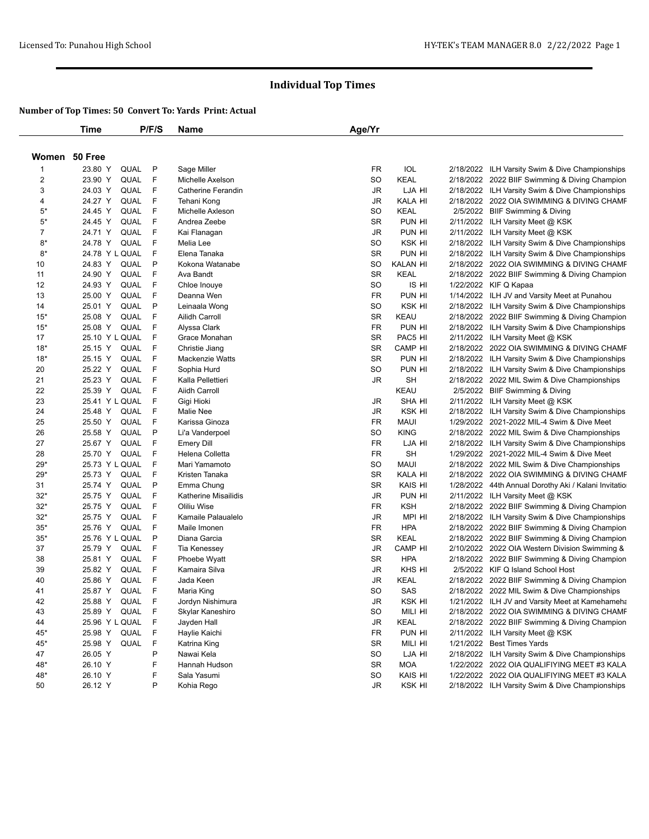|                         | <b>Time</b>            | P/F/S  | Name                      | Age/Yr    |                 |                                                      |
|-------------------------|------------------------|--------|---------------------------|-----------|-----------------|------------------------------------------------------|
|                         | Women 50 Free          |        |                           |           |                 |                                                      |
| 1                       | 23.80 Y<br><b>QUAL</b> | P      | Sage Miller               | FR        | <b>IOL</b>      | 2/18/2022 ILH Varsity Swim & Dive Championships      |
| $\overline{\mathbf{c}}$ | 23.90 Y<br>QUAL        | F      | Michelle Axelson          | <b>SO</b> | <b>KEAL</b>     | 2/18/2022 2022 BIIF Swimming & Diving Champion       |
| 3                       | 24.03 Y<br>QUAL        | F      | <b>Catherine Ferandin</b> | JR        | LJA HI          | 2/18/2022 ILH Varsity Swim & Dive Championships      |
| 4                       | 24.27 Y<br>QUAL        | F      | Tehani Kong               | JR        | KALA HI         | 2/18/2022 2022 OIA SWIMMING & DIVING CHAMF           |
| $5*$                    | 24.45 Y<br>QUAL        | F      | Michelle Axleson          | <b>SO</b> | <b>KEAL</b>     | 2/5/2022 BIIF Swimming & Diving                      |
| $5*$                    | 24.45 Y<br>QUAL        | F      | Andrea Zeebe              | <b>SR</b> | PUN HI          | 2/11/2022 ILH Varsity Meet @ KSK                     |
| 7                       | 24.71 Y<br>QUAL        | F      | Kai Flanagan              | JR        | PUN HI          | 2/11/2022 ILH Varsity Meet @ KSK                     |
| $8*$                    | 24.78 Y<br>QUAL        | F      | Melia Lee                 | SO        | KSK HI          | 2/18/2022 ILH Varsity Swim & Dive Championships      |
| $8*$                    | 24.78 Y L QUAL         | F      | Elena Tanaka              | <b>SR</b> | PUN HI          | 2/18/2022 ILH Varsity Swim & Dive Championships      |
| 10                      | 24.83 Y<br>QUAL        | P      | Kokona Watanabe           | <b>SO</b> | <b>KALAN HI</b> | 2/18/2022 2022 OIA SWIMMING & DIVING CHAMF           |
| 11                      | 24.90 Y<br>QUAL        | F      | Ava Bandt                 | <b>SR</b> | <b>KEAL</b>     | 2/18/2022 2022 BIIF Swimming & Diving Champion       |
| 12                      | 24.93 Y<br>QUAL        | F      | Chloe Inouye              | <b>SO</b> | IS HI           | 1/22/2022 KIF Q Kapaa                                |
| 13                      | 25.00 Y<br>QUAL        | F      | Deanna Wen                | <b>FR</b> | PUN HI          | 1/14/2022 ILH JV and Varsity Meet at Punahou         |
| 14                      | 25.01 Y<br>QUAL        | P      | Leinaala Wong             | <b>SO</b> | KSK HI          | 2/18/2022 ILH Varsity Swim & Dive Championships      |
| $15*$                   | QUAL<br>25.08 Y        | F      | Ailidh Carroll            | <b>SR</b> | KEAU            | 2/18/2022 2022 BIIF Swimming & Diving Champion       |
| $15*$                   | 25.08 Y<br>QUAL        | F      | Alyssa Clark              | <b>FR</b> | PUN HI          | 2/18/2022 ILH Varsity Swim & Dive Championships      |
| 17                      | 25.10 Y L QUAL         | F      | Grace Monahan             | <b>SR</b> | PAC5 HI         | 2/11/2022 ILH Varsity Meet @ KSK                     |
| $18*$                   | QUAL<br>25.15 Y        | -F     | Christie Jiang            | <b>SR</b> | CAMP HI         | 2/18/2022 2022 OIA SWIMMING & DIVING CHAMF           |
| $18*$                   | 25.15 Y<br>QUAL        | F      | <b>Mackenzie Watts</b>    | <b>SR</b> | PUN HI          | 2/18/2022 ILH Varsity Swim & Dive Championships      |
| 20                      | 25.22 Y<br>QUAL        | F      | Sophia Hurd               | <b>SO</b> | PUN HI          | 2/18/2022 ILH Varsity Swim & Dive Championships      |
| 21                      | 25.23 Y<br>QUAL        | F      | Kalla Pellettieri         | JR        | <b>SH</b>       | 2/18/2022 2022 MIL Swim & Dive Championships         |
| 22                      | 25.39 Y<br>QUAL        | F      | Aiidh Carroll             |           | KEAU            | 2/5/2022 BIIF Swimming & Diving                      |
| 23                      | 25.41 Y L QUAL         | F      | Gigi Hioki                | JR        | <b>SHA HI</b>   | 2/11/2022 ILH Varsity Meet @ KSK                     |
| 24                      | QUAL<br>25.48 Y        | -F     | <b>Malie Nee</b>          | JR        | KSK HI          | 2/18/2022 ILH Varsity Swim & Dive Championships      |
| 25                      | 25.50 Y<br>QUAL        | F      | Karissa Ginoza            | <b>FR</b> | <b>MAUI</b>     | 1/29/2022 2021-2022 MIL-4 Swim & Dive Meet           |
| 26                      | 25.58 Y<br>QUAL        | P      | Li'a Vanderpoel           | <b>SO</b> | <b>KING</b>     | 2/18/2022 2022 MIL Swim & Dive Championships         |
| 27                      | 25.67 Y<br>QUAL        | F      | <b>Emery Dill</b>         | <b>FR</b> | LJA HI          | 2/18/2022 ILH Varsity Swim & Dive Championships      |
| 28                      | 25.70 Y<br>QUAL        | F      | Helena Colletta           | <b>FR</b> | <b>SH</b>       | 1/29/2022 2021-2022 MIL-4 Swim & Dive Meet           |
| $29*$                   | 25.73 Y L QUAL         | F      | Mari Yamamoto             | SO        | <b>MAUI</b>     | 2/18/2022 2022 MIL Swim & Dive Championships         |
| $29*$                   | 25.73 Y<br>QUAL        | F      | Kristen Tanaka            | <b>SR</b> | KALA HI         | 2/18/2022   2022 OIA SWIMMING & DIVING CHAMF         |
| 31                      | 25.74 Y<br>QUAL        | P      | Emma Chung                | <b>SR</b> | KAIS HI         | 1/28/2022 44th Annual Dorothy Aki / Kalani Invitatio |
| $32*$                   | 25.75 Y<br>QUAL        | F      | Katherine Misailidis      | JR        | PUN HI          | 2/11/2022 ILH Varsity Meet @ KSK                     |
| $32*$                   | 25.75 Y<br>QUAL        | F      | Oliliu Wise               | <b>FR</b> | <b>KSH</b>      | 2/18/2022 2022 BIIF Swimming & Diving Champion       |
| $32*$                   | 25.75 Y<br>QUAL        | F      | Kamaile Palaualelo        | JR        | MPI HI          | 2/18/2022 ILH Varsity Swim & Dive Championships      |
| $35*$                   | 25.76 Y<br>QUAL        | F      | Maile Imonen              | <b>FR</b> | <b>HPA</b>      | 2/18/2022 2022 BIIF Swimming & Diving Champion       |
| $35*$                   | 25.76 Y L QUAL         | P      | Diana Garcia              | <b>SR</b> | <b>KEAL</b>     | 2/18/2022 2022 BIIF Swimming & Diving Champion       |
| 37                      | QUAL<br>25.79 Y        | F      | Tia Kenessey              | JR        | CAMP HI         | 2/10/2022 2022 OIA Western Division Swimming &       |
| 38                      | 25.81 Y<br>QUAL        | F      | Phoebe Wyatt              | <b>SR</b> | <b>HPA</b>      | 2/18/2022 2022 BIIF Swimming & Diving Champion       |
| 39                      | 25.82 Y<br>QUAL        | F      | Kamaira Silva             | JR        | KHS HI          | 2/5/2022 KIF Q Island School Host                    |
| 40                      | QUAL<br>25.86 Y        | F      | Jada Keen                 | JR        | KEAL            | 2/18/2022 2022 BIIF Swimming & Diving Champion       |
| 41                      | 25.87 Y<br>QUAL        | F      | Maria King                | SO        | SAS             | 2/18/2022 2022 MIL Swim & Dive Championships         |
| 42                      | 25.88 Y<br>QUAL        | - F    | Jordyn Nishimura          | JR        | ksk hi          | 1/21/2022 ILH JV and Varsity Meet at Kamehameha      |
| 43                      | 25.89 Y<br>QUAL        | - F    | Skylar Kaneshiro          | SO        | MILI HI         | 2/18/2022 2022 OIA SWIMMING & DIVING CHAMF           |
| 44                      | 25.96 Y L QUAL F       |        | Jayden Hall               | JR        | KEAL            | 2/18/2022 2022 BIIF Swimming & Diving Champion       |
| 45*                     | 25.98 Y<br>QUAL        | F      | Haylie Kaichi             | FR        | PUN HI          | 2/11/2022 ILH Varsity Meet @ KSK                     |
| $45*$                   | 25.98 Y                | QUAL F | Katrina King              | SR        | MILI HI         | 1/21/2022 Best Times Yards                           |
| 47                      | 26.05 Y                | P      | Nawai Kela                | SO        | LJA HI          | 2/18/2022 ILH Varsity Swim & Dive Championships      |
| 48*                     | 26.10 Y                | F      | Hannah Hudson             | SR        | MOA             | 1/22/2022 2022 OIA QUALIFIYING MEET #3 KALA          |
| 48*                     | 26.10 Y                | F      | Sala Yasumi               | SO        | KAIS HI         | 1/22/2022 2022 OIA QUALIFIYING MEET #3 KALA          |
| 50                      | 26.12 Y                | P      | Kohia Rego                | JR        | KSK HI          | 2/18/2022 ILH Varsity Swim & Dive Championships      |
|                         |                        |        |                           |           |                 |                                                      |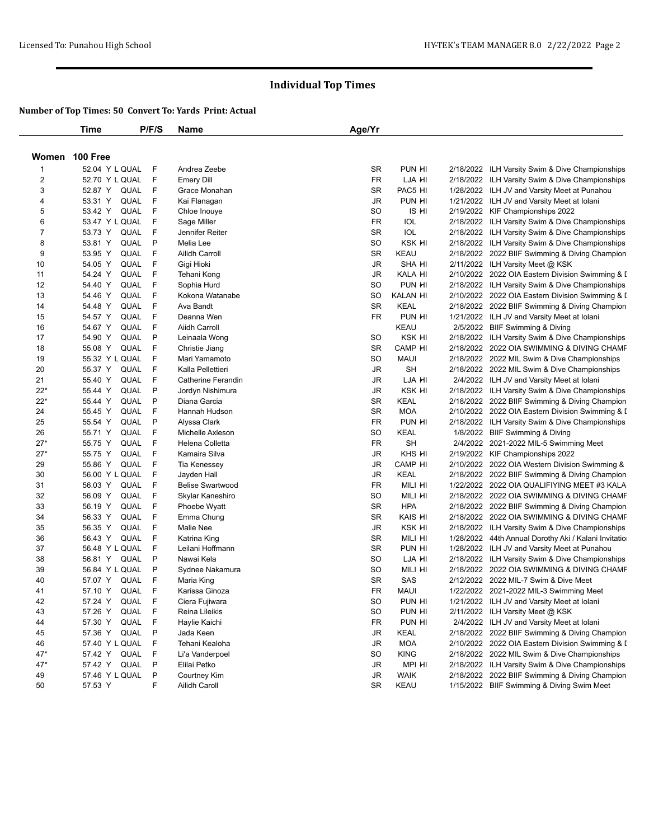|                | <b>Time</b>            | P/F/S  | Name                    | Age/Yr    |                 |                                                      |
|----------------|------------------------|--------|-------------------------|-----------|-----------------|------------------------------------------------------|
|                | Women 100 Free         |        |                         |           |                 |                                                      |
| $\mathbf{1}$   | 52.04 Y L QUAL         | F      | Andrea Zeebe            | <b>SR</b> | PUN HI          | 2/18/2022 ILH Varsity Swim & Dive Championships      |
| $\overline{c}$ | 52.70 Y L QUAL         | F      | <b>Emery Dill</b>       | FR        | LJA HI          | 2/18/2022 ILH Varsity Swim & Dive Championships      |
| 3              | 52.87 Y QUAL           | F      | Grace Monahan           | <b>SR</b> | PAC5 HI         | 1/28/2022 ILH JV and Varsity Meet at Punahou         |
| 4              | QUAL<br>53.31 Y        | F      | Kai Flanagan            | <b>JR</b> | PUN HI          | 1/21/2022 ILH JV and Varsity Meet at Iolani          |
| 5              | 53.42 Y<br>QUAL        | F      | Chloe Inouye            | <b>SO</b> | IS HI           | 2/19/2022 KIF Championships 2022                     |
| 6              | 53.47 Y L QUAL         | F      | Sage Miller             | FR        | IOL             | 2/18/2022 ILH Varsity Swim & Dive Championships      |
| $\overline{7}$ | 53.73 Y<br>QUAL        | F      | Jennifer Reiter         | SR        | IOL             | 2/18/2022 ILH Varsity Swim & Dive Championships      |
| 8              | 53.81 Y<br>QUAL        | P      | Melia Lee               | <b>SO</b> | KSK HI          | 2/18/2022 ILH Varsity Swim & Dive Championships      |
| 9              | 53.95 Y<br>QUAL        | F      | Ailidh Carroll          | <b>SR</b> | KEAU            | 2/18/2022 2022 BIIF Swimming & Diving Champion       |
| 10             | 54.05 Y<br>QUAL        | F      | Gigi Hioki              | JR        | <b>SHA HI</b>   | 2/11/2022 ILH Varsity Meet @ KSK                     |
| 11             | 54.24 Y<br><b>QUAL</b> | F      | Tehani Kong             | JR        | KALA HI         | 2/10/2022 2022 OIA Eastern Division Swimming & I     |
| 12             | QUAL<br>54.40 Y        | F      | Sophia Hurd             | <b>SO</b> | PUN HI          | 2/18/2022 ILH Varsity Swim & Dive Championships      |
| 13             | 54.46 Y<br>QUAL        | F      | Kokona Watanabe         | SO        | <b>KALAN HI</b> | 2/10/2022 2022 OIA Eastern Division Swimming & I     |
| 14             | 54.48 Y<br>QUAL        | F      | Ava Bandt               | <b>SR</b> | <b>KEAL</b>     | 2/18/2022 2022 BIIF Swimming & Diving Champion       |
| 15             | 54.57 Y<br>QUAL        | F      | Deanna Wen              | <b>FR</b> | PUN HI          | 1/21/2022 ILH JV and Varsity Meet at Iolani          |
| 16             | 54.67 Y<br>QUAL        | F      | <b>Aiidh Carroll</b>    |           | <b>KEAU</b>     | 2/5/2022 BIIF Swimming & Diving                      |
| 17             | 54.90 Y<br><b>QUAL</b> | P      | Leinaala Wong           | <b>SO</b> | <b>KSK HI</b>   | 2/18/2022 ILH Varsity Swim & Dive Championships      |
| 18             | 55.08 Y<br>QUAL        | F      | Christie Jiang          | <b>SR</b> | CAMP HI         | 2/18/2022 2022 OIA SWIMMING & DIVING CHAMF           |
| 19             | 55.32 Y L QUAL         | F      | Mari Yamamoto           | <b>SO</b> | <b>MAUI</b>     | 2/18/2022 2022 MIL Swim & Dive Championships         |
| 20             | 55.37 Y<br>QUAL        | F      | Kalla Pellettieri       | <b>JR</b> | SH              | 2/18/2022 2022 MIL Swim & Dive Championships         |
| 21             | 55.40 Y<br>QUAL        | F      | Catherine Ferandin      | JR        | LJA HI          | 2/4/2022 ILH JV and Varsity Meet at Iolani           |
| 22*            | QUAL<br>55.44 Y        | P      | Jordyn Nishimura        | JR        | KSK HI          | 2/18/2022 ILH Varsity Swim & Dive Championships      |
| $22*$          | 55.44 Y<br><b>QUAL</b> | P      | Diana Garcia            | <b>SR</b> | KEAL            | 2/18/2022 2022 BIIF Swimming & Diving Champion       |
| 24             | QUAL<br>55.45 Y        | F      | Hannah Hudson           | <b>SR</b> | <b>MOA</b>      | 2/10/2022 2022 OIA Eastern Division Swimming & I     |
| 25             | 55.54 Y<br>QUAL        | P      | Alyssa Clark            | <b>FR</b> | PUN HI          | 2/18/2022 ILH Varsity Swim & Dive Championships      |
| 26             | 55.71 Y<br>QUAL        | F      | Michelle Axleson        | SO        | <b>KEAL</b>     | 1/8/2022 BIIF Swimming & Diving                      |
| $27*$          | QUAL<br>55.75 Y        | F      | Helena Colletta         | <b>FR</b> | <b>SH</b>       | 2/4/2022 2021-2022 MIL-5 Swimming Meet               |
| $27*$          | 55.75 Y<br>QUAL        | F      | Kamaira Silva           | JR        | KHS HI          | 2/19/2022 KIF Championships 2022                     |
| 29             | 55.86 Y<br>QUAL        | F      | Tia Kenessey            | JR        | CAMP HI         | 2/10/2022 2022 OIA Western Division Swimming &       |
| 30             | 56.00 Y L QUAL         | F      | Jayden Hall             | JR        | KEAL            | 2/18/2022 2022 BIIF Swimming & Diving Champion       |
| 31             | 56.03 Y<br>QUAL        | F      | <b>Belise Swartwood</b> | <b>FR</b> | MILI HI         | 1/22/2022 2022 OIA QUALIFIYING MEET #3 KALA          |
| 32             | 56.09 Y<br>QUAL        | F      | Skylar Kaneshiro        | <b>SO</b> | MILI HI         | 2/18/2022 2022 OIA SWIMMING & DIVING CHAMF           |
| 33             | 56.19 Y<br>QUAL        | F      | Phoebe Wyatt            | <b>SR</b> | <b>HPA</b>      | 2/18/2022 2022 BIIF Swimming & Diving Champion       |
| 34             | 56.33 Y<br>QUAL        | F      | Emma Chung              | <b>SR</b> | KAIS HI         | 2/18/2022 2022 OIA SWIMMING & DIVING CHAMF           |
| 35             | 56.35 Y<br>QUAL        | - F    | Malie Nee               | JR        | KSK HI          | 2/18/2022 ILH Varsity Swim & Dive Championships      |
| 36             | 56.43 Y<br>QUAL        | F      | Katrina King            | <b>SR</b> | MILI HI         | 1/28/2022 44th Annual Dorothy Aki / Kalani Invitatio |
| 37             | 56.48 Y L QUAL         | F      | Leilani Hoffmann        | SR        | PUN HI          | 1/28/2022 ILH JV and Varsity Meet at Punahou         |
| 38             | QUAL<br>56.81 Y        | P      | Nawai Kela              | <b>SO</b> | LJA HI          | 2/18/2022 ILH Varsity Swim & Dive Championships      |
| 39             | 56.84 Y L QUAL         | P      | Sydnee Nakamura         | SO        | MILI HI         | 2/18/2022 2022 OIA SWIMMING & DIVING CHAMF           |
| 40             | 57.07 Y<br>QUAL        | F      | Maria King              | SR        | SAS             | 2/12/2022 2022 MIL-7 Swim & Dive Meet                |
| 41             | 57.10 Y QUAL           | - F    | Karissa Ginoza          | FR        | <b>MAUI</b>     | 1/22/2022 2021-2022 MIL-3 Swimming Meet              |
| 42             | 57.24 Y<br>QUAL        | - F    | Ciera Fujiwara          | SO        | PUN HI          | 1/21/2022 ILH JV and Varsity Meet at Iolani          |
| 43             | 57.26 Y<br>QUAL        | F      | Reina Lileikis          | SO        | PUN HI          | 2/11/2022 ILH Varsity Meet @ KSK                     |
| 44             | 57.30 Y                | QUAL F | Haylie Kaichi           | FR        | PUN HI          | 2/4/2022 ILH JV and Varsity Meet at Iolani           |
| 45             | 57.36 Y<br>QUAL        | P      | Jada Keen               | JR        | KEAL            | 2/18/2022 2022 BIIF Swimming & Diving Champion       |
| 46             | 57.40 Y L QUAL         | F      | Tehani Kealoha          | JR        | MOA             | 2/10/2022 2022 OIA Eastern Division Swimming & I     |
| $47*$          | 57.42 Y QUAL F         |        | Li'a Vanderpoel         | SO        | <b>KING</b>     | 2/18/2022 2022 MIL Swim & Dive Championships         |
| $47*$          | 57.42 Y                | QUAL P | Elilai Petko            | JR        | MPI HI          | 2/18/2022 ILH Varsity Swim & Dive Championships      |
| 49             | 57.46 Y L QUAL         | P      | Courtney Kim            | JR        | <b>WAIK</b>     | 2/18/2022 2022 BIIF Swimming & Diving Champion       |
| 50             | 57.53 Y                | F      | Ailidh Caroll           | SR        | KEAU            | 1/15/2022 BIIF Swimming & Diving Swim Meet           |
|                |                        |        |                         |           |                 |                                                      |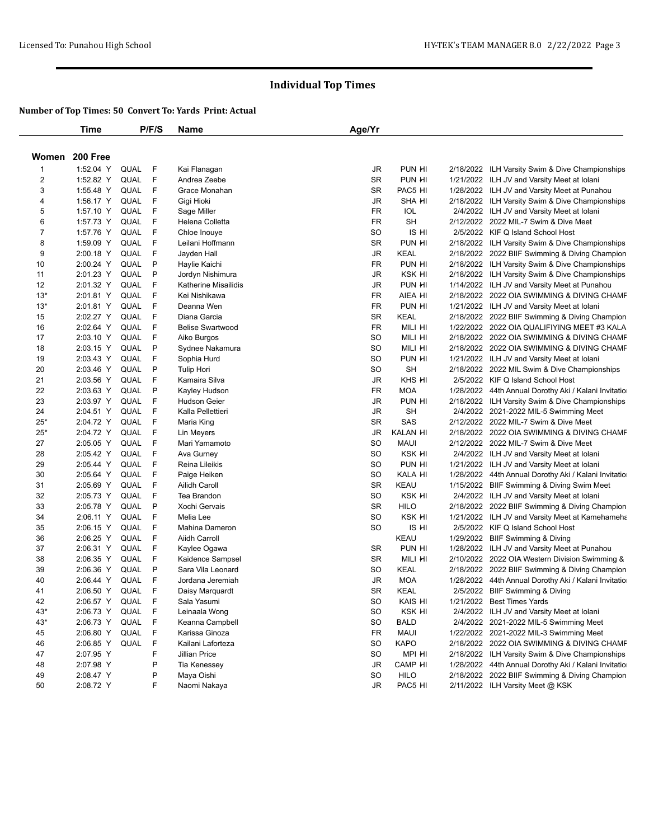|                | <b>Time</b>            |              | P/F/S      | Name                    | Age/Yr          |                   |                                                                                  |
|----------------|------------------------|--------------|------------|-------------------------|-----------------|-------------------|----------------------------------------------------------------------------------|
| Women          | 200 Free               |              |            |                         |                 |                   |                                                                                  |
| $\mathbf{1}$   | 1:52.04 Y              | QUAL         | -F         | Kai Flanagan            | JR              | PUN HI            | 2/18/2022 ILH Varsity Swim & Dive Championships                                  |
| $\overline{c}$ | 1:52.82 Y              | QUAL         | F          | Andrea Zeebe            | SR              | PUN HI            | 1/21/2022 ILH JV and Varsity Meet at Iolani                                      |
| 3              | 1:55.48 Y              | QUAL         | - F        | Grace Monahan           | <b>SR</b>       | PAC5 HI           | 1/28/2022 ILH JV and Varsity Meet at Punahou                                     |
| 4              | 1:56.17 Y              | QUAL         | F          | Gigi Hioki              | JR              | <b>SHA HI</b>     | 2/18/2022 ILH Varsity Swim & Dive Championships                                  |
| 5              | 1:57.10 Y              | QUAL         | F          | Sage Miller             | <b>FR</b>       | IOL               | 2/4/2022 ILH JV and Varsity Meet at Iolani                                       |
| 6              | 1:57.73 Y              | QUAL         | F          | Helena Colletta         | FR              | <b>SH</b>         | 2/12/2022 2022 MIL-7 Swim & Dive Meet                                            |
| 7              | 1:57.76 Y              | QUAL         | F          | Chloe Inouye            | <b>SO</b>       | IS HI             | 2/5/2022 KIF Q Island School Host                                                |
| 8              | 1:59.09 Y              | QUAL         | F          | Leilani Hoffmann        | <b>SR</b>       | PUN HI            | 2/18/2022 ILH Varsity Swim & Dive Championships                                  |
| 9              | 2:00.18 Y              | QUAL         | -F         | Jayden Hall             | JR              | KEAL              | 2/18/2022 2022 BIIF Swimming & Diving Champion                                   |
| 10             | 2:00.24 Y              | QUAL         | P          | Haylie Kaichi           | <b>FR</b>       | PUN HI            | 2/18/2022 ILH Varsity Swim & Dive Championships                                  |
| 11             | 2:01.23 Y              | <b>QUAL</b>  | P          | Jordyn Nishimura        | JR              | KSK HI            | 2/18/2022 ILH Varsity Swim & Dive Championships                                  |
| 12             | 2:01.32 Y              | QUAL         | F          | Katherine Misailidis    | JR              | PUN HI            | 1/14/2022 ILH JV and Varsity Meet at Punahou                                     |
| $13*$          | 2:01.81 Y              | QUAL         | F          | Kei Nishikawa           | <b>FR</b>       | AIEA HI           | 2/18/2022 2022 OIA SWIMMING & DIVING CHAMF                                       |
| $13*$          | 2:01.81 Y              | QUAL         | F          | Deanna Wen              | FR              | PUN HI            | 1/21/2022 ILH JV and Varsity Meet at Iolani                                      |
| 15             | 2:02.27 Y              | QUAL         | F          | Diana Garcia            | <b>SR</b>       | KEAL              | 2/18/2022 2022 BIIF Swimming & Diving Champion                                   |
| 16             | 2:02.64 Y              | QUAL         | F          | <b>Belise Swartwood</b> | <b>FR</b>       | MILI HI           | 1/22/2022 2022 OIA QUALIFIYING MEET #3 KALA                                      |
| 17             | 2:03.10 Y              | QUAL         | F          | Aiko Burgos             | <b>SO</b>       | MILI HI           | 2/18/2022 2022 OIA SWIMMING & DIVING CHAMF                                       |
| 18             | 2:03.15 Y              | QUAL         | P          | Sydnee Nakamura         | <b>SO</b>       | MILI HI           | 2/18/2022 2022 OIA SWIMMING & DIVING CHAMF                                       |
| 19             | 2:03.43 Y              | QUAL         | F          | Sophia Hurd             | SO              | PUN HI            | 1/21/2022 ILH JV and Varsity Meet at Iolani                                      |
| 20             | 2:03.46 Y              | <b>QUAL</b>  | P          | <b>Tulip Hori</b>       | <b>SO</b>       | <b>SH</b>         | 2/18/2022 2022 MIL Swim & Dive Championships                                     |
| 21             | 2:03.56 Y              | QUAL         | F          | Kamaira Silva           | JR              | KHS HI            | 2/5/2022 KIF Q Island School Host                                                |
| 22             | 2:03.63 Y              | QUAL         | P          | Kayley Hudson           | <b>FR</b>       | <b>MOA</b>        | 1/28/2022 44th Annual Dorothy Aki / Kalani Invitatio                             |
| 23             | 2:03.97 Y              | QUAL         | F          | <b>Hudson Geier</b>     | JR              | PUN HI            | 2/18/2022 ILH Varsity Swim & Dive Championships                                  |
| 24             | 2:04.51 Y              | QUAL         | F          | Kalla Pellettieri       | JR              | <b>SH</b>         | 2/4/2022 2021-2022 MIL-5 Swimming Meet                                           |
| $25*$          | 2:04.72 Y              | QUAL         | F          | Maria King              | <b>SR</b>       | SAS               | 2/12/2022 2022 MIL-7 Swim & Dive Meet                                            |
| $25*$          | 2:04.72 Y              | <b>QUAL</b>  | F          | Lin Meyers              | <b>JR</b>       | KALAN HI          | 2/18/2022 2022 OIA SWIMMING & DIVING CHAMF                                       |
| 27             | 2:05.05 Y              | QUAL         | F          | Mari Yamamoto           | <b>SO</b>       | <b>MAUI</b>       | 2/12/2022 2022 MIL-7 Swim & Dive Meet                                            |
| 28             | 2:05.42 Y              | QUAL         | F          | Ava Gurney              | <b>SO</b>       | KSK HI            | 2/4/2022 ILH JV and Varsity Meet at Iolani                                       |
| 29             | 2:05.44 Y              | <b>QUAL</b>  | F          | Reina Lileikis          | SO              | PUN HI            | 1/21/2022 ILH JV and Varsity Meet at Iolani                                      |
| 30             | 2:05.64 Y              | QUAL         | F          | Paige Heiken            | <b>SO</b>       | KALA HI           | 1/28/2022 44th Annual Dorothy Aki / Kalani Invitatio                             |
| 31             | 2:05.69 Y              | QUAL         | F          | Ailidh Caroll           | <b>SR</b>       | KEAU              | 1/15/2022 BIIF Swimming & Diving Swim Meet                                       |
| 32             | 2:05.73 Y              | <b>QUAL</b>  | F          | Tea Brandon             | SO              | KSK HI            | 2/4/2022 ILH JV and Varsity Meet at Iolani                                       |
| 33             | 2:05.78 Y              | QUAL         | P          | Xochi Gervais           | <b>SR</b>       | <b>HILO</b>       | 2/18/2022 2022 BIIF Swimming & Diving Champion                                   |
| 34             | 2:06.11 Y              | QUAL         | F          | Melia Lee               | SO              | KSK HI            | 1/21/2022 ILH JV and Varsity Meet at Kamehameha                                  |
| 35             | 2:06.15 Y              | QUAL         | F          | Mahina Dameron          | <b>SO</b>       | IS HI             | 2/5/2022 KIF Q Island School Host                                                |
| 36             | 2:06.25 Y              | QUAL         | F          | Aiidh Carroll           |                 | KEAU              |                                                                                  |
| 37             | 2:06.31 Y              | QUAL         | F          | Kaylee Ogawa            | SR              | PUN HI            | 1/29/2022 BIIF Swimming & Diving<br>1/28/2022 ILH JV and Varsity Meet at Punahou |
| 38             | 2:06.35 Y              | QUAL         | F          | Kaidence Sampsel        | <b>SR</b>       | Mili hi           | 2/10/2022 2022 OIA Western Division Swimming &                                   |
| 39             | 2:06.36 Y              | QUAL         | P          | Sara Vila Leonard       | SO              | KEAL              | 2/18/2022 2022 BIIF Swimming & Diving Champion                                   |
| 40             | 2:06.44 Y              | QUAL         | F          | Jordana Jeremiah        | <b>JR</b>       | <b>MOA</b>        | 1/28/2022 44th Annual Dorothy Aki / Kalani Invitatio                             |
| 41             | 2:06.50 Y              | QUAL         | - F        |                         | <b>SR</b>       | <b>KEAL</b>       |                                                                                  |
|                |                        |              |            | Daisy Marquardt         |                 |                   | 2/5/2022 BIIF Swimming & Diving                                                  |
| 42<br>43*      | 2:06.57 Y<br>2:06.73 Y | QUAL<br>QUAL | - F<br>- F | Sala Yasumi             | SO<br>SO        | KAIS HI<br>KSK HI | 1/21/2022 Best Times Yards<br>2/4/2022 ILH JV and Varsity Meet at Iolani         |
|                |                        |              |            | Leinaala Wong           |                 |                   |                                                                                  |
| 43*            | 2:06.73 Y              | QUAL F       |            | Keanna Campbell         | SO<br><b>FR</b> | <b>BALD</b>       | 2/4/2022 2021-2022 MIL-5 Swimming Meet                                           |
| 45             | 2:06.80 Y              | QUAL         | F          | Karissa Ginoza          |                 | <b>MAUI</b>       | 1/22/2022 2021-2022 MIL-3 Swimming Meet                                          |
| 46             | 2:06.85 Y              | QUAL         | F          | Kailani Laforteza       | <b>SO</b>       | <b>KAPO</b>       | 2/18/2022 2022 OIA SWIMMING & DIVING CHAMF                                       |
| 47             | 2:07.95 Y              |              | F          | Jillian Price           | SO              | MPI HI            | 2/18/2022 ILH Varsity Swim & Dive Championships                                  |
| 48             | 2:07.98 Y              |              | P          | Tia Kenessey            | JR              | CAMP HI           | 1/28/2022 44th Annual Dorothy Aki / Kalani Invitatio                             |
| 49             | 2:08.47 Y              |              | P          | Maya Oishi              | <b>SO</b>       | <b>HILO</b>       | 2/18/2022 2022 BIIF Swimming & Diving Champion                                   |
| 50             | 2:08.72 Y              |              | F          | Naomi Nakaya            | JR              | PAC5 HI           | 2/11/2022 ILH Varsity Meet @ KSK                                                 |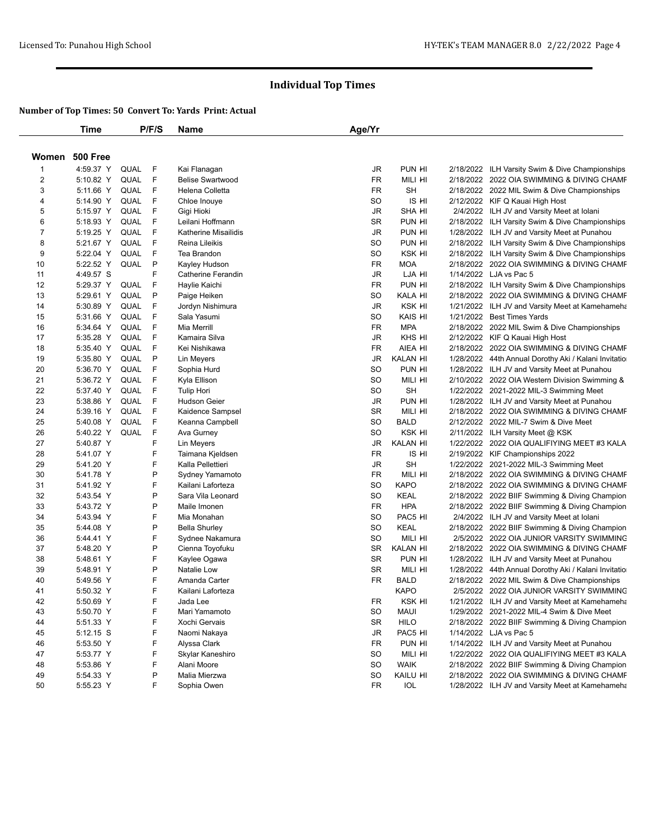|                         | <b>Time</b>     |      | P/F/S | Name                    | Age/Yr                 |                 |                                                      |
|-------------------------|-----------------|------|-------|-------------------------|------------------------|-----------------|------------------------------------------------------|
| Women                   | <b>500 Free</b> |      |       |                         |                        |                 |                                                      |
| $\mathbf 1$             | 4:59.37 Y       | QUAL | F     | Kai Flanagan            | JR                     | PUN HI          | 2/18/2022 ILH Varsity Swim & Dive Championships      |
| $\overline{\mathbf{c}}$ | 5:10.82 Y       | QUAL | F     | <b>Belise Swartwood</b> | <b>FR</b>              | MILI HI         | 2/18/2022 2022 OIA SWIMMING & DIVING CHAMF           |
| 3                       | 5:11.66 Y       | QUAL | F     | Helena Colletta         | <b>FR</b>              | <b>SH</b>       | 2/18/2022 2022 MIL Swim & Dive Championships         |
| 4                       | 5:14.90 Y       | QUAL | F     | Chloe Inouye            | SO                     | IS HI           | 2/12/2022 KIF Q Kauai High Host                      |
| 5                       | 5:15.97 Y       | QUAL | F     | Gigi Hioki              | $\mathsf{J}\mathsf{R}$ | <b>SHA HI</b>   | 2/4/2022 ILH JV and Varsity Meet at Iolani           |
| 6                       | 5:18.93 Y       | QUAL | F     | Leilani Hoffmann        | <b>SR</b>              | PUN HI          | 2/18/2022 ILH Varsity Swim & Dive Championships      |
| 7                       | 5:19.25 Y       | QUAL | F     | Katherine Misailidis    | JR                     | PUN HI          | 1/28/2022 ILH JV and Varsity Meet at Punahou         |
| 8                       | 5:21.67 Y       | QUAL | F     | Reina Lileikis          | SO                     | PUN HI          | 2/18/2022 ILH Varsity Swim & Dive Championships      |
| 9                       | 5:22.04 Y       | QUAL | F     | Tea Brandon             | SO                     | KSK HI          | 2/18/2022 ILH Varsity Swim & Dive Championships      |
| 10                      | 5:22.52 Y       | QUAL | P     | Kayley Hudson           | FR                     | <b>MOA</b>      | 2/18/2022 2022 OIA SWIMMING & DIVING CHAMF           |
| 11                      | 4:49.57 S       |      | F     | Catherine Ferandin      | JR                     | LJA HI          | 1/14/2022 LJA vs Pac 5                               |
| 12                      | 5:29.37 Y       | QUAL | F     | Haylie Kaichi           | <b>FR</b>              | PUN HI          | 2/18/2022 ILH Varsity Swim & Dive Championships      |
| 13                      | 5:29.61 Y       | QUAL | P     | Paige Heiken            | SO                     | KALA HI         | 2/18/2022 2022 OIA SWIMMING & DIVING CHAMF           |
| 14                      | 5:30.89 Y       | QUAL | F     | Jordyn Nishimura        | <b>JR</b>              | KSK HI          | 1/21/2022 ILH JV and Varsity Meet at Kamehameha      |
| 15                      | 5:31.66 Y       | QUAL | F     | Sala Yasumi             | SO                     | KAIS HI         | 1/21/2022 Best Times Yards                           |
| 16                      | 5:34.64 Y       | QUAL | F     | Mia Merrill             | <b>FR</b>              | <b>MPA</b>      |                                                      |
| 17                      | 5:35.28 Y       | QUAL | F     | Kamaira Silva           | JR                     | KHS HI          | 2/18/2022 2022 MIL Swim & Dive Championships         |
|                         |                 |      | F     |                         |                        | AIEA HI         | 2/12/2022 KIF Q Kauai High Host                      |
| 18                      | 5:35.40 Y       | QUAL |       | Kei Nishikawa           | <b>FR</b>              |                 | 2/18/2022 2022 OIA SWIMMING & DIVING CHAMF           |
| 19                      | 5:35.80 Y       | QUAL | P     | Lin Meyers              | <b>JR</b>              | <b>KALAN HI</b> | 1/28/2022 44th Annual Dorothy Aki / Kalani Invitatio |
| 20                      | 5:36.70 Y       | QUAL | F     | Sophia Hurd             | <b>SO</b>              | PUN HI          | 1/28/2022 ILH JV and Varsity Meet at Punahou         |
| 21                      | 5:36.72 Y       | QUAL | F     | Kyla Ellison            | SO                     | MILI HI         | 2/10/2022 2022 OIA Western Division Swimming &       |
| 22                      | 5:37.40 Y       | QUAL | F     | <b>Tulip Hori</b>       | SO                     | <b>SH</b>       | 1/22/2022 2021-2022 MIL-3 Swimming Meet              |
| 23                      | 5:38.86 Y       | QUAL | F     | Hudson Geier            | <b>JR</b>              | PUN HI          | 1/28/2022 ILH JV and Varsity Meet at Punahou         |
| 24                      | 5:39.16 Y       | QUAL | F     | Kaidence Sampsel        | <b>SR</b>              | MILI HI         | 2/18/2022 2022 OIA SWIMMING & DIVING CHAMF           |
| 25                      | 5:40.08 Y       | QUAL | F     | Keanna Campbell         | <b>SO</b>              | <b>BALD</b>     | 2/12/2022 2022 MIL-7 Swim & Dive Meet                |
| 26                      | 5:40.22 Y       | QUAL | F     | Ava Gurney              | <b>SO</b>              | KSK HI          | 2/11/2022 ILH Varsity Meet @ KSK                     |
| 27                      | 5:40.87 Y       |      | F     | Lin Meyers              | <b>JR</b>              | <b>KALAN HI</b> | 1/22/2022 2022 OIA QUALIFIYING MEET #3 KALA          |
| 28                      | 5:41.07 Y       |      | F     | Taimana Kjeldsen        | <b>FR</b>              | IS HI           | 2/19/2022 KIF Championships 2022                     |
| 29                      | 5:41.20 Y       |      | F     | Kalla Pellettieri       | JR                     | <b>SH</b>       | 1/22/2022 2021-2022 MIL-3 Swimming Meet              |
| 30                      | 5:41.78 Y       |      | P     | Sydney Yamamoto         | <b>FR</b>              | MILI HI         | 2/18/2022 2022 OIA SWIMMING & DIVING CHAMF           |
| 31                      | 5:41.92 Y       |      | F     | Kailani Laforteza       | <b>SO</b>              | <b>KAPO</b>     | 2/18/2022 2022 OIA SWIMMING & DIVING CHAMF           |
| 32                      | 5:43.54 Y       |      | P     | Sara Vila Leonard       | <b>SO</b>              | <b>KEAL</b>     | 2/18/2022 2022 BIIF Swimming & Diving Champion       |
| 33                      | 5:43.72 Y       |      | P     | Maile Imonen            | <b>FR</b>              | <b>HPA</b>      | 2/18/2022 2022 BIIF Swimming & Diving Champion       |
| 34                      | 5:43.94 Y       |      | F     | Mia Monahan             | SO                     | PAC5 HI         | 2/4/2022 ILH JV and Varsity Meet at Iolani           |
| 35                      | 5:44.08 Y       |      | P     | <b>Bella Shurley</b>    | <b>SO</b>              | <b>KEAL</b>     | 2/18/2022 2022 BIIF Swimming & Diving Champion       |
| 36                      | 5:44.41 Y       |      | F     | Sydnee Nakamura         | SO                     | MILI HI         | 2/5/2022 2022 OIA JUNIOR VARSITY SWIMMING            |
| 37                      | 5:48.20 Y       |      | P     | Cienna Toyofuku         | <b>SR</b>              | <b>KALAN HI</b> | 2/18/2022 2022 OIA SWIMMING & DIVING CHAMF           |
| 38                      | 5:48.61 Y       |      | F     | Kaylee Ogawa            | <b>SR</b>              | PUN HI          | 1/28/2022 ILH JV and Varsity Meet at Punahou         |
| 39                      | 5:48.91 Y       |      | P     | Natalie Low             | <b>SR</b>              | MILI HI         | 1/28/2022 44th Annual Dorothy Aki / Kalani Invitatio |
| 40                      | 5:49.56 Y       |      | F     | Amanda Carter           | FR                     | <b>BALD</b>     | 2/18/2022 2022 MIL Swim & Dive Championships         |
| 41                      | 5:50.32 Y       |      | F     | Kailani Laforteza       |                        | <b>KAPO</b>     | 2/5/2022 2022 OIA JUNIOR VARSITY SWIMMING            |
| 42                      | 5:50.69 Y       |      | F     | Jada Lee                | FR                     | KSK HI          | 1/21/2022 ILH JV and Varsity Meet at Kamehameha      |
| 43                      | 5:50.70 Y       |      | F     | Mari Yamamoto           | <b>SO</b>              | <b>MAUI</b>     | 1/29/2022 2021-2022 MIL-4 Swim & Dive Meet           |
| 44                      | 5:51.33 Y       |      | F     | Xochi Gervais           | <b>SR</b>              | <b>HILO</b>     | 2/18/2022 2022 BIIF Swimming & Diving Champion       |
| 45                      | $5:12.15$ S     |      | F     | Naomi Nakaya            | JR                     | PAC5 HI         | 1/14/2022 LJA vs Pac 5                               |
| 46                      | 5:53.50 Y       |      | F     | Alyssa Clark            | FR                     | PUN HI          | 1/14/2022 ILH JV and Varsity Meet at Punahou         |
| 47                      | 5:53.77 Y       |      | F     | Skylar Kaneshiro        | SO                     | MILI HI         | 1/22/2022 2022 OIA QUALIFIYING MEET #3 KALA          |
| 48                      | 5:53.86 Y       |      | F     | Alani Moore             | SO                     | <b>WAIK</b>     | 2/18/2022 2022 BIIF Swimming & Diving Champion       |
| 49                      | 5:54.33 Y       |      | P     | Malia Mierzwa           | SO                     | KAILU HI        | 2/18/2022 2022 OIA SWIMMING & DIVING CHAMF           |
| 50                      | 5:55.23 Y       |      | F     | Sophia Owen             | FR                     | IOL             | 1/28/2022 ILH JV and Varsity Meet at Kamehamehang    |
|                         |                 |      |       |                         |                        |                 |                                                      |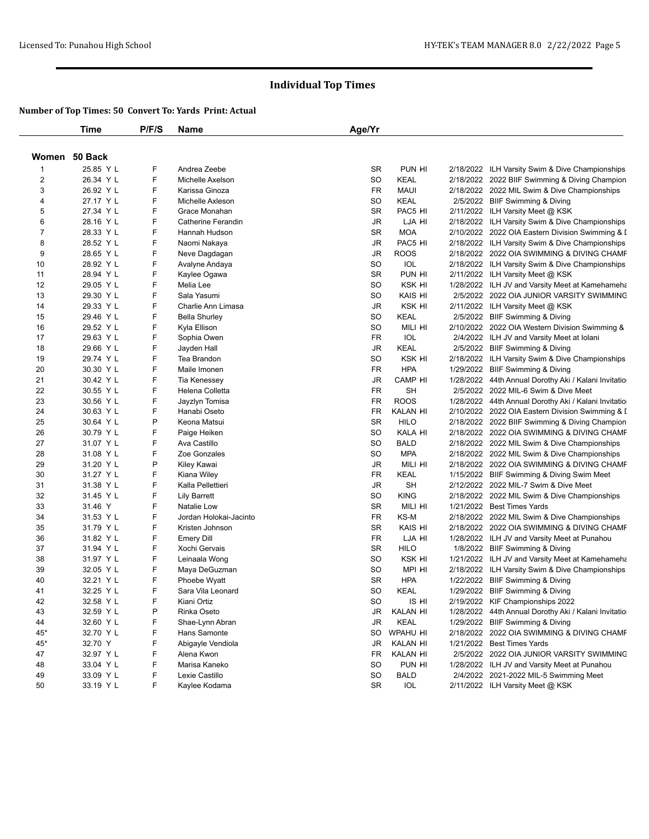|                | <b>Time</b>            | P/F/S | Name                   | Age/Yr    |             |                                                      |
|----------------|------------------------|-------|------------------------|-----------|-------------|------------------------------------------------------|
|                | Women 50 Back          |       |                        |           |             |                                                      |
| $\mathbf 1$    | 25.85 Y L              | F     | Andrea Zeebe           | <b>SR</b> | PUN HI      | 2/18/2022 ILH Varsity Swim & Dive Championships      |
| $\overline{c}$ | 26.34 Y L              | F     | Michelle Axelson       | SO        | <b>KEAL</b> | 2/18/2022 2022 BIIF Swimming & Diving Champion       |
| 3              | 26.92 Y L              | F     | Karissa Ginoza         | FR        | <b>MAUI</b> | 2/18/2022 2022 MIL Swim & Dive Championships         |
| 4              | 27.17 Y L              | F     | Michelle Axleson       | SO        | <b>KEAL</b> | 2/5/2022 BIIF Swimming & Diving                      |
| 5              | 27.34 Y L              | F     | Grace Monahan          | <b>SR</b> | PAC5 HI     | 2/11/2022 ILH Varsity Meet @ KSK                     |
| 6              | 28.16 Y L              | F     | Catherine Ferandin     | JR        | LJA HI      | 2/18/2022 ILH Varsity Swim & Dive Championships      |
| $\overline{7}$ | 28.33 Y L              | F     | Hannah Hudson          | <b>SR</b> | <b>MOA</b>  | 2/10/2022 2022 OIA Eastern Division Swimming & I     |
| 8              | 28.52 Y L              | F     | Naomi Nakaya           | JR        | PAC5 HI     | 2/18/2022 ILH Varsity Swim & Dive Championships      |
| 9              | 28.65 Y L              | F     | Neve Dagdagan          | JR        | <b>ROOS</b> | 2/18/2022 2022 OIA SWIMMING & DIVING CHAMF           |
| 10             | 28.92 Y L              | F     | Avalyne Andaya         | SO        | IOL         | 2/18/2022 ILH Varsity Swim & Dive Championships      |
| 11             | 28.94 Y L              | F     | Kaylee Ogawa           | <b>SR</b> | PUN HI      | 2/11/2022 ILH Varsity Meet @ KSK                     |
| 12             | 29.05 Y L              | F     | Melia Lee              | SO        | KSK HI      | 1/28/2022 ILH JV and Varsity Meet at Kamehameha      |
| 13             | 29.30 Y L              | F     | Sala Yasumi            | SO        | KAIS HI     | 2/5/2022 2022 OIA JUNIOR VARSITY SWIMMING            |
| 14             | 29.33 Y L              | F     | Charlie Ann Limasa     | JR        | KSK HI      | 2/11/2022 ILH Varsity Meet @ KSK                     |
| 15             | 29.46 Y L              | F     | <b>Bella Shurley</b>   | SO        | <b>KEAL</b> | 2/5/2022 BIIF Swimming & Diving                      |
| 16             | 29.52 Y L              | F     | Kyla Ellison           | SO        | MILI HI     | 2/10/2022 2022 OIA Western Division Swimming &       |
| 17             | 29.63 Y L              | F     | Sophia Owen            | <b>FR</b> | <b>IOL</b>  | 2/4/2022 ILH JV and Varsity Meet at Iolani           |
| 18             | 29.66 Y L              | F     | Jayden Hall            | JR        | <b>KEAL</b> | 2/5/2022 BIIF Swimming & Diving                      |
| 19             | 29.74 Y L              | F     | Tea Brandon            | SO        | KSK HI      | 2/18/2022 ILH Varsity Swim & Dive Championships      |
| 20             | 30.30 Y L              | F     | Maile Imonen           | <b>FR</b> | <b>HPA</b>  | 1/29/2022 BIIF Swimming & Diving                     |
| 21             | 30.42 Y L              | F     | Tia Kenessey           | JR        | CAMP HI     | 1/28/2022 44th Annual Dorothy Aki / Kalani Invitatio |
| 22             | 30.55 Y L              | F     | Helena Colletta        | FR        | <b>SH</b>   | 2/5/2022 2022 MIL-6 Swim & Dive Meet                 |
| 23             | 30.56 Y L              | F     | Jayzlyn Tomisa         | <b>FR</b> | <b>ROOS</b> | 1/28/2022 44th Annual Dorothy Aki / Kalani Invitatio |
| 24             | 30.63 Y L              | F     | Hanabi Oseto           | <b>FR</b> | KALAN HI    | 2/10/2022 2022 OIA Eastern Division Swimming & I     |
| 25             | 30.64 Y L              | P     | Keona Matsui           | <b>SR</b> | <b>HILO</b> | 2/18/2022 2022 BIIF Swimming & Diving Champion       |
| 26             | 30.79 Y L              | F     | Paige Heiken           | SO        | KALA HI     | 2/18/2022 2022 OIA SWIMMING & DIVING CHAMF           |
| 27             | 31.07 Y L              | F     | Ava Castillo           | <b>SO</b> | <b>BALD</b> | 2/18/2022 2022 MIL Swim & Dive Championships         |
| 28             | 31.08 Y L              | F     | Zoe Gonzales           | SO        | <b>MPA</b>  | 2/18/2022 2022 MIL Swim & Dive Championships         |
| 29             | 31.20 Y L              | P     | Kiley Kawai            | JR        | MILI HI     | 2/18/2022 2022 OIA SWIMMING & DIVING CHAMF           |
| 30             | 31.27 Y L              | F     | Kiana Wiley            | FR        | KEAL        | 1/15/2022 BIIF Swimming & Diving Swim Meet           |
| 31             | 31.38 Y L              | F     | Kalla Pellettieri      | <b>JR</b> | <b>SH</b>   | 2/12/2022 2022 MIL-7 Swim & Dive Meet                |
| 32             | 31.45 Y L              | F     | Lily Barrett           | SO        | <b>KING</b> | 2/18/2022 2022 MIL Swim & Dive Championships         |
| 33             | 31.46 Y                | F     | Natalie Low            | SR        | Mili hi     | 1/21/2022 Best Times Yards                           |
| 34             | 31.53 Y L              | F     | Jordan Holokai-Jacinto | <b>FR</b> | KS-M        | 2/18/2022 2022 MIL Swim & Dive Championships         |
| 35             | 31.79 Y L              | F     | Kristen Johnson        | <b>SR</b> | KAIS HI     | 2/18/2022 2022 OIA SWIMMING & DIVING CHAMF           |
| 36             | 31.82 Y L              | F     | <b>Emery Dill</b>      | FR        | LJA HI      | 1/28/2022 ILH JV and Varsity Meet at Punahou         |
| 37             | 31.94 Y L              | F     | Xochi Gervais          | <b>SR</b> | <b>HILO</b> | 1/8/2022 BIIF Swimming & Diving                      |
| 38             | 31.97 Y L              | F     | Leinaala Wong          | SO        | KSK HI      | 1/21/2022 ILH JV and Varsity Meet at Kamehameha      |
| 39             | 32.05 Y L              | F     | Maya DeGuzman          | SO        | MPI HI      | 2/18/2022 ILH Varsity Swim & Dive Championships      |
| 40             | 32.21 Y L              | F     | Phoebe Wyatt           | <b>SR</b> | <b>HPA</b>  | 1/22/2022 BIIF Swimming & Diving                     |
| 41             | 32.25 Y L              | F     | Sara Vila Leonard      | <b>SO</b> | <b>KEAL</b> | 1/29/2022 BIIF Swimming & Diving                     |
| 42             | 32.58 Y L              | F     | Kiani Ortiz            | SO        | is hi       | 2/19/2022 KIF Championships 2022                     |
| 43             | 32.59 Y L              | Ρ     | Rinka Oseto            | JR        | KALAN HI    | 1/28/2022 44th Annual Dorothy Aki / Kalani Invitatio |
| 44             | 32.60 Y L              | F     | Shae-Lynn Abran        | JR        | <b>KEAL</b> | 1/29/2022 BIIF Swimming & Diving                     |
| 45*            | 32.70 Y L              | F     | Hans Samonte           | SO        | WPAHU HI    | 2/18/2022 2022 OIA SWIMMING & DIVING CHAMF           |
| 45*            | 32.70 Y                | F     | Abigayle Vendiola      | JR        | KALAN HI    | 1/21/2022 Best Times Yards                           |
| 47             | 32.97 Y L              | F     | Alena Kwon             | FR        | KALAN HI    | 2/5/2022 2022 OIA JUNIOR VARSITY SWIMMING            |
|                |                        | F     | Marisa Kaneko          | SO        | PUN HI      |                                                      |
| 48             | 33.04 Y L              | F.    | Lexie Castillo         |           |             | 1/28/2022 ILH JV and Varsity Meet at Punahou         |
| 49             | 33.09 Y L<br>33.19 Y L | F.    |                        | SO        | <b>BALD</b> | 2/4/2022 2021-2022 MIL-5 Swimming Meet               |
| 50             |                        |       | Kaylee Kodama          | SR        | IOL         | 2/11/2022 ILH Varsity Meet @ KSK                     |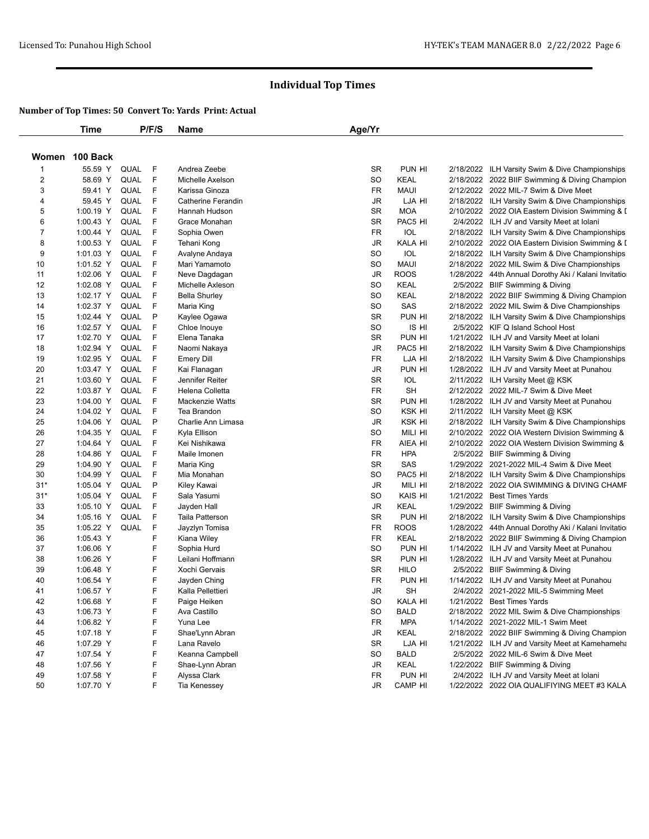|                | <b>Time</b>    |      | P/F/S | Name                   | Age/Yr    |             |                                                      |
|----------------|----------------|------|-------|------------------------|-----------|-------------|------------------------------------------------------|
|                | Women 100 Back |      |       |                        |           |             |                                                      |
| 1              | 55.59 Y        | QUAL | F     | Andrea Zeebe           | <b>SR</b> | PUN HI      | 2/18/2022 ILH Varsity Swim & Dive Championships      |
| $\overline{c}$ | 58.69 Y        | QUAL | F     | Michelle Axelson       | <b>SO</b> | KEAL        | 2/18/2022 2022 BIIF Swimming & Diving Champion       |
| 3              | 59.41 Y        | QUAL | F     | Karissa Ginoza         | FR        | <b>MAUI</b> | 2/12/2022 2022 MIL-7 Swim & Dive Meet                |
| 4              | 59.45 Y        | QUAL | F     | Catherine Ferandin     | JR        | LJA HI      | 2/18/2022 ILH Varsity Swim & Dive Championships      |
| 5              | 1:00.19 Y      | QUAL | F     | Hannah Hudson          | <b>SR</b> | <b>MOA</b>  | 2/10/2022 2022 OIA Eastern Division Swimming & I     |
| 6              | 1:00.43 Y      | QUAL | F     | Grace Monahan          | <b>SR</b> | PAC5 HI     | 2/4/2022 ILH JV and Varsity Meet at Iolani           |
| $\overline{7}$ | 1:00.44 Y      | QUAL | F     | Sophia Owen            | FR        | IOL         | 2/18/2022 ILH Varsity Swim & Dive Championships      |
| 8              | 1:00.53 Y      | QUAL | F     | Tehani Kong            | <b>JR</b> | KALA HI     | 2/10/2022 2022 OIA Eastern Division Swimming & I     |
| 9              | 1:01.03 Y      | QUAL | F     | Avalyne Andaya         | SO        | <b>IOL</b>  | 2/18/2022 ILH Varsity Swim & Dive Championships      |
| 10             | 1:01.52 Y      | QUAL | F     | Mari Yamamoto          | SO        | <b>MAUI</b> | 2/18/2022 2022 MIL Swim & Dive Championships         |
| 11             | 1:02.06 Y      | QUAL | F     | Neve Dagdagan          | JR        | <b>ROOS</b> | 1/28/2022 44th Annual Dorothy Aki / Kalani Invitatio |
| 12             | 1:02.08 Y      | QUAL | F     | Michelle Axleson       | <b>SO</b> | <b>KEAL</b> | 2/5/2022 BIIF Swimming & Diving                      |
| 13             | 1:02.17 Y      | QUAL | F     | <b>Bella Shurley</b>   | <b>SO</b> | <b>KEAL</b> | 2/18/2022 2022 BIIF Swimming & Diving Champion       |
| 14             | 1:02.37 Y      | QUAL | F     | Maria King             | <b>SO</b> | SAS         | 2/18/2022 2022 MIL Swim & Dive Championships         |
| 15             | 1:02.44 Y      | QUAL | P     | Kaylee Ogawa           | <b>SR</b> | PUN HI      | 2/18/2022 ILH Varsity Swim & Dive Championships      |
| 16             | 1:02.57 Y      | QUAL | F     | Chloe Inouye           | SO        | IS HI       | 2/5/2022 KIF Q Island School Host                    |
| 17             | 1:02.70 Y      | QUAL | F     | Elena Tanaka           | <b>SR</b> | PUN HI      | 1/21/2022 ILH JV and Varsity Meet at Iolani          |
| 18             | 1:02.94 Y      | QUAL | F     | Naomi Nakaya           | JR        | PAC5 HI     | 2/18/2022 ILH Varsity Swim & Dive Championships      |
| 19             | 1:02.95 Y      | QUAL | F     | <b>Emery Dill</b>      | FR        | LJA HI      | 2/18/2022 ILH Varsity Swim & Dive Championships      |
| 20             | 1:03.47 Y      | QUAL | F     | Kai Flanagan           | <b>JR</b> | PUN HI      | 1/28/2022 ILH JV and Varsity Meet at Punahou         |
| 21             | 1:03.60 Y      | QUAL | F     | Jennifer Reiter        | SR        | IOL         | 2/11/2022 ILH Varsity Meet @ KSK                     |
| 22             | 1:03.87 Y      | QUAL | F     | Helena Colletta        | FR        | <b>SH</b>   | 2/12/2022 2022 MIL-7 Swim & Dive Meet                |
| 23             | 1:04.00 Y      | QUAL | F     | <b>Mackenzie Watts</b> | <b>SR</b> | PUN HI      | 1/28/2022 ILH JV and Varsity Meet at Punahou         |
| 24             | 1:04.02 Y      | QUAL | F     | Tea Brandon            | SO        | KSK HI      | 2/11/2022 ILH Varsity Meet @ KSK                     |
| 25             | 1:04.06 Y      | QUAL | P     | Charlie Ann Limasa     | JR        | KSK HI      | 2/18/2022 ILH Varsity Swim & Dive Championships      |
| 26             | 1:04.35 Y      | QUAL | F     | Kyla Ellison           | <b>SO</b> | MILI HI     | 2/10/2022 2022 OIA Western Division Swimming &       |
| 27             | 1:04.64 Y      | QUAL | F     | Kei Nishikawa          | FR        | AIEA HI     | 2/10/2022 2022 OIA Western Division Swimming &       |
| 28             | 1:04.86 Y      | QUAL | F     | Maile Imonen           | FR        | <b>HPA</b>  | 2/5/2022 BIIF Swimming & Diving                      |
| 29             | 1:04.90 Y      | QUAL | F     | Maria King             | <b>SR</b> | SAS         | 1/29/2022 2021-2022 MIL-4 Swim & Dive Meet           |
| 30             | 1:04.99 Y      | QUAL | F     | Mia Monahan            | SO        | PAC5 HI     | 2/18/2022 ILH Varsity Swim & Dive Championships      |
| $31*$          | 1:05.04 Y      | QUAL | P     | Kiley Kawai            | <b>JR</b> | MILI HI     | 2/18/2022 2022 OIA SWIMMING & DIVING CHAMF           |
| $31*$          | 1:05.04 Y      | QUAL | F     | Sala Yasumi            | <b>SO</b> | KAIS HI     | 1/21/2022 Best Times Yards                           |
| 33             | 1:05.10 Y      | QUAL | F     | Jayden Hall            | JR        | KEAL        | 1/29/2022 BIIF Swimming & Diving                     |
| 34             | 1:05.16 Y      | QUAL | F     | <b>Taila Patterson</b> | <b>SR</b> | PUN HI      | 2/18/2022 ILH Varsity Swim & Dive Championships      |
| 35             | 1:05.22 Y      | QUAL | F     | Jayzlyn Tomisa         | FR        | <b>ROOS</b> | 1/28/2022 44th Annual Dorothy Aki / Kalani Invitatio |
| 36             | 1:05.43 Y      |      | F     | Kiana Wiley            | FR        | <b>KEAL</b> | 2/18/2022 2022 BIIF Swimming & Diving Champion       |
| 37             | 1:06.06 Y      |      | F     | Sophia Hurd            | <b>SO</b> | PUN HI      | 1/14/2022 ILH JV and Varsity Meet at Punahou         |
| 38             | 1:06.26 Y      |      | F     | Leilani Hoffmann       | <b>SR</b> | PUN HI      | 1/28/2022 ILH JV and Varsity Meet at Punahou         |
| 39             | 1:06.48 Y      |      | F     | Xochi Gervais          | <b>SR</b> | <b>HILO</b> | 2/5/2022 BIIF Swimming & Diving                      |
| 40             | 1:06.54 Y      |      | F     | Jayden Ching           | FR        | PUN HI      | 1/14/2022 ILH JV and Varsity Meet at Punahou         |
| 41             | 1:06.57 Y      |      | F     | Kalla Pellettieri      | <b>JR</b> | SH          | 2/4/2022 2021-2022 MIL-5 Swimming Meet               |
| 42             | $1:06.68$ Y    |      | F     | Paige Heiken           | SO        | KALA HI     | 1/21/2022 Best Times Yards                           |
| 43             | 1:06.73 Y      |      | F     | Ava Castillo           | SO        | <b>BALD</b> | 2/18/2022 2022 MIL Swim & Dive Championships         |
| 44             | 1:06.82 Y      |      | F     | Yuna Lee               | FR        | <b>MPA</b>  | 1/14/2022 2021-2022 MIL-1 Swim Meet                  |
| 45             | 1:07.18 Y      |      | F     | Shae'Lynn Abran        | JR        | <b>KEAL</b> | 2/18/2022 2022 BIIF Swimming & Diving Champion       |
| 46             | 1:07.29 Y      |      | F     | Lana Ravelo            | SR        | LJA HI      | 1/21/2022 ILH JV and Varsity Meet at Kamehameha      |
| 47             | 1:07.54 Y      |      | F     | Keanna Campbell        | SO        | <b>BALD</b> | 2/5/2022 2022 MIL-6 Swim & Dive Meet                 |
| 48             | 1:07.56 Y      |      | F     | Shae-Lynn Abran        | JR        | <b>KEAL</b> | 1/22/2022 BIIF Swimming & Diving                     |
| 49             | 1:07.58 Y      |      | F     | Alyssa Clark           | FR        | PUN HI      | 2/4/2022 ILH JV and Varsity Meet at Iolani           |
| 50             |                |      |       |                        |           |             |                                                      |
|                | 1:07.70 Y      |      | F     | Tia Kenessey           | JR        | CAMP HI     | 1/22/2022 2022 OIA QUALIFIYING MEET #3 KALA          |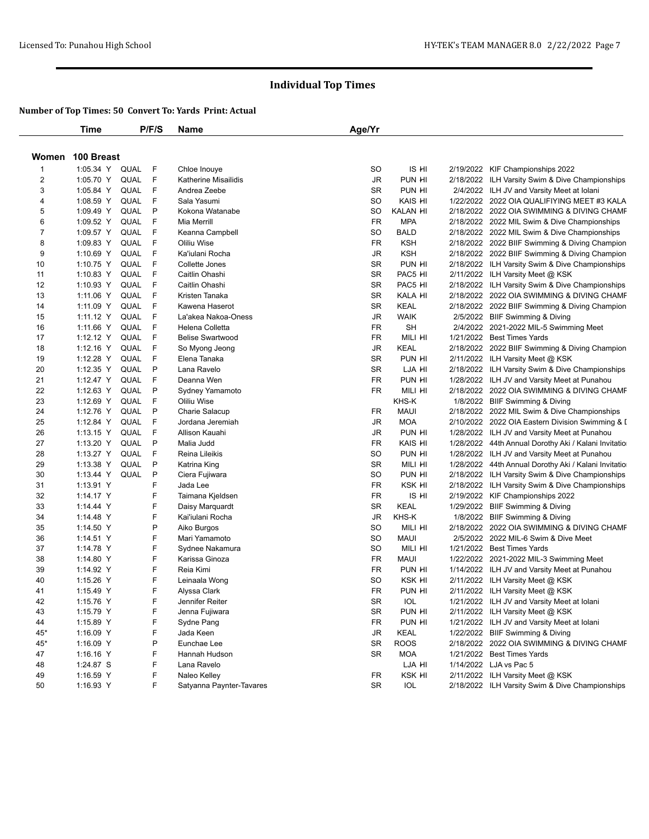|                         | <b>Time</b>            |             | P/F/S | Name                     | Age/Yr    |                 |                                                      |
|-------------------------|------------------------|-------------|-------|--------------------------|-----------|-----------------|------------------------------------------------------|
| Women                   | 100 Breast             |             |       |                          |           |                 |                                                      |
| 1                       | 1:05.34 Y              | QUAL        | F     | Chloe Inouye             | SO        | IS HI           | 2/19/2022 KIF Championships 2022                     |
| $\overline{\mathbf{c}}$ | 1:05.70 Y              | QUAL        | F.    | Katherine Misailidis     | JR        | PUN HI          | 2/18/2022 ILH Varsity Swim & Dive Championships      |
| 3                       | 1:05.84 Y              | QUAL        | F     | Andrea Zeebe             | <b>SR</b> | PUN HI          | 2/4/2022 ILH JV and Varsity Meet at Iolani           |
| 4                       | 1:08.59 Y              | QUAL        | F     | Sala Yasumi              | <b>SO</b> | KAIS HI         | 1/22/2022 2022 OIA QUALIFIYING MEET #3 KALA          |
| 5                       | 1:09.49 Y              | QUAL        | P     | Kokona Watanabe          | <b>SO</b> | <b>KALAN HI</b> | 2/18/2022 2022 OIA SWIMMING & DIVING CHAMF           |
| 6                       | 1:09.52 Y              | QUAL        | F     | Mia Merrill              | <b>FR</b> | <b>MPA</b>      | 2/18/2022 2022 MIL Swim & Dive Championships         |
| 7                       | 1:09.57 Y              | QUAL        | F     | Keanna Campbell          | SO        | <b>BALD</b>     | 2/18/2022 2022 MIL Swim & Dive Championships         |
| 8                       | 1:09.83 Y              | QUAL        | F     | Oliliu Wise              | <b>FR</b> | <b>KSH</b>      | 2/18/2022 2022 BIIF Swimming & Diving Champion       |
| 9                       | 1:10.69 Y              | QUAL        | F     | Ka'iulani Rocha          | <b>JR</b> | <b>KSH</b>      | 2/18/2022 2022 BIIF Swimming & Diving Champion       |
| 10                      | 1:10.75 Y              | QUAL        | F     | Collette Jones           | <b>SR</b> | PUN HI          | 2/18/2022 ILH Varsity Swim & Dive Championships      |
| 11                      | 1:10.83 Y              | QUAL        | F     | Caitlin Ohashi           | <b>SR</b> | PAC5 HI         | 2/11/2022 ILH Varsity Meet @ KSK                     |
| 12                      | 1:10.93 Y              | QUAL        | F     | Caitlin Ohashi           | <b>SR</b> | PAC5 HI         | 2/18/2022 ILH Varsity Swim & Dive Championships      |
| 13                      | 1:11.06 Y              | QUAL        | F     | Kristen Tanaka           | <b>SR</b> | KALA HI         | 2/18/2022 2022 OIA SWIMMING & DIVING CHAMF           |
| 14                      | 1:11.09 Y              | QUAL        | F     | Kawena Haserot           | <b>SR</b> | <b>KEAL</b>     | 2/18/2022 2022 BIIF Swimming & Diving Champion       |
| 15                      | 1:11.12 Y              | QUAL        | F     | La'akea Nakoa-Oness      | JR        | <b>WAIK</b>     | 2/5/2022 BIIF Swimming & Diving                      |
| 16                      | 1:11.66 Y              | QUAL        | F     | Helena Colletta          | <b>FR</b> | <b>SH</b>       | 2/4/2022 2021-2022 MIL-5 Swimming Meet               |
| 17                      | 1:12.12 Y              | QUAL        | F     | <b>Belise Swartwood</b>  | FR        | Mili hi         | 1/21/2022 Best Times Yards                           |
| 18                      | $1:12.16$ Y            | QUAL        | F     | So Myong Jeong           | JR        | KEAL            | 2/18/2022 2022 BIIF Swimming & Diving Champion       |
| 19                      | 1:12.28 Y              | QUAL        | F     | Elena Tanaka             | <b>SR</b> | PUN HI          | 2/11/2022 ILH Varsity Meet @ KSK                     |
| 20                      | $1:12.35$ Y            | QUAL        | P     | Lana Ravelo              | <b>SR</b> | LJA HI          | 2/18/2022 ILH Varsity Swim & Dive Championships      |
| 21                      | 1:12.47 Y              | QUAL        | F     | Deanna Wen               | FR        | PUN HI          | 1/28/2022 ILH JV and Varsity Meet at Punahou         |
| 22                      | 1:12.63 Y              | QUAL        | P     | Sydney Yamamoto          | FR.       | MILI HI         | 2/18/2022 2022 OIA SWIMMING & DIVING CHAMF           |
| 23                      | 1:12.69 Y              | QUAL        | F     | Oliliu Wise              |           | KHS-K           | 1/8/2022 BIIF Swimming & Diving                      |
| 24                      | 1:12.76 Y              | QUAL        | P     | Charie Salacup           | FR        | <b>MAUI</b>     | 2/18/2022 2022 MIL Swim & Dive Championships         |
| 25                      | 1:12.84 Y              | QUAL        | F     | Jordana Jeremiah         | JR        | <b>MOA</b>      | 2/10/2022 2022 OIA Eastern Division Swimming & I     |
| 26                      | 1:13.15 Y              | QUAL        | F     | Allison Kauahi           | JR        | PUN HI          | 1/28/2022 ILH JV and Varsity Meet at Punahou         |
| 27                      | 1:13.20 Y              | QUAL        | P     | Malia Judd               | <b>FR</b> | KAIS HI         | 1/28/2022 44th Annual Dorothy Aki / Kalani Invitatio |
| 28                      | 1:13.27 Y              | QUAL        | F     | Reina Lileikis           | <b>SO</b> | PUN HI          | 1/28/2022 ILH JV and Varsity Meet at Punahou         |
| 29                      | 1:13.38 Y              | <b>QUAL</b> | P     | Katrina King             | <b>SR</b> | Mili hi         | 1/28/2022 44th Annual Dorothy Aki / Kalani Invitatio |
| 30                      | 1:13.44 Y              | QUAL        | P     | Ciera Fujiwara           | <b>SO</b> | PUN HI          | 2/18/2022 ILH Varsity Swim & Dive Championships      |
| 31                      | 1:13.91 Y              |             | F     | Jada Lee                 | <b>FR</b> | KSK HI          | 2/18/2022 ILH Varsity Swim & Dive Championships      |
| 32                      | 1:14.17 Y              |             | F     | Taimana Kjeldsen         | <b>FR</b> | IS HI           | 2/19/2022 KIF Championships 2022                     |
| 33                      | 1:14.44 Y              |             | F     | Daisy Marquardt          | <b>SR</b> | <b>KEAL</b>     | 1/29/2022 BIIF Swimming & Diving                     |
| 34                      | 1:14.48 Y              |             | F     | Kai'iulani Rocha         | <b>JR</b> | KHS-K           | 1/8/2022 BIIF Swimming & Diving                      |
| 35                      | 1:14.50 Y              |             | P     | Aiko Burgos              | SO        | MILI HI         | 2/18/2022 2022 OIA SWIMMING & DIVING CHAMF           |
| 36                      | 1:14.51 Y              |             | F     | Mari Yamamoto            | SO        | <b>MAUI</b>     | 2/5/2022 2022 MIL-6 Swim & Dive Meet                 |
| 37                      | 1:14.78 Y              |             | F     | Sydnee Nakamura          | SO        | Mili hi         | 1/21/2022 Best Times Yards                           |
| 38                      | 1:14.80 Y              |             | F     | Karissa Ginoza           | <b>FR</b> | MAUI            | 1/22/2022 2021-2022 MIL-3 Swimming Meet              |
| 39                      | 1:14.92 Y              |             | F     | Reia Kimi                | FR        | PUN HI          | 1/14/2022 ILH JV and Varsity Meet at Punahou         |
| 40                      | 1:15.26 Y              |             | F     | Leinaala Wong            | SO        | KSK HI          | 2/11/2022 ILH Varsity Meet @ KSK                     |
| 41                      | 1:15.49 Y              |             | F     | Alyssa Clark             | <b>FR</b> | PUN HI          | 2/11/2022 ILH Varsity Meet @ KSK                     |
| 42                      | 1:15.76 Y              |             | F     | Jennifer Reiter          | SR        | IOL             | 1/21/2022 ILH JV and Varsity Meet at Iolani          |
| 43                      | 1:15.79 Y              |             | F     | Jenna Fujiwara           | SR        | PUN HI          | 2/11/2022 ILH Varsity Meet @ KSK                     |
| 44                      | 1:15.89 Y              |             | F     | Sydne Pang               | FR        | PUN HI          | 1/21/2022 ILH JV and Varsity Meet at Iolani          |
| 45*                     | 1:16.09 Y              |             | F     | Jada Keen                | JR        | KEAL            | 1/22/2022 BIIF Swimming & Diving                     |
| $45*$                   |                        |             | P     | Eunchae Lee              | SR        | <b>ROOS</b>     | 2/18/2022 2022 OIA SWIMMING & DIVING CHAMF           |
| 47                      | 1:16.09 Y<br>1:16.16 Y |             | F     | Hannah Hudson            | SR        | <b>MOA</b>      | 1/21/2022 Best Times Yards                           |
|                         |                        |             |       |                          |           |                 |                                                      |
| 48                      | 1:24.87 S              |             | F     | Lana Ravelo              |           | LJA HI          | 1/14/2022 LJA vs Pac 5                               |
| 49                      | 1:16.59 Y              |             | F     | Naleo Kelley             | FR        | KSK HI          | 2/11/2022 ILH Varsity Meet @ KSK                     |
| 50                      | 1:16.93 Y              |             | F     | Satyanna Paynter-Tavares | SR        | IOL             | 2/18/2022 ILH Varsity Swim & Dive Championships      |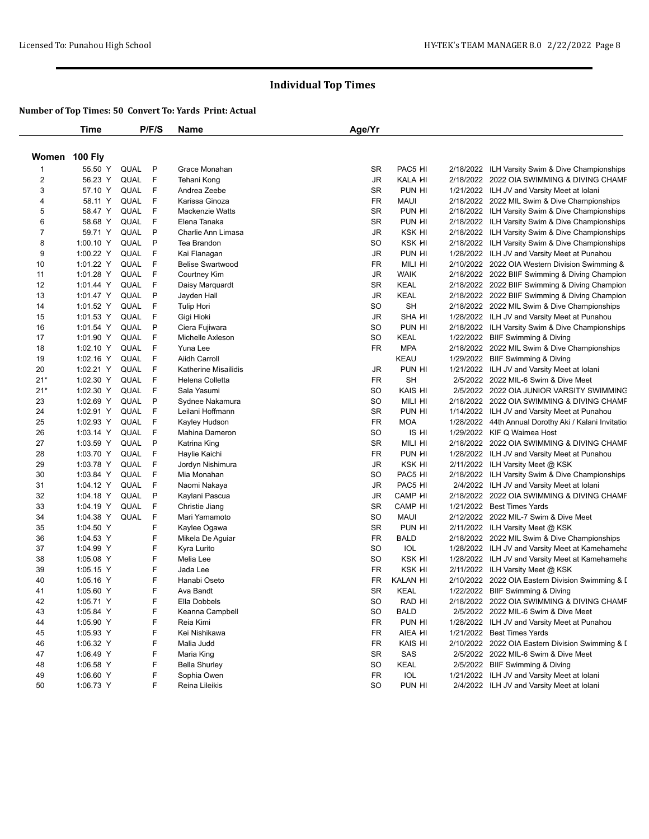|                | <b>Time</b> |      | P/F/S       | Name                          | Age/Yr    |                    |           |                                                                                           |
|----------------|-------------|------|-------------|-------------------------------|-----------|--------------------|-----------|-------------------------------------------------------------------------------------------|
| Women 100 Fly  |             |      |             |                               |           |                    |           |                                                                                           |
| -1             | 55.50 Y     | QUAL | P           | Grace Monahan                 | <b>SR</b> | PAC5 HI            |           | 2/18/2022 ILH Varsity Swim & Dive Championships                                           |
| 2              | 56.23 Y     | QUAL | F           | Tehani Kong                   | JR        | KALA HI            |           | 2/18/2022 2022 OIA SWIMMING & DIVING CHAMF                                                |
| 3              | 57.10 Y     | QUAL | F           | Andrea Zeebe                  | <b>SR</b> | PUN HI             |           | 1/21/2022 ILH JV and Varsity Meet at Iolani                                               |
| 4              | 58.11 Y     | QUAL | F           | Karissa Ginoza                | FR        | <b>MAUI</b>        |           | 2/18/2022 2022 MIL Swim & Dive Championships                                              |
| 5              | 58.47 Y     | QUAL | F           | Mackenzie Watts               | <b>SR</b> | PUN HI             |           | 2/18/2022 ILH Varsity Swim & Dive Championships                                           |
| 6              | 58.68 Y     | QUAL | F           | Elena Tanaka                  | <b>SR</b> | PUN HI             |           | 2/18/2022 ILH Varsity Swim & Dive Championships                                           |
| $\overline{7}$ | 59.71 Y     | QUAL | P           | Charlie Ann Limasa            | JR        | KSK HI             |           | 2/18/2022 ILH Varsity Swim & Dive Championships                                           |
| 8              | 1:00.10 Y   | QUAL | P           | Tea Brandon                   | SO        | KSK HI             |           | 2/18/2022 ILH Varsity Swim & Dive Championships                                           |
| 9              | 1:00.22 Y   | QUAL | F           | Kai Flanagan                  | JR        | PUN HI             |           | 1/28/2022 ILH JV and Varsity Meet at Punahou                                              |
| 10             | 1:01.22 Y   | QUAL | F           | <b>Belise Swartwood</b>       | <b>FR</b> | MILI HI            |           | 2/10/2022 2022 OIA Western Division Swimming &                                            |
| 11             | 1:01.28 Y   | QUAL | F           | <b>Courtney Kim</b>           | JR        | <b>WAIK</b>        |           | 2/18/2022 2022 BIIF Swimming & Diving Champion                                            |
| 12             | 1:01.44 Y   | QUAL | F           | Daisy Marquardt               | <b>SR</b> | KEAL               |           | 2/18/2022 2022 BIIF Swimming & Diving Champion                                            |
| 13             | 1:01.47 Y   | QUAL | P           | Jayden Hall                   | JR        | <b>KEAL</b>        |           | 2/18/2022 2022 BIIF Swimming & Diving Champion                                            |
| 14             | 1:01.52 Y   | QUAL | F           | <b>Tulip Hori</b>             | SO        | <b>SH</b>          |           | 2/18/2022 2022 MIL Swim & Dive Championships                                              |
| 15             | 1:01.53 Y   | QUAL | $\mathsf F$ | Gigi Hioki                    | JR        | <b>SHA HI</b>      |           | 1/28/2022 ILH JV and Varsity Meet at Punahou                                              |
| 16             | 1:01.54 Y   | QUAL | P           | Ciera Fujiwara                | SO        | PUN HI             |           | 2/18/2022 ILH Varsity Swim & Dive Championships                                           |
| 17             | 1:01.90 Y   | QUAL | F           | Michelle Axleson              | SO        | <b>KEAL</b>        |           | 1/22/2022 BIIF Swimming & Diving                                                          |
| 18             | 1:02.10 Y   | QUAL | F           | Yuna Lee                      | <b>FR</b> | <b>MPA</b>         |           | 2/18/2022 2022 MIL Swim & Dive Championships                                              |
| 19             | 1:02.16 Y   | QUAL | F           | Aiidh Carroll                 |           | KEAU               |           | 1/29/2022 BIIF Swimming & Diving                                                          |
| 20             | 1:02.21 Y   | QUAL | F           | Katherine Misailidis          | JR        | PUN HI             |           | 1/21/2022 ILH JV and Varsity Meet at Iolani                                               |
| $21*$          | 1:02.30 Y   | QUAL | F           | Helena Colletta               | <b>FR</b> | <b>SH</b>          |           | 2/5/2022 2022 MIL-6 Swim & Dive Meet                                                      |
| $21*$          | 1:02.30 Y   | QUAL | F           | Sala Yasumi                   | SO        | KAIS HI            |           | 2/5/2022 2022 OIA JUNIOR VARSITY SWIMMING                                                 |
| 23             | 1:02.69 Y   | QUAL | P           | Sydnee Nakamura               | SO        | MILI HI            |           | 2/18/2022 2022 OIA SWIMMING & DIVING CHAMF                                                |
| 24             | 1:02.91 Y   | QUAL | F           | Leilani Hoffmann              | <b>SR</b> | PUN HI             |           | 1/14/2022 ILH JV and Varsity Meet at Punahou                                              |
| 25             | 1:02.93 Y   | QUAL | F           | Kayley Hudson                 | <b>FR</b> | <b>MOA</b>         |           | 1/28/2022 44th Annual Dorothy Aki / Kalani Invitatio                                      |
| 26             | 1:03.14 Y   | QUAL | F           | Mahina Dameron                | <b>SO</b> | IS HI              |           | 1/29/2022 KIF Q Waimea Host                                                               |
| 27             | 1:03.59 Y   | QUAL | P           | Katrina King                  | <b>SR</b> | MILI HI            |           | 2/18/2022 2022 OIA SWIMMING & DIVING CHAMF                                                |
| 28             | 1:03.70 Y   | QUAL | F           | Haylie Kaichi                 | FR        | PUN HI             |           | 1/28/2022 ILH JV and Varsity Meet at Punahou                                              |
| 29             | 1:03.78 Y   | QUAL | F           | Jordyn Nishimura              | <b>JR</b> | KSK HI             |           | 2/11/2022 ILH Varsity Meet @ KSK                                                          |
| 30             | 1:03.84 Y   | QUAL | F           | Mia Monahan                   | <b>SO</b> | PAC5 HI            |           | 2/18/2022 ILH Varsity Swim & Dive Championships                                           |
| 31             | 1:04.12 Y   | QUAL | F           | Naomi Nakaya                  | JR        | PAC5 HI            |           | 2/4/2022 ILH JV and Varsity Meet at Iolani                                                |
| 32             | 1:04.18 Y   | QUAL | P           | Kaylani Pascua                | JR        | CAMP <sub>HI</sub> |           | 2/18/2022 2022 OIA SWIMMING & DIVING CHAMF                                                |
| 33             | 1:04.19 Y   | QUAL | F           | Christie Jiang                | <b>SR</b> | CAMP HI            | 1/21/2022 | <b>Best Times Yards</b>                                                                   |
| 34             | 1:04.38 Y   | QUAL | F           | Mari Yamamoto                 | <b>SO</b> | <b>MAUI</b>        |           | 2/12/2022 2022 MIL-7 Swim & Dive Meet                                                     |
| 35             | 1:04.50 Y   |      | F           | Kaylee Ogawa                  | <b>SR</b> | PUN HI             |           | 2/11/2022 ILH Varsity Meet @ KSK                                                          |
| 36             | 1:04.53 Y   |      | F           | Mikela De Aguiar              | FR        | <b>BALD</b>        |           | 2/18/2022 2022 MIL Swim & Dive Championships                                              |
| 37             | 1:04.99 Y   |      | F           | Kyra Lurito                   | SO        | IOL                |           | 1/28/2022 ILH JV and Varsity Meet at Kamehameha                                           |
| 38             | 1:05.08 Y   |      | F           | Melia Lee                     | <b>SO</b> | KSK HI             |           | 1/28/2022 ILH JV and Varsity Meet at Kamehameha                                           |
| 39             | 1:05.15 Y   |      | F           | Jada Lee                      | FR        | KSK HI             |           | 2/11/2022 ILH Varsity Meet @ KSK                                                          |
| 40             | 1:05.16 Y   |      | F           | Hanabi Oseto                  | FR        | <b>KALAN HI</b>    |           | 2/10/2022 2022 OIA Eastern Division Swimming & I                                          |
| 41             | 1:05.60 Y   |      | F           | Ava Bandt                     | <b>SR</b> | <b>KEAL</b>        |           | 1/22/2022 BIIF Swimming & Diving                                                          |
| 42             | 1:05.71 Y   |      | F           | Ella Dobbels                  | SO        | RAD HI             |           | 2/18/2022   2022 OIA SWIMMING & DIVING CHAMF                                              |
| 43             | 1:05.84 Y   |      | F           | Keanna Campbell               | SO        | <b>BALD</b>        |           | 2/5/2022 2022 MIL-6 Swim & Dive Meet                                                      |
| 44             | 1:05.90 Y   |      | F           | Reia Kimi                     | FR        | PUN HI             |           | 1/28/2022 ILH JV and Varsity Meet at Punahou                                              |
| 45             | 1:05.93 Y   |      | F           | Kei Nishikawa                 | FR        | AIEA HI            |           | 1/21/2022 Best Times Yards                                                                |
| 46             | 1:06.32 Y   |      | F           | Malia Judd                    | FR        | KAIS HI            |           | 2/10/2022 2022 OIA Eastern Division Swimming & I                                          |
|                |             |      | F           | Maria King                    | SR        | SAS                |           | 2/5/2022 2022 MIL-6 Swim & Dive Meet                                                      |
| 47             | 1:06.49 Y   |      | F           |                               |           | KEAL               |           | 2/5/2022 BIIF Swimming & Diving                                                           |
| 48             | 1:06.58 Y   |      | F           | <b>Bella Shurley</b>          | SO        | IOL                |           |                                                                                           |
| 49<br>50       | 1:06.60 Y   |      | F           | Sophia Owen<br>Reina Lileikis | FR<br>SO  | PUN HI             |           | 1/21/2022 ILH JV and Varsity Meet at Iolani<br>2/4/2022 ILH JV and Varsity Meet at Iolani |
|                | 1:06.73 Y   |      |             |                               |           |                    |           |                                                                                           |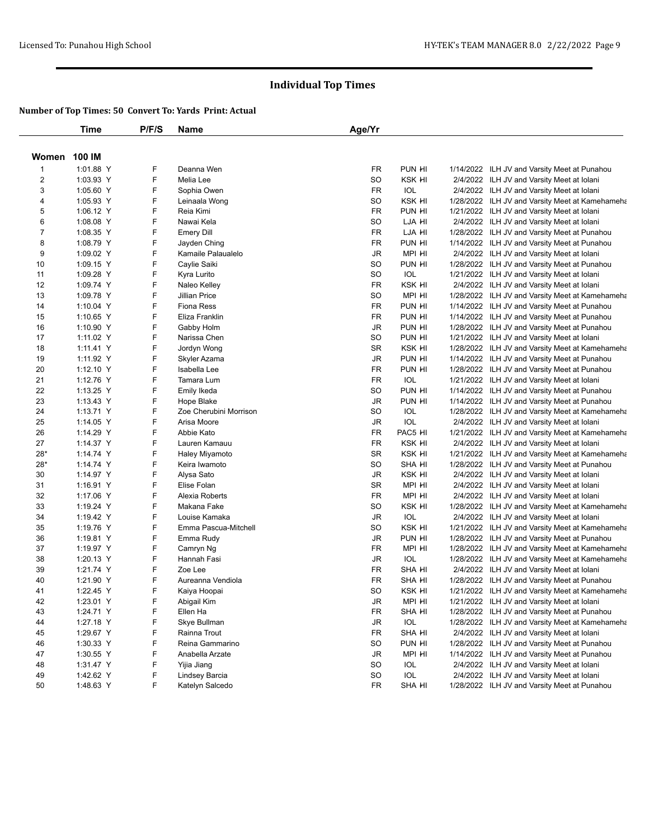|                | Time      | P/F/S | Name                                 | Age/Yr    |               |                                                 |
|----------------|-----------|-------|--------------------------------------|-----------|---------------|-------------------------------------------------|
| Women          | 100 IM    |       |                                      |           |               |                                                 |
| 1              | 1:01.88 Y | F     | Deanna Wen                           | FR        | PUN HI        | 1/14/2022 ILH JV and Varsity Meet at Punahou    |
| 2              | 1:03.93 Y | F     | Melia Lee                            | <b>SO</b> | KSK HI        | 2/4/2022 ILH JV and Varsity Meet at Iolani      |
| 3              | 1:05.60 Y | F     | Sophia Owen                          | <b>FR</b> | IOL           | 2/4/2022 ILH JV and Varsity Meet at Iolani      |
| 4              | 1:05.93 Y | F     | Leinaala Wong                        | SO        | KSK HI        | 1/28/2022 ILH JV and Varsity Meet at Kamehameha |
| 5              | 1:06.12 Y | F     | Reia Kimi                            | <b>FR</b> | PUN HI        | 1/21/2022 ILH JV and Varsity Meet at Iolani     |
| 6              | 1:08.08 Y | F     | Nawai Kela                           | <b>SO</b> | LJA HI        | 2/4/2022 ILH JV and Varsity Meet at Iolani      |
| $\overline{7}$ | 1:08.35 Y | F     | <b>Emery Dill</b>                    | FR        | LJA HI        | 1/28/2022 ILH JV and Varsity Meet at Punahou    |
| 8              | 1:08.79 Y | F     | Jayden Ching                         | FR        | PUN HI        | 1/14/2022 ILH JV and Varsity Meet at Punahou    |
| 9              | 1:09.02 Y | F     | Kamaile Palaualelo                   | JR        | MPI HI        | 2/4/2022 ILH JV and Varsity Meet at Iolani      |
| 10             | 1:09.15 Y | F     | Caylie Saiki                         | <b>SO</b> | PUN HI        | 1/28/2022 ILH JV and Varsity Meet at Punahou    |
| 11             | 1:09.28 Y | F     | Kyra Lurito                          | <b>SO</b> | IOL           | 1/21/2022 ILH JV and Varsity Meet at Iolani     |
| 12             | 1:09.74 Y | F     | Naleo Kelley                         | FR        | KSK HI        | 2/4/2022 ILH JV and Varsity Meet at Iolani      |
| 13             | 1:09.78 Y | F     | Jillian Price                        | <b>SO</b> | MPI HI        | 1/28/2022 ILH JV and Varsity Meet at Kamehameha |
| 14             | 1:10.04 Y | F     | <b>Fiona Ress</b>                    | <b>FR</b> | PUN HI        | 1/14/2022 ILH JV and Varsity Meet at Punahou    |
| 15             | 1:10.65 Y | F     | Eliza Franklin                       | FR        | PUN HI        | 1/14/2022 ILH JV and Varsity Meet at Punahou    |
| 16             | 1:10.90 Y | F     | Gabby Holm                           | JR        | PUN HI        | 1/28/2022 ILH JV and Varsity Meet at Punahou    |
| 17             | 1:11.02 Y | F     | Narissa Chen                         | <b>SO</b> | PUN HI        | 1/21/2022 ILH JV and Varsity Meet at Iolani     |
| 18             | 1:11.41 Y | F     | Jordyn Wong                          | <b>SR</b> | KSK HI        | 1/28/2022 ILH JV and Varsity Meet at Kamehameha |
| 19             | 1:11.92 Y | F     | Skyler Azama                         | JR        | PUN HI        | 1/14/2022 ILH JV and Varsity Meet at Punahou    |
| 20             | 1:12.10 Y | F     | Isabella Lee                         | FR        | PUN HI        | 1/28/2022 ILH JV and Varsity Meet at Punahou    |
| 21             | 1:12.76 Y | F     | Tamara Lum                           | <b>FR</b> | <b>IOL</b>    | 1/21/2022 ILH JV and Varsity Meet at Iolani     |
| 22             | 1:13.25 Y | F     |                                      | <b>SO</b> | PUN HI        |                                                 |
|                |           | F     | Emily Ikeda                          | JR        | PUN HI        | 1/14/2022 ILH JV and Varsity Meet at Punahou    |
| 23             | 1:13.43 Y | F     | Hope Blake<br>Zoe Cherubini Morrison | <b>SO</b> | <b>IOL</b>    | 1/14/2022 ILH JV and Varsity Meet at Punahou    |
| 24             | 1:13.71 Y | F     | Arisa Moore                          |           |               | 1/28/2022 ILH JV and Varsity Meet at Kamehameha |
| 25             | 1:14.05 Y |       |                                      | JR        | IOL           | 2/4/2022 ILH JV and Varsity Meet at Iolani      |
| 26             | 1:14.29 Y | F     | Abbie Kato                           | FR        | PAC5 HI       | 1/21/2022 ILH JV and Varsity Meet at Kamehameha |
| 27             | 1:14.37 Y | F     | Lauren Kamauu                        | <b>FR</b> | KSK HI        | 2/4/2022 ILH JV and Varsity Meet at Iolani      |
| $28*$          | 1:14.74 Y | F     | Haley Miyamoto                       | SR        | KSK HI        | 1/21/2022 ILH JV and Varsity Meet at Kamehameha |
| $28*$          | 1:14.74 Y | F     | Keira Iwamoto                        | <b>SO</b> | <b>SHA HI</b> | 1/28/2022 ILH JV and Varsity Meet at Punahou    |
| 30             | 1:14.97 Y | F     | Alysa Sato                           | JR        | KSK HI        | 2/4/2022 ILH JV and Varsity Meet at Iolani      |
| 31             | 1:16.91 Y | F     | Elise Folan                          | <b>SR</b> | MPI HI        | 2/4/2022 ILH JV and Varsity Meet at Iolani      |
| 32             | 1:17.06 Y | F     | Alexia Roberts                       | <b>FR</b> | MPI HI        | 2/4/2022 ILH JV and Varsity Meet at Iolani      |
| 33             | 1:19.24 Y | F     | Makana Fake                          | <b>SO</b> | KSK HI        | 1/28/2022 ILH JV and Varsity Meet at Kamehameha |
| 34             | 1:19.42 Y | F     | Louise Kamaka                        | JR        | IOL           | 2/4/2022 ILH JV and Varsity Meet at Iolani      |
| 35             | 1:19.76 Y | F     | Emma Pascua-Mitchell                 | <b>SO</b> | KSK HI        | 1/21/2022 ILH JV and Varsity Meet at Kamehameha |
| 36             | 1:19.81 Y | F     | Emma Rudy                            | JR        | PUN HI        | 1/28/2022 ILH JV and Varsity Meet at Punahou    |
| 37             | 1:19.97 Y | F     | Camryn Ng                            | FR        | MPI HI        | 1/28/2022 ILH JV and Varsity Meet at Kamehameha |
| 38             | 1:20.13 Y | F     | Hannah Fasi                          | JR        | <b>IOL</b>    | 1/28/2022 ILH JV and Varsity Meet at Kamehameha |
| 39             | 1:21.74 Y | F     | Zoe Lee                              | FR        | SHA HI        | 2/4/2022 ILH JV and Varsity Meet at Iolani      |
| 40             | 1:21.90 Y | F     | Aureanna Vendiola                    | FR        | <b>SHA HI</b> | 1/28/2022 ILH JV and Varsity Meet at Punahou    |
| 41             | 1:22.45 Y | F     | Kaiya Hoopai                         | SO        | KSK HI        | 1/21/2022 ILH JV and Varsity Meet at Kamehameha |
| 42             | 1:23.01 Y | F     | Abigail Kim                          | JR        | mpi hi        | 1/21/2022 ILH JV and Varsity Meet at Iolani     |
| 43             | 1:24.71 Y | F     | Ellen Ha                             | FR        | SHA HI        | 1/28/2022 ILH JV and Varsity Meet at Punahou    |
| 44             | 1:27.18 Y | F     | Skye Bullman                         | JR        | IOL           | 1/28/2022 ILH JV and Varsity Meet at Kamehameha |
| 45             | 1:29.67 Y | F     | Rainna Trout                         | FR        | SHA HI        | 2/4/2022 ILH JV and Varsity Meet at Iolani      |
| 46             | 1:30.33 Y | F     | Reina Gammarino                      | SO        | PUN HI        | 1/28/2022 ILH JV and Varsity Meet at Punahou    |
| 47             | 1:30.55 Y | F     | Anabella Arzate                      | JR        | MPI HI        | 1/14/2022 ILH JV and Varsity Meet at Punahou    |
| 48             | 1:31.47 Y | F     | Yijia Jiang                          | SO        | IOL           | 2/4/2022 ILH JV and Varsity Meet at Iolani      |
| 49             | 1:42.62 Y | F     | Lindsey Barcia                       | SO        | IOL           | 2/4/2022 ILH JV and Varsity Meet at Iolani      |
| 50             | 1:48.63 Y | F     | Katelyn Salcedo                      | FR        | SHA HI        | 1/28/2022 ILH JV and Varsity Meet at Punahou    |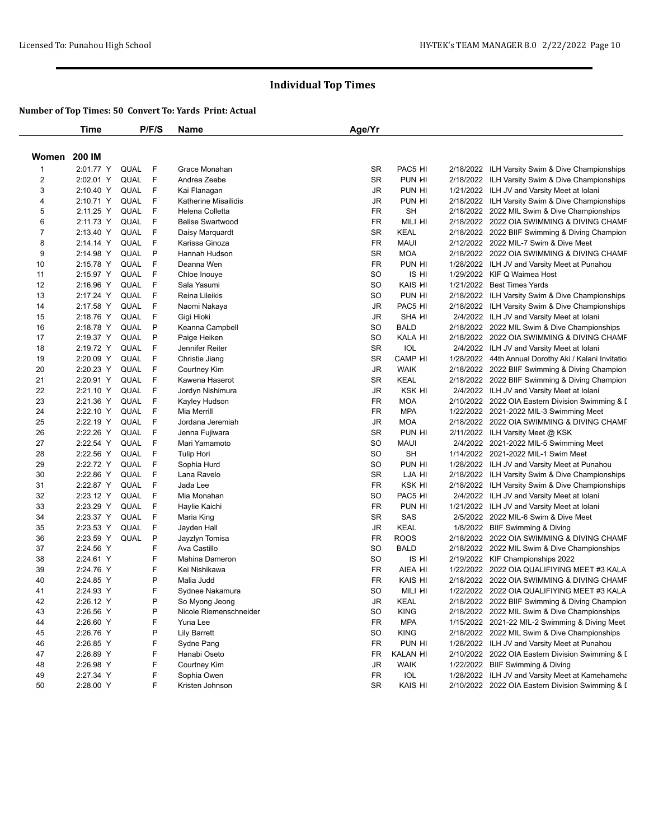|                | <b>Time</b> |             | P/F/S | Name                    | Age/Yr    |               |                                                                                                  |
|----------------|-------------|-------------|-------|-------------------------|-----------|---------------|--------------------------------------------------------------------------------------------------|
| Women          | 200 IM      |             |       |                         |           |               |                                                                                                  |
| $\mathbf{1}$   | 2:01.77 Y   | QUAL        | F     | Grace Monahan           | <b>SR</b> | PAC5 HI       | 2/18/2022 ILH Varsity Swim & Dive Championships                                                  |
| $\overline{c}$ | 2:02.01 Y   | QUAL        | F     | Andrea Zeebe            | <b>SR</b> | PUN HI        | 2/18/2022 ILH Varsity Swim & Dive Championships                                                  |
| 3              | 2:10.40 Y   | QUAL        | - F   | Kai Flanagan            | <b>JR</b> | PUN HI        | 1/21/2022 ILH JV and Varsity Meet at Iolani                                                      |
| 4              | 2:10.71 Y   | QUAL        | F     | Katherine Misailidis    | JR        | PUN HI        | 2/18/2022 ILH Varsity Swim & Dive Championships                                                  |
| 5              | 2:11.25 Y   | QUAL        | F     | Helena Colletta         | <b>FR</b> | <b>SH</b>     | 2/18/2022 2022 MIL Swim & Dive Championships                                                     |
| 6              | 2:11.73 Y   | QUAL        | F     | <b>Belise Swartwood</b> | FR        | MILI HI       | 2/18/2022 2022 OIA SWIMMING & DIVING CHAMF                                                       |
| 7              | 2:13.40 Y   | QUAL        | F     | Daisy Marquardt         | <b>SR</b> | <b>KEAL</b>   | 2/18/2022 2022 BIIF Swimming & Diving Champion                                                   |
| 8              | 2:14.14 Y   | QUAL        | F     | Karissa Ginoza          | <b>FR</b> | <b>MAUI</b>   | 2/12/2022 2022 MIL-7 Swim & Dive Meet                                                            |
| 9              | 2:14.98 Y   | QUAL        | P     | Hannah Hudson           | <b>SR</b> | <b>MOA</b>    | 2/18/2022 2022 OIA SWIMMING & DIVING CHAMF                                                       |
| 10             | 2:15.78 Y   | QUAL        | F     | Deanna Wen              | <b>FR</b> | PUN HI        | 1/28/2022 ILH JV and Varsity Meet at Punahou                                                     |
| 11             | 2:15.97 Y   | <b>QUAL</b> | F     | Chloe Inouye            | <b>SO</b> | IS HI         | 1/29/2022 KIF Q Waimea Host                                                                      |
| 12             | 2:16.96 Y   | QUAL        | F     | Sala Yasumi             | <b>SO</b> | KAIS HI       | 1/21/2022 Best Times Yards                                                                       |
| 13             | 2:17.24 Y   | QUAL        | F     | Reina Lileikis          | SO        | PUN HI        | 2/18/2022 ILH Varsity Swim & Dive Championships                                                  |
| 14             | 2:17.58 Y   | QUAL        | F     | Naomi Nakaya            | JR        | PAC5 HI       | 2/18/2022 ILH Varsity Swim & Dive Championships                                                  |
| 15             | 2:18.76 Y   | QUAL        | F     | Gigi Hioki              | JR        | <b>SHA HI</b> | 2/4/2022 ILH JV and Varsity Meet at Iolani                                                       |
| 16             | 2:18.78 Y   | QUAL        | P     | Keanna Campbell         | SO        | <b>BALD</b>   | 2/18/2022 2022 MIL Swim & Dive Championships                                                     |
| 17             | 2:19.37 Y   | QUAL        | P     | Paige Heiken            | <b>SO</b> | KALA HI       | 2/18/2022 2022 OIA SWIMMING & DIVING CHAMF                                                       |
| 18             | 2:19.72 Y   | QUAL        | F     | Jennifer Reiter         | <b>SR</b> | IOL           | 2/4/2022 ILH JV and Varsity Meet at Iolani                                                       |
| 19             | 2:20.09 Y   | QUAL        | F     | Christie Jiang          | <b>SR</b> | CAMP HI       | 1/28/2022 44th Annual Dorothy Aki / Kalani Invitatio                                             |
| 20             | 2:20.23 Y   | QUAL        | F     | Courtney Kim            | JR        | <b>WAIK</b>   |                                                                                                  |
| 21             |             | QUAL        | F     |                         | <b>SR</b> |               | 2/18/2022 2022 BIIF Swimming & Diving Champion<br>2/18/2022 2022 BIIF Swimming & Diving Champion |
|                | 2:20.91 Y   |             | F     | Kawena Haserot          |           | KEAL          |                                                                                                  |
| 22             | 2:21.10 Y   | QUAL        |       | Jordyn Nishimura        | <b>JR</b> | KSK HI        | 2/4/2022 ILH JV and Varsity Meet at Iolani                                                       |
| 23             | 2:21.36 Y   | QUAL        | F     | Kayley Hudson           | FR        | <b>MOA</b>    | 2/10/2022 2022 OIA Eastern Division Swimming & I                                                 |
| 24             | 2:22.10 Y   | QUAL        | F     | Mia Merrill             | FR        | <b>MPA</b>    | 1/22/2022 2021-2022 MIL-3 Swimming Meet                                                          |
| 25             | 2:22.19 Y   | QUAL        | F     | Jordana Jeremiah        | <b>JR</b> | <b>MOA</b>    | 2/18/2022 2022 OIA SWIMMING & DIVING CHAMF                                                       |
| 26             | 2:22.26 Y   | <b>QUAL</b> | F     | Jenna Fujiwara          | <b>SR</b> | PUN HI        | 2/11/2022 ILH Varsity Meet @ KSK                                                                 |
| 27             | 2:22.54 Y   | QUAL        | F     | Mari Yamamoto           | SO        | <b>MAUI</b>   | 2/4/2022 2021-2022 MIL-5 Swimming Meet                                                           |
| 28             | 2:22.56 Y   | QUAL        | F     | <b>Tulip Hori</b>       | SO        | <b>SH</b>     | 1/14/2022 2021-2022 MIL-1 Swim Meet                                                              |
| 29             | 2:22.72 Y   | QUAL        | F     | Sophia Hurd             | SO        | PUN HI        | 1/28/2022 ILH JV and Varsity Meet at Punahou                                                     |
| 30             | 2:22.86 Y   | QUAL        | F     | Lana Ravelo             | <b>SR</b> | LJA HI        | 2/18/2022 ILH Varsity Swim & Dive Championships                                                  |
| 31             | 2:22.87 Y   | QUAL        | F     | Jada Lee                | <b>FR</b> | KSK HI        | 2/18/2022 ILH Varsity Swim & Dive Championships                                                  |
| 32             | 2:23.12 Y   | <b>QUAL</b> | F     | Mia Monahan             | SO        | PAC5 HI       | 2/4/2022 ILH JV and Varsity Meet at Iolani                                                       |
| 33             | 2:23.29 Y   | QUAL        | F     | Haylie Kaichi           | <b>FR</b> | PUN HI        | 1/21/2022 ILH JV and Varsity Meet at Iolani                                                      |
| 34             | 2:23.37 Y   | QUAL        | F     | Maria King              | SR        | SAS           | 2/5/2022 2022 MIL-6 Swim & Dive Meet                                                             |
| 35             | 2:23.53 Y   | <b>QUAL</b> | F     | Jayden Hall             | JR        | <b>KEAL</b>   | 1/8/2022 BIIF Swimming & Diving                                                                  |
| 36             | 2:23.59 Y   | QUAL        | P     | Jayzlyn Tomisa          | FR        | <b>ROOS</b>   | 2/18/2022 2022 OIA SWIMMING & DIVING CHAMF                                                       |
| 37             | 2:24.56 Y   |             | F     | Ava Castillo            | <b>SO</b> | <b>BALD</b>   | 2/18/2022 2022 MIL Swim & Dive Championships                                                     |
| 38             | 2:24.61 Y   |             | F     | <b>Mahina Dameron</b>   | SO        | IS HI         | 2/19/2022 KIF Championships 2022                                                                 |
| 39             | 2:24.76 Y   |             | F     | Kei Nishikawa           | FR        | AIEA HI       | 1/22/2022 2022 OIA QUALIFIYING MEET #3 KALA                                                      |
| 40             | 2:24.85 Y   |             | P     | Malia Judd              | FR        | KAIS HI       | 2/18/2022 2022 OIA SWIMMING & DIVING CHAMF                                                       |
| 41             | 2:24.93 Y   |             | F     | Sydnee Nakamura         | <b>SO</b> | MILI HI       | 1/22/2022 2022 OIA QUALIFIYING MEET #3 KALA                                                      |
| 42             | 2:26.12 Y   |             | P     | So Myong Jeong          | JR        | KEAL          | 2/18/2022 2022 BIIF Swimming & Diving Champion                                                   |
| 43             | 2:26.56 Y   |             | P     | Nicole Riemenschneider  | <b>SO</b> | <b>KING</b>   | 2/18/2022 2022 MIL Swim & Dive Championships                                                     |
| 44             | 2:26.60 Y   |             | F     | Yuna Lee                | FR        | <b>MPA</b>    | 1/15/2022 2021-22 MIL-2 Swimming & Diving Meet                                                   |
| 45             | 2:26.76 Y   |             | P     | <b>Lily Barrett</b>     | SO        | <b>KING</b>   | 2/18/2022 2022 MIL Swim & Dive Championships                                                     |
| 46             | 2:26.85 Y   |             | F     | Sydne Pang              | <b>FR</b> | PUN HI        | 1/28/2022 ILH JV and Varsity Meet at Punahou                                                     |
| 47             | 2:26.89 Y   |             | F     | Hanabi Oseto            | FR        | KALAN HI      | 2/10/2022 2022 OIA Eastern Division Swimming & I                                                 |
| 48             | 2:26.98 Y   |             | F     | Courtney Kim            | <b>JR</b> | <b>WAIK</b>   | 1/22/2022 BIIF Swimming & Diving                                                                 |
| 49             | 2:27.34 Y   |             | F     | Sophia Owen             | FR        | IOL           | 1/28/2022 ILH JV and Varsity Meet at Kamehameha                                                  |
| 50             | 2:28.00 Y   |             | F     | Kristen Johnson         | SR        | KAIS HI       | 2/10/2022 2022 OIA Eastern Division Swimming & I                                                 |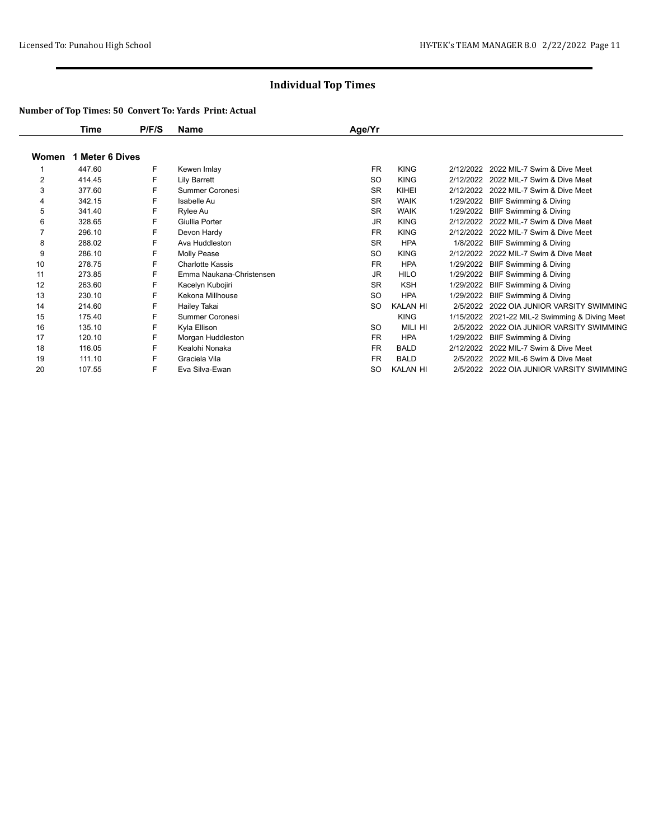|                | Time            | P/F/S | Name                     | Age/Yr    |             |           |                                      |
|----------------|-----------------|-------|--------------------------|-----------|-------------|-----------|--------------------------------------|
| Women          | 1 Meter 6 Dives |       |                          |           |             |           |                                      |
|                | 447.60          | F     | Kewen Imlay              | <b>FR</b> | <b>KING</b> | 2/12/2022 | 2022 MIL-7 Swim & Dive Meet          |
| $\overline{2}$ | 414.45          | F     | Lily Barrett             | SO.       | <b>KING</b> | 2/12/2022 | 2022 MIL-7 Swim & Dive Meet          |
| 3              | 377.60          | F     | Summer Coronesi          | <b>SR</b> | KIHEI       | 2/12/2022 | 2022 MIL-7 Swim & Dive Meet          |
| 4              | 342.15          | F     | Isabelle Au              | <b>SR</b> | <b>WAIK</b> | 1/29/2022 | BIIF Swimming & Diving               |
| 5              | 341.40          | F     | Rylee Au                 | <b>SR</b> | <b>WAIK</b> | 1/29/2022 | BIIF Swimming & Diving               |
| 6              | 328.65          | F     | Giullia Porter           | JR.       | <b>KING</b> | 2/12/2022 | 2022 MIL-7 Swim & Dive Meet          |
| $\overline{7}$ | 296.10          | F     | Devon Hardy              | <b>FR</b> | <b>KING</b> | 2/12/2022 | 2022 MIL-7 Swim & Dive Meet          |
| 8              | 288.02          | F     | Ava Huddleston           | <b>SR</b> | <b>HPA</b>  | 1/8/2022  | BIIF Swimming & Diving               |
| 9              | 286.10          | F     | Molly Pease              | <b>SO</b> | <b>KING</b> | 2/12/2022 | 2022 MIL-7 Swim & Dive Meet          |
| 10             | 278.75          | F     | Charlotte Kassis         | <b>FR</b> | <b>HPA</b>  | 1/29/2022 | BIIF Swimming & Diving               |
| 11             | 273.85          | F     | Emma Naukana-Christensen | JR.       | <b>HILO</b> | 1/29/2022 | <b>BIIF Swimming &amp; Diving</b>    |
| 12             | 263.60          | F     | Kacelyn Kubojiri         | <b>SR</b> | <b>KSH</b>  | 1/29/2022 | BIIF Swimming & Diving               |
| 13             | 230.10          | F     | Kekona Millhouse         | <b>SO</b> | <b>HPA</b>  | 1/29/2022 | <b>BIIF Swimming &amp; Diving</b>    |
| 14             | 214.60          | F     | Hailey Takai             | <b>SO</b> | KALAN HI    | 2/5/2022  | 2022 OIA JUNIOR VARSITY SWIMMING     |
| 15             | 175.40          | F     | Summer Coronesi          |           | <b>KING</b> | 1/15/2022 | 2021-22 MIL-2 Swimming & Diving Meet |
| 16             | 135.10          | F     | Kyla Ellison             | SO.       | MILI HI     | 2/5/2022  | 2022 OIA JUNIOR VARSITY SWIMMING     |
| 17             | 120.10          | F     | Morgan Huddleston        | <b>FR</b> | <b>HPA</b>  | 1/29/2022 | BIIF Swimming & Diving               |
| 18             | 116.05          | F     | Kealohi Nonaka           | <b>FR</b> | <b>BALD</b> | 2/12/2022 | 2022 MIL-7 Swim & Dive Meet          |
| 19             | 111.10          | F     | Graciela Vila            | <b>FR</b> | <b>BALD</b> | 2/5/2022  | 2022 MIL-6 Swim & Dive Meet          |
| 20             | 107.55          | F     | Eva Silva-Ewan           | SO.       | KALAN HI    | 2/5/2022  | 2022 OIA JUNIOR VARSITY SWIMMING     |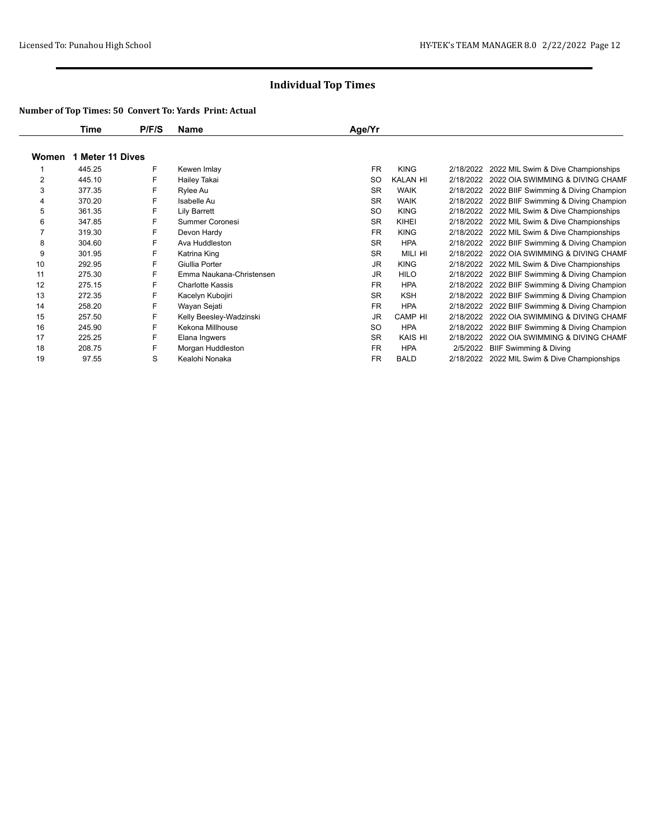|       | Time             | P/F/S | Name                     | Age/Yr    |             |           |                                                |
|-------|------------------|-------|--------------------------|-----------|-------------|-----------|------------------------------------------------|
| Women | 1 Meter 11 Dives |       |                          |           |             |           |                                                |
|       | 445.25           | F     | Kewen Imlay              | <b>FR</b> | <b>KING</b> |           | 2/18/2022 2022 MIL Swim & Dive Championships   |
| 2     | 445.10           | F     | Hailey Takai             | <b>SO</b> | KALAN HI    | 2/18/2022 | 2022 OIA SWIMMING & DIVING CHAMF               |
| 3     | 377.35           | F     | Rylee Au                 | <b>SR</b> | <b>WAIK</b> | 2/18/2022 | 2022 BIIF Swimming & Diving Champion           |
| 4     | 370.20           | F.    | Isabelle Au              | <b>SR</b> | <b>WAIK</b> |           | 2/18/2022 2022 BIIF Swimming & Diving Champion |
| 5     | 361.35           | F     | Lily Barrett             | SO.       | <b>KING</b> | 2/18/2022 | 2022 MIL Swim & Dive Championships             |
| 6     | 347.85           | F     | <b>Summer Coronesi</b>   | <b>SR</b> | KIHEI       | 2/18/2022 | 2022 MIL Swim & Dive Championships             |
|       | 319.30           | F     | Devon Hardy              | <b>FR</b> | <b>KING</b> | 2/18/2022 | 2022 MIL Swim & Dive Championships             |
| 8     | 304.60           | F     | Ava Huddleston           | <b>SR</b> | <b>HPA</b>  |           | 2/18/2022 2022 BIIF Swimming & Diving Champion |
| 9     | 301.95           | F     | Katrina King             | <b>SR</b> | MILI HI     | 2/18/2022 | 2022 OIA SWIMMING & DIVING CHAMF               |
| 10    | 292.95           | F     | Giullia Porter           | <b>JR</b> | <b>KING</b> | 2/18/2022 | 2022 MIL Swim & Dive Championships             |
| 11    | 275.30           | F     | Emma Naukana-Christensen | JR.       | <b>HILO</b> |           | 2/18/2022 2022 BIIF Swimming & Diving Champion |
| 12    | 275.15           | F     | <b>Charlotte Kassis</b>  | <b>FR</b> | <b>HPA</b>  | 2/18/2022 | 2022 BIIF Swimming & Diving Champion           |
| 13    | 272.35           | F     | Kacelyn Kubojiri         | <b>SR</b> | <b>KSH</b>  | 2/18/2022 | 2022 BIIF Swimming & Diving Champion           |
| 14    | 258.20           | F     | Wayan Sejati             | <b>FR</b> | <b>HPA</b>  | 2/18/2022 | 2022 BIIF Swimming & Diving Champion           |
| 15    | 257.50           | F     | Kelly Beesley-Wadzinski  | JR.       | CAMP HI     | 2/18/2022 | 2022 OIA SWIMMING & DIVING CHAMF               |
| 16    | 245.90           | F     | Kekona Millhouse         | SO.       | <b>HPA</b>  | 2/18/2022 | 2022 BIIF Swimming & Diving Champion           |
| 17    | 225.25           | F     | Elana Ingwers            | <b>SR</b> | KAIS HI     | 2/18/2022 | 2022 OIA SWIMMING & DIVING CHAMF               |
| 18    | 208.75           | F     | Morgan Huddleston        | <b>FR</b> | <b>HPA</b>  | 2/5/2022  | <b>BIIF Swimming &amp; Diving</b>              |
| 19    | 97.55            | S     | Kealohi Nonaka           | <b>FR</b> | <b>BALD</b> | 2/18/2022 | 2022 MIL Swim & Dive Championships             |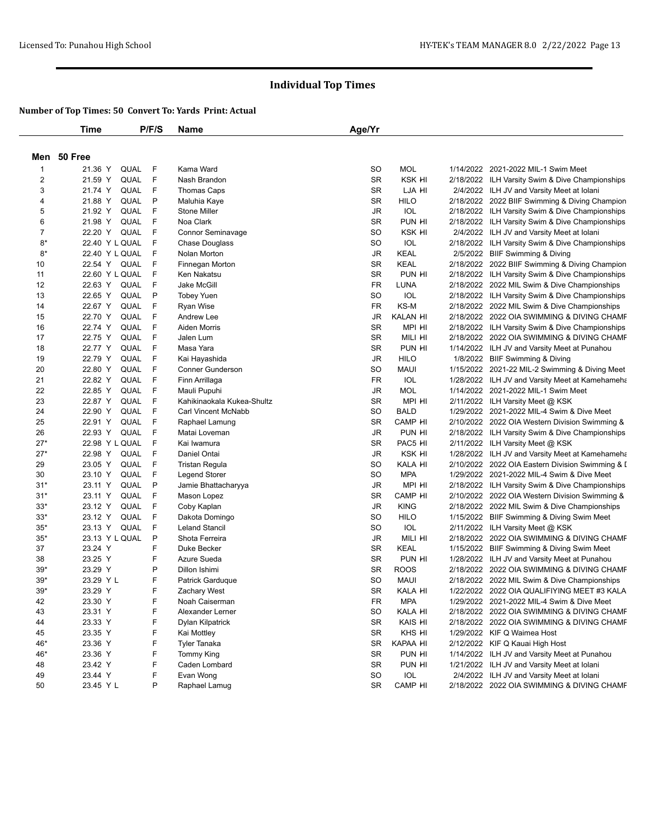|                | <b>Time</b>            | P/F/S | Name                       | Age/Yr    |                 |                                                  |
|----------------|------------------------|-------|----------------------------|-----------|-----------------|--------------------------------------------------|
|                | Men 50 Free            |       |                            |           |                 |                                                  |
| $\mathbf{1}$   | 21.36 Y<br>QUAL        | F     | Kama Ward                  | <b>SO</b> | <b>MOL</b>      | 1/14/2022 2021-2022 MIL-1 Swim Meet              |
| $\overline{c}$ | 21.59 Y<br>QUAL        | F     | Nash Brandon               | <b>SR</b> | KSK HI          | 2/18/2022 ILH Varsity Swim & Dive Championships  |
| 3              | 21.74 Y<br>QUAL        | F     | Thomas Caps                | <b>SR</b> | LJA HI          | 2/4/2022 ILH JV and Varsity Meet at Iolani       |
| 4              | QUAL<br>21.88 Y        | P     | Maluhia Kaye               | <b>SR</b> | <b>HILO</b>     | 2/18/2022 2022 BIIF Swimming & Diving Champion   |
| 5              | 21.92 Y<br>QUAL        | F     | <b>Stone Miller</b>        | JR        | IOL             | 2/18/2022 ILH Varsity Swim & Dive Championships  |
| 6              | QUAL<br>21.98 Y        | F     | Noa Clark                  | <b>SR</b> | PUN HI          | 2/18/2022 ILH Varsity Swim & Dive Championships  |
| 7              | 22.20 Y<br>QUAL        | F     | Connor Seminavage          | SO        | KSK HI          | 2/4/2022 ILH JV and Varsity Meet at Iolani       |
| $8*$           | 22.40 Y L QUAL         | F     | <b>Chase Douglass</b>      | <b>SO</b> | <b>IOL</b>      | 2/18/2022 ILH Varsity Swim & Dive Championships  |
| $8*$           | 22.40 Y L QUAL         | F     | Nolan Morton               | JR        | <b>KEAL</b>     | 2/5/2022 BIIF Swimming & Diving                  |
| 10             | 22.54 Y<br>QUAL        | F     | Finnegan Morton            | <b>SR</b> | <b>KEAL</b>     | 2/18/2022 2022 BIIF Swimming & Diving Champion   |
| 11             | 22.60 Y L QUAL         | F     | Ken Nakatsu                | <b>SR</b> | PUN HI          | 2/18/2022 ILH Varsity Swim & Dive Championships  |
| 12             | 22.63 Y<br>QUAL        | F     | Jake McGill                | <b>FR</b> | LUNA            | 2/18/2022 2022 MIL Swim & Dive Championships     |
| 13             | 22.65 Y<br>QUAL        | P     | <b>Tobey Yuen</b>          | <b>SO</b> | IOL             | 2/18/2022 ILH Varsity Swim & Dive Championships  |
| 14             | 22.67 Y<br>QUAL        | F     | Ryan Wise                  | FR        | KS-M            | 2/18/2022 2022 MIL Swim & Dive Championships     |
| 15             | 22.70 Y<br>QUAL        | F     | Andrew Lee                 | <b>JR</b> | <b>KALAN HI</b> | 2/18/2022 2022 OIA SWIMMING & DIVING CHAMF       |
| 16             | 22.74 Y<br>QUAL        | F     | Aiden Morris               | <b>SR</b> | MPI HI          | 2/18/2022 ILH Varsity Swim & Dive Championships  |
| 17             | 22.75 Y<br><b>QUAL</b> | F     | Jalen Lum                  | <b>SR</b> | MILI HI         | 2/18/2022 2022 OIA SWIMMING & DIVING CHAMF       |
| 18             | 22.77 Y<br>QUAL        | F     | Masa Yara                  | <b>SR</b> | PUN HI          |                                                  |
|                |                        | F     |                            |           |                 | 1/14/2022 ILH JV and Varsity Meet at Punahou     |
| 19             | 22.79 Y<br>QUAL        | F     | Kai Hayashida              | JR        | <b>HILO</b>     | 1/8/2022 BIIF Swimming & Diving                  |
| 20             | 22.80 Y<br>QUAL        |       | <b>Conner Gunderson</b>    | SO        | MAUI            | 1/15/2022 2021-22 MIL-2 Swimming & Diving Meet   |
| 21             | 22.82 Y<br>QUAL        | F     | Finn Arrillaga             | <b>FR</b> | IOL             | 1/28/2022 ILH JV and Varsity Meet at Kamehameha  |
| 22             | 22.85 Y<br>QUAL        | F     | Mauli Pupuhi               | JR        | <b>MOL</b>      | 1/14/2022 2021-2022 MIL-1 Swim Meet              |
| 23             | 22.87 Y<br><b>QUAL</b> | F     | Kahikinaokala Kukea-Shultz | <b>SR</b> | MPI HI          | 2/11/2022 ILH Varsity Meet @ KSK                 |
| 24             | 22.90 Y<br>QUAL        | F     | Carl Vincent McNabb        | SO        | <b>BALD</b>     | 1/29/2022 2021-2022 MIL-4 Swim & Dive Meet       |
| 25             | 22.91 Y<br>QUAL        | F     | Raphael Lamung             | <b>SR</b> | CAMP HI         | 2/10/2022 2022 OIA Western Division Swimming &   |
| 26             | 22.93 Y<br>QUAL        | F     | Matai Loveman              | JR        | PUN HI          | 2/18/2022 ILH Varsity Swim & Dive Championships  |
| $27*$          | 22.98 Y L QUAL         | F     | Kai Iwamura                | <b>SR</b> | PAC5 HI         | 2/11/2022 ILH Varsity Meet @ KSK                 |
| $27*$          | 22.98 Y<br>QUAL        | F     | Daniel Ontai               | JR        | KSK HI          | 1/28/2022 ILH JV and Varsity Meet at Kamehameha  |
| 29             | 23.05 Y<br>QUAL        | F     | <b>Tristan Regula</b>      | <b>SO</b> | KALA HI         | 2/10/2022 2022 OIA Eastern Division Swimming & I |
| 30             | QUAL<br>23.10 Y        | F     | <b>Legend Storer</b>       | SO        | <b>MPA</b>      | 1/29/2022 2021-2022 MIL-4 Swim & Dive Meet       |
| $31*$          | 23.11 Y<br>QUAL        | P     | Jamie Bhattacharyya        | <b>JR</b> | MPI HI          | 2/18/2022 ILH Varsity Swim & Dive Championships  |
| $31*$          | QUAL<br>23.11 Y        | F     | Mason Lopez                | <b>SR</b> | CAMP HI         | 2/10/2022 2022 OIA Western Division Swimming &   |
| $33*$          | 23.12 Y<br>QUAL        | F     | Coby Kaplan                | JR        | <b>KING</b>     | 2/18/2022 2022 MIL Swim & Dive Championships     |
| $33*$          | 23.12 Y<br>QUAL        | F     | Dakota Domingo             | SO        | <b>HILO</b>     | 1/15/2022 BIIF Swimming & Diving Swim Meet       |
| $35*$          | 23.13 Y<br>QUAL        | F     | <b>Leland Stancil</b>      | <b>SO</b> | <b>IOL</b>      | 2/11/2022 ILH Varsity Meet @ KSK                 |
| $35*$          | 23.13 Y L QUAL         | P     | Shota Ferreira             | JR        | Mili hi         | 2/18/2022 2022 OIA SWIMMING & DIVING CHAMF       |
| 37             | 23.24 Y                | F     | Duke Becker                | <b>SR</b> | <b>KEAL</b>     | 1/15/2022 BIIF Swimming & Diving Swim Meet       |
| 38             | 23.25 Y                | F     | Azure Sueda                | <b>SR</b> | PUN HI          | 1/28/2022 ILH JV and Varsity Meet at Punahou     |
| $39*$          | 23.29 Y                | P     | Dillon Ishimi              | <b>SR</b> | <b>ROOS</b>     | 2/18/2022 2022 OIA SWIMMING & DIVING CHAMF       |
| $39*$          | 23.29 Y L              | F     | Patrick Garduque           | <b>SO</b> | <b>MAUI</b>     | 2/18/2022 2022 MIL Swim & Dive Championships     |
| $39*$          | 23.29 Y                | F     | <b>Zachary West</b>        | <b>SR</b> | KALA HI         | 1/22/2022 2022 OIA QUALIFIYING MEET #3 KALA      |
| 42             | 23.30 Y                | F     | Noah Caiserman             | FR        | MPA             | 1/29/2022 2021-2022 MIL-4 Swim & Dive Meet       |
| 43             | 23.31 Y                | F     | Alexander Lerner           | SO        | KALA HI         | 2/18/2022 2022 OIA SWIMMING & DIVING CHAMF       |
| 44             | 23.33 Y                | F     | Dylan Kilpatrick           | SR        | KAIS HI         | 2/18/2022 2022 OIA SWIMMING & DIVING CHAMF       |
| 45             | 23.35 Y                | F     | Kai Mottley                | SR        | KHS HI          | 1/29/2022 KIF Q Waimea Host                      |
| 46*            | 23.36 Y                | F     | Tyler Tanaka               | SR        | KAPAA HI        | 2/12/2022 KIF Q Kauai High Host                  |
| 46*            | 23.36 Y                | F     | Tommy King                 | SR        | PUN HI          | 1/14/2022 ILH JV and Varsity Meet at Punahou     |
| 48             | 23.42 Y                | F     | Caden Lombard              | SR        | PUN HI          | 1/21/2022 ILH JV and Varsity Meet at Iolani      |
| 49             | 23.44 Y                | F     | Evan Wong                  | SO        | IOL             | 2/4/2022 ILH JV and Varsity Meet at Iolani       |
| 50             | 23.45 Y L              | P     | Raphael Lamug              | SR        | CAMP HI         | 2/18/2022 2022 OIA SWIMMING & DIVING CHAMF       |
|                |                        |       |                            |           |                 |                                                  |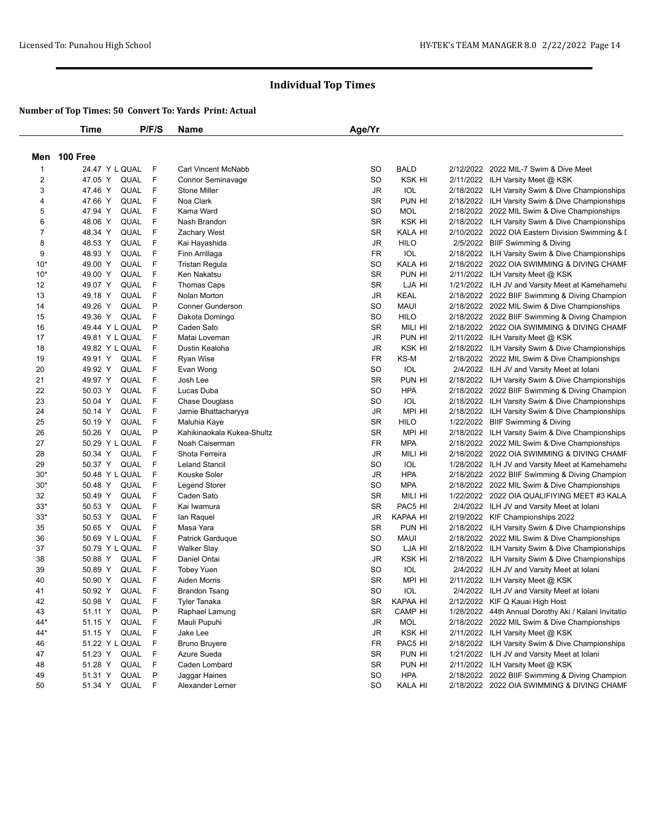|                         | <b>Time</b>      | P/F/S                            | Name                       | Age/Yr    |             |                                                      |
|-------------------------|------------------|----------------------------------|----------------------------|-----------|-------------|------------------------------------------------------|
|                         | Men 100 Free     |                                  |                            |           |             |                                                      |
| -1                      | 24.47 Y L QUAL   | F                                | Carl Vincent McNabb        | <b>SO</b> | <b>BALD</b> | 2/12/2022 2022 MIL-7 Swim & Dive Meet                |
| $\overline{\mathbf{c}}$ | 47.05 Y          | F.<br>QUAL                       | Connor Seminavage          | <b>SO</b> | KSK HI      | 2/11/2022 ILH Varsity Meet @ KSK                     |
| 3                       | 47.46 Y          | - F<br>QUAL                      | <b>Stone Miller</b>        | JR        | IOL         | 2/18/2022 ILH Varsity Swim & Dive Championships      |
| 4                       | 47.66 Y          | F<br>QUAL                        | Noa Clark                  | <b>SR</b> | PUN HI      | 2/18/2022 ILH Varsity Swim & Dive Championships      |
| 5                       | 47.94 Y          | F<br>QUAL                        | Kama Ward                  | <b>SO</b> | <b>MOL</b>  | 2/18/2022 2022 MIL Swim & Dive Championships         |
| 6                       | 48.06 Y          | F<br>QUAL                        | Nash Brandon               | <b>SR</b> | KSK HI      | 2/18/2022 ILH Varsity Swim & Dive Championships      |
| 7                       | 48.34 Y          | F<br>QUAL                        | <b>Zachary West</b>        | <b>SR</b> | KALA HI     | 2/10/2022 2022 OIA Eastern Division Swimming & I     |
| 8                       | 48.53 Y          | F<br>QUAL                        | Kai Hayashida              | <b>JR</b> | <b>HILO</b> | 2/5/2022 BIIF Swimming & Diving                      |
| 9                       | 48.93 Y          | F<br>QUAL                        | Finn Arrillaga             | FR        | <b>IOL</b>  | 2/18/2022 ILH Varsity Swim & Dive Championships      |
| $10*$                   | 49.00 Y          | F<br>QUAL                        | <b>Tristan Regula</b>      | SO        | KALA HI     | 2/18/2022 2022 OIA SWIMMING & DIVING CHAMF           |
| $10*$                   | 49.00 Y          | F<br>QUAL                        | Ken Nakatsu                | <b>SR</b> | PUN HI      | 2/11/2022 ILH Varsity Meet @ KSK                     |
| 12                      | 49.07 Y          | F<br>QUAL                        | <b>Thomas Caps</b>         | <b>SR</b> | LJA HI      | 1/21/2022 ILH JV and Varsity Meet at Kamehameha      |
| 13                      | 49.18 Y          | F<br>QUAL                        | Nolan Morton               | <b>JR</b> | KEAL        | 2/18/2022 2022 BIIF Swimming & Diving Champion       |
| 14                      | 49.26 Y          | P<br>QUAL                        | <b>Conner Gunderson</b>    | SO        | <b>MAUI</b> | 2/18/2022 2022 MIL Swim & Dive Championships         |
| 15                      | 49.36 Y          | F<br>QUAL                        | Dakota Domingo             | SO        | <b>HILO</b> | 2/18/2022 2022 BIIF Swimming & Diving Champion       |
| 16                      | 49.44 Y L QUAL   | P                                | Caden Sato                 | <b>SR</b> | MILI HI     | 2/18/2022 2022 OIA SWIMMING & DIVING CHAMF           |
| 17                      | 49.81 Y L QUAL   | F                                | Matai Loveman              | JR        | PUN HI      | 2/11/2022 ILH Varsity Meet @ KSK                     |
| 18                      | 49.82 Y L QUAL   | F                                | Dustin Kealoha             | JR        | KSK HI      | 2/18/2022 ILH Varsity Swim & Dive Championships      |
| 19                      | 49.91 Y          | F<br>QUAL                        | Ryan Wise                  | <b>FR</b> | KS-M        | 2/18/2022 2022 MIL Swim & Dive Championships         |
| 20                      | 49.92 Y          | F<br>QUAL                        | Evan Wong                  | <b>SO</b> | IOL         | 2/4/2022 ILH JV and Varsity Meet at Iolani           |
| 21                      | 49.97 Y          | F<br>QUAL                        | Josh Lee                   | <b>SR</b> | PUN HI      | 2/18/2022 ILH Varsity Swim & Dive Championships      |
| 22                      | 50.03 Y          | F<br>QUAL                        | Lucas Duba                 | <b>SO</b> | <b>HPA</b>  | 2/18/2022 2022 BIIF Swimming & Diving Champion       |
| 23                      | 50.04 Y          | F<br>QUAL                        | <b>Chase Douglass</b>      | <b>SO</b> | IOL         | 2/18/2022 ILH Varsity Swim & Dive Championships      |
| 24                      | 50.14 Y          | $\vert \mathsf{F} \vert$<br>QUAL | Jamie Bhattacharyya        | JR        | MPI HI      | 2/18/2022 ILH Varsity Swim & Dive Championships      |
| 25                      | 50.19 Y          | F<br>QUAL                        | Maluhia Kaye               | <b>SR</b> | <b>HILO</b> | 1/22/2022 BIIF Swimming & Diving                     |
| 26                      | 50.26 Y          | P<br>QUAL                        | Kahikinaokala Kukea-Shultz | <b>SR</b> | MPI HI      | 2/18/2022 ILH Varsity Swim & Dive Championships      |
| 27                      | 50.29 Y L QUAL   | F                                | Noah Caiserman             | FR        | <b>MPA</b>  | 2/18/2022 2022 MIL Swim & Dive Championships         |
| 28                      | 50.34 Y          | F<br>QUAL                        | Shota Ferreira             | <b>JR</b> | MILI HI     | 2/18/2022 2022 OIA SWIMMING & DIVING CHAMF           |
| 29                      | 50.37 Y          | F<br>QUAL                        | <b>Leland Stancil</b>      | <b>SO</b> | IOL         | 1/28/2022 ILH JV and Varsity Meet at Kamehameha      |
| $30*$                   | 50.48 Y L QUAL   | F                                | Kouske Soler               | JR        | <b>HPA</b>  | 2/18/2022 2022 BIIF Swimming & Diving Champion       |
| $30*$                   | 50.48 Y          | F<br>QUAL                        | <b>Legend Storer</b>       | <b>SO</b> | <b>MPA</b>  | 2/18/2022 2022 MIL Swim & Dive Championships         |
| 32                      | 50.49 Y          | F<br>QUAL                        | Caden Sato                 | <b>SR</b> | MILI HI     | 1/22/2022 2022 OIA QUALIFIYING MEET #3 KALA          |
| $33*$                   | 50.53 Y          | QUAL<br>F                        | Kai Iwamura                | <b>SR</b> | PAC5 HI     | 2/4/2022 ILH JV and Varsity Meet at Iolani           |
| $33*$                   | 50.53 Y          | F<br>QUAL                        | lan Raquel                 | <b>JR</b> | KAPAA HI    | 2/19/2022 KIF Championships 2022                     |
| 35                      | 50.65 Y          | F<br>QUAL                        | Masa Yara                  | <b>SR</b> | PUN HI      | 2/18/2022 ILH Varsity Swim & Dive Championships      |
| 36                      | 50.69 Y L QUAL   | F                                | Patrick Garduque           | <b>SO</b> | <b>MAUI</b> | 2/18/2022 2022 MIL Swim & Dive Championships         |
| 37                      | 50.79 Y L QUAL   | F                                | <b>Walker Slay</b>         | SO        | LJA HI      | 2/18/2022 ILH Varsity Swim & Dive Championships      |
| 38                      | 50.88 Y          | F<br>QUAL                        | Daniel Ontai               | <b>JR</b> | KSK HI      | 2/18/2022 ILH Varsity Swim & Dive Championships      |
| 39                      | 50.89 Y          | F<br>QUAL                        | <b>Tobey Yuen</b>          | <b>SO</b> | IOL         | 2/4/2022 ILH JV and Varsity Meet at Iolani           |
| 40                      | 50.90 Y          | F<br>QUAL                        | Aiden Morris               | <b>SR</b> | MPI HI      | 2/11/2022 ILH Varsity Meet @ KSK                     |
| 41                      | 50.92 Y          | F<br>QUAL                        | <b>Brandon Tsang</b>       | SO        | IOL         | 2/4/2022 ILH JV and Varsity Meet at Iolani           |
| 42                      | 50.98 Y          | QUAL<br>- F                      | <b>Tyler Tanaka</b>        | SR        | KAPAA HI    | 2/12/2022 KIF Q Kauai High Host                      |
| 43                      | 51.11 Y          | QUAL P                           | Raphael Lamung             | SR        | CAMP HI     | 1/28/2022 44th Annual Dorothy Aki / Kalani Invitatio |
| 44*                     | 51.15 Y          | QUAL F                           | Mauli Pupuhi               | JR        | <b>MOL</b>  | 2/18/2022 2022 MIL Swim & Dive Championships         |
| 44*                     | 51.15 Y          | QUAL F                           | Jake Lee                   | JR        | KSK HI      | 2/11/2022 ILH Varsity Meet @ KSK                     |
| 46                      | 51.22 Y L QUAL F |                                  | <b>Bruno Bruyere</b>       | FR        | PAC5 HI     | 2/18/2022 ILH Varsity Swim & Dive Championships      |
| 47                      | 51.23 Y          | QUAL F                           | Azure Sueda                | SR        | PUN HI      | 1/21/2022 ILH JV and Varsity Meet at Iolani          |
| 48                      | 51.28 Y          | QUAL F                           | Caden Lombard              | SR        | PUN HI      | 2/11/2022 ILH Varsity Meet @ KSK                     |
| 49                      | 51.31 Y          | P<br>QUAL                        | Jaggar Haines              | SO        | <b>HPA</b>  | 2/18/2022 2022 BIIF Swimming & Diving Champion       |
| 50                      | 51.34 Y          | QUAL F                           | Alexander Lerner           | SO        | KALA HI     | 2/18/2022 2022 OIA SWIMMING & DIVING CHAMF           |
|                         |                  |                                  |                            |           |             |                                                      |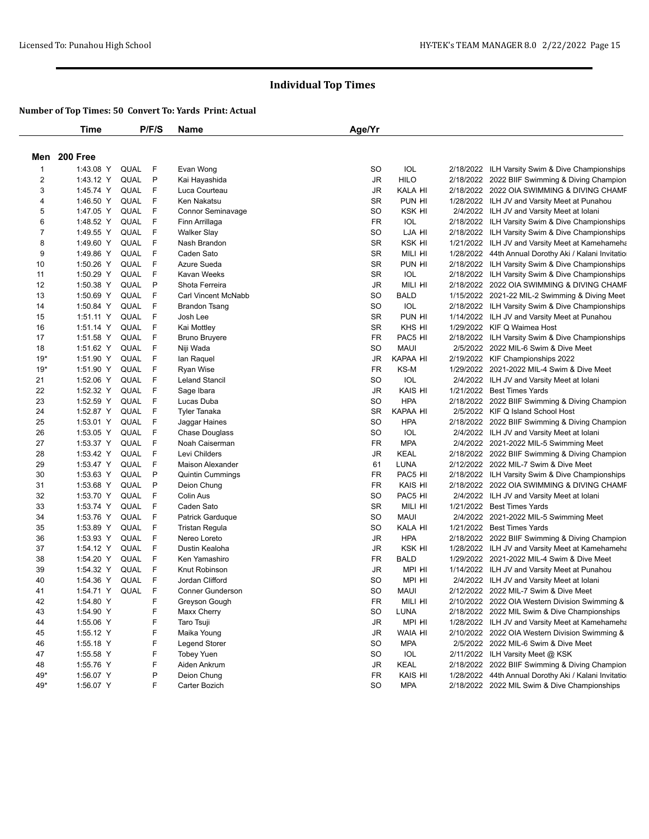|                | Time         |             | P/F/S | Name                    | Age/Yr    |             |                                                      |
|----------------|--------------|-------------|-------|-------------------------|-----------|-------------|------------------------------------------------------|
|                | Men 200 Free |             |       |                         |           |             |                                                      |
| $\mathbf{1}$   | 1:43.08 Y    | QUAL        | -F    | Evan Wong               | SO        | IOL         | 2/18/2022 ILH Varsity Swim & Dive Championships      |
| $\overline{c}$ | 1:43.12 Y    | QUAL        | P     | Kai Hayashida           | JR        | <b>HILO</b> | 2/18/2022 2022 BIIF Swimming & Diving Champion       |
| 3              | 1:45.74 Y    | QUAL        | F     | Luca Courteau           | JR        | KALA HI     | 2/18/2022 2022 OIA SWIMMING & DIVING CHAMF           |
| 4              | 1:46.50 Y    | QUAL        | F     | Ken Nakatsu             | <b>SR</b> | PUN HI      | 1/28/2022 ILH JV and Varsity Meet at Punahou         |
| 5              | 1:47.05 Y    | QUAL        | F     | Connor Seminavage       | <b>SO</b> | KSK HI      | 2/4/2022 ILH JV and Varsity Meet at Iolani           |
| 6              | 1:48.52 Y    | QUAL        | F     | Finn Arrillaga          | FR        | IOL         | 2/18/2022 ILH Varsity Swim & Dive Championships      |
| 7              | 1:49.55 Y    | QUAL        | F     | <b>Walker Slay</b>      | <b>SO</b> | LJA HI      | 2/18/2022 ILH Varsity Swim & Dive Championships      |
| 8              | 1:49.60 Y    | QUAL        | F     | Nash Brandon            | <b>SR</b> | KSK HI      | 1/21/2022 ILH JV and Varsity Meet at Kamehameha      |
| 9              | 1:49.86 Y    | QUAL        | F     | Caden Sato              | <b>SR</b> | MILI HI     | 1/28/2022 44th Annual Dorothy Aki / Kalani Invitatio |
| 10             | 1:50.26 Y    | QUAL        | F     | Azure Sueda             | <b>SR</b> | PUN HI      | 2/18/2022 ILH Varsity Swim & Dive Championships      |
| 11             | 1:50.29 Y    | <b>QUAL</b> | F     | Kavan Weeks             | <b>SR</b> | IOL         | 2/18/2022 ILH Varsity Swim & Dive Championships      |
| 12             | 1:50.38 Y    | QUAL        | P     | Shota Ferreira          | JR        | MILI HI     | 2/18/2022 2022 OIA SWIMMING & DIVING CHAMF           |
| 13             | 1:50.69 Y    | QUAL        | F     | Carl Vincent McNabb     | SO        | <b>BALD</b> | 1/15/2022 2021-22 MIL-2 Swimming & Diving Meet       |
| 14             | 1:50.84 Y    | QUAL        | F     | <b>Brandon Tsang</b>    | <b>SO</b> | IOL         | 2/18/2022 ILH Varsity Swim & Dive Championships      |
| 15             | 1:51.11 Y    | QUAL        | -F    | Josh Lee                | <b>SR</b> | PUN HI      | 1/14/2022 ILH JV and Varsity Meet at Punahou         |
| 16             | 1:51.14 Y    | QUAL        | F     | Kai Mottley             | <b>SR</b> | KHS HI      | 1/29/2022 KIF Q Waimea Host                          |
| 17             | 1:51.58 Y    | QUAL        | F     | <b>Bruno Bruyere</b>    | <b>FR</b> | PAC5 HI     | 2/18/2022 ILH Varsity Swim & Dive Championships      |
| 18             | 1:51.62 Y    | QUAL        | F     | Niji Wada               | <b>SO</b> | <b>MAUI</b> | 2/5/2022 2022 MIL-6 Swim & Dive Meet                 |
| $19*$          | 1:51.90 Y    | QUAL        | F     | lan Raquel              | <b>JR</b> | KAPAA HI    | 2/19/2022 KIF Championships 2022                     |
| $19*$          | 1:51.90 Y    | QUAL        | F     | <b>Ryan Wise</b>        | FR        | KS-M        | 1/29/2022 2021-2022 MIL-4 Swim & Dive Meet           |
| 21             | 1:52.06 Y    | QUAL        | F     | <b>Leland Stancil</b>   | <b>SO</b> | IOL         | 2/4/2022 ILH JV and Varsity Meet at Iolani           |
| 22             | 1:52.32 Y    | QUAL        | F     | Sage Ibara              | <b>JR</b> | KAIS HI     | 1/21/2022 Best Times Yards                           |
| 23             | 1:52.59 Y    | <b>QUAL</b> | F     | Lucas Duba              | <b>SO</b> | <b>HPA</b>  | 2/18/2022 2022 BIIF Swimming & Diving Champion       |
| 24             | 1:52.87 Y    | QUAL        | F     | <b>Tyler Tanaka</b>     | <b>SR</b> | KAPAA HI    | 2/5/2022 KIF Q Island School Host                    |
| 25             | 1:53.01 Y    | QUAL        | F     | Jaggar Haines           | <b>SO</b> | <b>HPA</b>  | 2/18/2022 2022 BIIF Swimming & Diving Champion       |
| 26             | 1:53.05 Y    | <b>QUAL</b> | F     | <b>Chase Douglass</b>   | SO        | <b>IOL</b>  | 2/4/2022 ILH JV and Varsity Meet at Iolani           |
| 27             | 1:53.37 Y    | QUAL        | F     | Noah Caiserman          | <b>FR</b> | <b>MPA</b>  | 2/4/2022 2021-2022 MIL-5 Swimming Meet               |
| 28             | 1:53.42 Y    | QUAL        | F     | Levi Childers           | JR        | <b>KEAL</b> | 2/18/2022 2022 BIIF Swimming & Diving Champion       |
| 29             | 1:53.47 Y    | <b>QUAL</b> | F     | Maison Alexander        | 61        | LUNA        | 2/12/2022 2022 MIL-7 Swim & Dive Meet                |
| 30             | 1:53.63 Y    | QUAL        | P     | <b>Quintin Cummings</b> | FR        | PAC5 HI     | 2/18/2022 ILH Varsity Swim & Dive Championships      |
| 31             | 1:53.68 Y    | QUAL        | P     | Deion Chung             | FR        | KAIS HI     | 2/18/2022 2022 OIA SWIMMING & DIVING CHAMF           |
| 32             | 1:53.70 Y    | <b>QUAL</b> | F     | Colin Aus               | SO        | PAC5 HI     | 2/4/2022 ILH JV and Varsity Meet at Iolani           |
| 33             | 1:53.74 Y    | QUAL        | F     | Caden Sato              | <b>SR</b> | Mili hi     | 1/21/2022 Best Times Yards                           |
| 34             | 1:53.76 Y    | QUAL        | F     | Patrick Garduque        | SO        | <b>MAUI</b> | 2/4/2022 2021-2022 MIL-5 Swimming Meet               |
| 35             | 1:53.89 Y    | QUAL        | F     | <b>Tristan Regula</b>   | SO        | KALA HI     | 1/21/2022 Best Times Yards                           |
| 36             | 1:53.93 Y    | QUAL        | F     | Nereo Loreto            | JR        | <b>HPA</b>  | 2/18/2022 2022 BIIF Swimming & Diving Champion       |
| 37             | 1:54.12 Y    | QUAL        | F     | Dustin Kealoha          | JR        | KSK HI      | 1/28/2022 ILH JV and Varsity Meet at Kamehameha      |
| 38             | 1:54.20 Y    | QUAL        | F     | Ken Yamashiro           | FR        | <b>BALD</b> | 1/29/2022 2021-2022 MIL-4 Swim & Dive Meet           |
| 39             | 1:54.32 Y    | QUAL        | F     | Knut Robinson           | JR        | MPI HI      | 1/14/2022 ILH JV and Varsity Meet at Punahou         |
| 40             | 1:54.36 Y    | <b>QUAL</b> | F     | Jordan Clifford         | <b>SO</b> | MPI HI      | 2/4/2022 ILH JV and Varsity Meet at Iolani           |
| 41             | 1:54.71 Y    | QUAL        | - F   | <b>Conner Gunderson</b> | <b>SO</b> | <b>MAUI</b> | 2/12/2022 2022 MIL-7 Swim & Dive Meet                |
| 42             | 1:54.80 Y    |             | F     | Greyson Gough           | FR        | MILI HI     | 2/10/2022 2022 OIA Western Division Swimming &       |
| 43             | 1:54.90 Y    |             | F     | Maxx Cherry             | SO        | <b>LUNA</b> | 2/18/2022 2022 MIL Swim & Dive Championships         |
| 44             | 1:55.06 Y    |             | F     | Taro Tsuji              | JR        | MPI HI      | 1/28/2022 ILH JV and Varsity Meet at Kamehameha      |
| 45             | 1:55.12 Y    |             | F     | Maika Young             | JR        | Waia hi     | 2/10/2022 2022 OIA Western Division Swimming &       |
| 46             | 1:55.18 Y    |             | F     | <b>Legend Storer</b>    | SO        | <b>MPA</b>  | 2/5/2022 2022 MIL-6 Swim & Dive Meet                 |
| 47             | 1:55.58 Y    |             | F     | <b>Tobey Yuen</b>       | SO        | IOL         | 2/11/2022 ILH Varsity Meet @ KSK                     |
| 48             | 1:55.76 Y    |             | F     | Aiden Ankrum            | JR        | KEAL        | 2/18/2022 2022 BIIF Swimming & Diving Champion       |
| $49*$          | 1:56.07 Y    |             | P     | Deion Chung             | <b>FR</b> | KAIS HI     | 1/28/2022 44th Annual Dorothy Aki / Kalani Invitatio |
| $49*$          | 1:56.07 Y    |             | F     | Carter Bozich           | SO        | <b>MPA</b>  | 2/18/2022 2022 MIL Swim & Dive Championships         |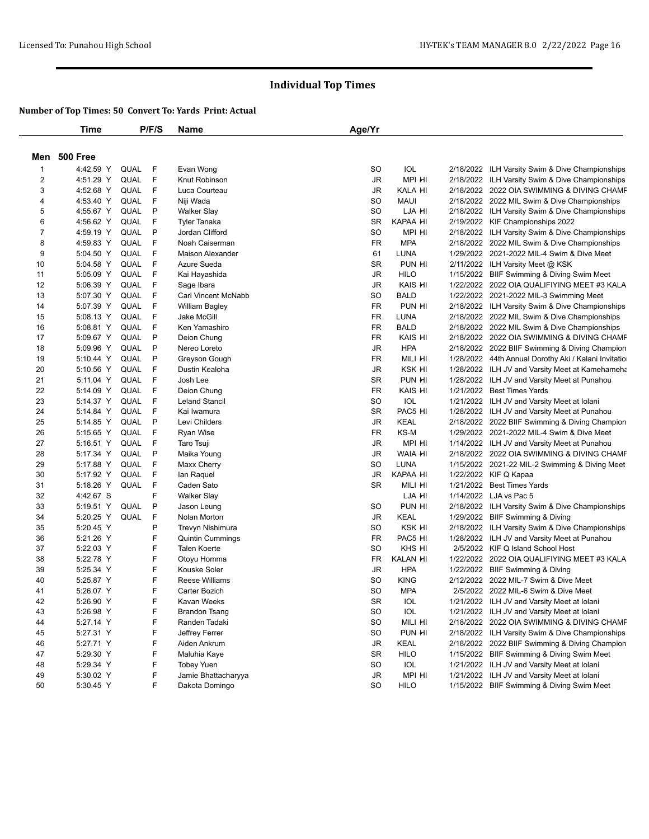|                | Time         |             | P/F/S | Name                    | Age/Yr                 |                 |                                                      |
|----------------|--------------|-------------|-------|-------------------------|------------------------|-----------------|------------------------------------------------------|
|                | Men 500 Free |             |       |                         |                        |                 |                                                      |
| $\mathbf{1}$   | 4:42.59 Y    | QUAL        | -F    | Evan Wong               | SO                     | IOL             | 2/18/2022 ILH Varsity Swim & Dive Championships      |
| $\overline{c}$ | 4:51.29 Y    | QUAL        | F     | Knut Robinson           | JR                     | MPI HI          | 2/18/2022 ILH Varsity Swim & Dive Championships      |
| 3              | 4:52.68 Y    | QUAL        | F     | Luca Courteau           | JR                     | KALA HI         | 2/18/2022 2022 OIA SWIMMING & DIVING CHAMF           |
| 4              | 4:53.40 Y    | QUAL        | F     | Niji Wada               | SO                     | <b>MAUI</b>     | 2/18/2022 2022 MIL Swim & Dive Championships         |
| 5              | 4:55.67 Y    | QUAL        | P     | <b>Walker Slay</b>      | SO                     | LJA HI          | 2/18/2022 ILH Varsity Swim & Dive Championships      |
| 6              | 4:56.62 Y    | QUAL        | F     | <b>Tyler Tanaka</b>     | <b>SR</b>              | KAPAA HI        | 2/19/2022 KIF Championships 2022                     |
| 7              | 4:59.19 Y    | QUAL        | P     | Jordan Clifford         | <b>SO</b>              | MPI HI          | 2/18/2022 ILH Varsity Swim & Dive Championships      |
| 8              | 4:59.83 Y    | QUAL        | F     | Noah Caiserman          | <b>FR</b>              | <b>MPA</b>      | 2/18/2022 2022 MIL Swim & Dive Championships         |
| 9              | 5:04.50 Y    | QUAL        | F     | Maison Alexander        | 61                     | <b>LUNA</b>     | 1/29/2022 2021-2022 MIL-4 Swim & Dive Meet           |
| 10             | 5:04.58 Y    | QUAL        | F     | Azure Sueda             | <b>SR</b>              | PUN HI          | 2/11/2022 ILH Varsity Meet @ KSK                     |
| 11             | 5:05.09 Y    | <b>QUAL</b> | F     | Kai Hayashida           | <b>JR</b>              | <b>HILO</b>     | 1/15/2022 BIIF Swimming & Diving Swim Meet           |
| 12             | 5:06.39 Y    | QUAL        | F     | Sage Ibara              | JR                     | KAIS HI         | 1/22/2022 2022 OIA QUALIFIYING MEET #3 KALA          |
| 13             | 5:07.30 Y    | QUAL        | F     | Carl Vincent McNabb     | SO                     | <b>BALD</b>     | 1/22/2022 2021-2022 MIL-3 Swimming Meet              |
| 14             | 5:07.39 Y    | QUAL        | F     | <b>William Bagley</b>   | <b>FR</b>              | PUN HI          | 2/18/2022 ILH Varsity Swim & Dive Championships      |
| 15             | 5:08.13 Y    | QUAL        | F     | Jake McGill             | <b>FR</b>              | LUNA            | 2/18/2022 2022 MIL Swim & Dive Championships         |
| 16             | 5:08.81 Y    | QUAL        | F     | Ken Yamashiro           | <b>FR</b>              | <b>BALD</b>     | 2/18/2022 2022 MIL Swim & Dive Championships         |
| 17             | 5:09.67 Y    | <b>QUAL</b> | P     | Deion Chung             | FR                     | KAIS HI         | 2/18/2022 2022 OIA SWIMMING & DIVING CHAMF           |
| 18             | 5:09.96 Y    | QUAL        | P     | Nereo Loreto            | JR                     | <b>HPA</b>      | 2/18/2022 2022 BIIF Swimming & Diving Champion       |
| 19             | 5:10.44 Y    | QUAL        | P     | Greyson Gough           | <b>FR</b>              | MILI HI         | 1/28/2022 44th Annual Dorothy Aki / Kalani Invitatio |
| 20             | 5:10.56 Y    | <b>QUAL</b> | F     | Dustin Kealoha          | JR                     | KSK HI          | 1/28/2022 ILH JV and Varsity Meet at Kamehameha      |
| 21             | 5:11.04 Y    | QUAL        | F     | Josh Lee                | <b>SR</b>              | PUN HI          | 1/28/2022 ILH JV and Varsity Meet at Punahou         |
| 22             | 5:14.09 Y    | QUAL        | F     | Deion Chung             | <b>FR</b>              | KAIS HI         | 1/21/2022 Best Times Yards                           |
| 23             | 5:14.37 Y    | QUAL        | F     | <b>Leland Stancil</b>   | <b>SO</b>              | IOL             | 1/21/2022 ILH JV and Varsity Meet at Iolani          |
| 24             | 5:14.84 Y    | QUAL        | F     | Kai Iwamura             | <b>SR</b>              | PAC5 HI         | 1/28/2022 ILH JV and Varsity Meet at Punahou         |
| 25             | 5:14.85 Y    | QUAL        | P     | Levi Childers           | <b>JR</b>              | <b>KEAL</b>     | 2/18/2022 2022 BIIF Swimming & Diving Champion       |
| 26             | 5:15.65 Y    | QUAL        | F     | Ryan Wise               | <b>FR</b>              | KS-M            | 1/29/2022 2021-2022 MIL-4 Swim & Dive Meet           |
| 27             | 5:16.51 Y    | QUAL        | F     | Taro Tsuji              | JR                     | MPI HI          | 1/14/2022 ILH JV and Varsity Meet at Punahou         |
| 28             | 5:17.34 Y    | QUAL        | P     | Maika Young             | JR                     | WAIA HI         | 2/18/2022 2022 OIA SWIMMING & DIVING CHAMF           |
| 29             | 5:17.88 Y    | QUAL        | F     | Maxx Cherry             | SO                     | LUNA            | 1/15/2022 2021-22 MIL-2 Swimming & Diving Meet       |
| 30             | 5:17.92 Y    | QUAL        | F     | lan Raquel              | JR                     | KAPAA HI        | 1/22/2022 KIF Q Kapaa                                |
| 31             | 5:18.26 Y    | QUAL        | F     | Caden Sato              | <b>SR</b>              | MILI HI         | 1/21/2022 Best Times Yards                           |
| 32             | 4:42.67 S    |             | F     | <b>Walker Slay</b>      |                        | LJA HI          | 1/14/2022 LJA vs Pac 5                               |
| 33             | 5:19.51 Y    | <b>QUAL</b> | P     | Jason Leung             | <b>SO</b>              | PUN HI          | 2/18/2022 ILH Varsity Swim & Dive Championships      |
| 34             | 5:20.25 Y    | QUAL        | F     | Nolan Morton            | JR                     | <b>KEAL</b>     | 1/29/2022 BIIF Swimming & Diving                     |
| 35             | 5:20.45 Y    |             | P     | Trevyn Nishimura        | <b>SO</b>              | KSK HI          | 2/18/2022 ILH Varsity Swim & Dive Championships      |
| 36             | 5:21.26 Y    |             | F     | <b>Quintin Cummings</b> | <b>FR</b>              | PAC5 HI         | 1/28/2022 ILH JV and Varsity Meet at Punahou         |
| 37             | 5:22.03 Y    |             | F     | Talen Koerte            | <b>SO</b>              | KHS HI          | 2/5/2022 KIF Q Island School Host                    |
| 38             | 5:22.78 Y    |             | F     | Otoyu Homma             | <b>FR</b>              | <b>KALAN HI</b> | 1/22/2022 2022 OIA QUALIFIYING MEET #3 KALA          |
| 39             | 5:25.34 Y    |             | F     | Kouske Soler            | JR                     | <b>HPA</b>      | 1/22/2022 BIIF Swimming & Diving                     |
| 40             | 5:25.87 Y    |             | F     | Reese Williams          | <b>SO</b>              | <b>KING</b>     | 2/12/2022 2022 MIL-7 Swim & Dive Meet                |
| 41             | 5:26.07 Y    |             | F     | Carter Bozich           | SO                     | <b>MPA</b>      | 2/5/2022 2022 MIL-6 Swim & Dive Meet                 |
| 42             | 5:26.90 Y    |             | F     | Kavan Weeks             | SR                     | IOL             | 1/21/2022 ILH JV and Varsity Meet at Iolani          |
| 43             | 5:26.98 Y    |             | F     | <b>Brandon Tsang</b>    | SO                     | IOL             | 1/21/2022 ILH JV and Varsity Meet at Iolani          |
| 44             | 5:27.14 Y    |             | F     | Randen Tadaki           | SO                     | MILI HI         | 2/18/2022 2022 OIA SWIMMING & DIVING CHAMF           |
| 45             | 5:27.31 Y    |             | F     | Jeffrey Ferrer          | SO                     | PUN HI          | 2/18/2022 ILH Varsity Swim & Dive Championships      |
| 46             | 5:27.71 Y    |             | F     | Aiden Ankrum            | JR                     | <b>KEAL</b>     | 2/18/2022 2022 BIIF Swimming & Diving Champion       |
| 47             | 5:29.30 Y    |             | F     | Maluhia Kaye            | SR                     | <b>HILO</b>     | 1/15/2022 BIIF Swimming & Diving Swim Meet           |
| 48             | 5:29.34 Y    |             | F     | <b>Tobey Yuen</b>       | <b>SO</b>              | IOL             | 1/21/2022 ILH JV and Varsity Meet at Iolani          |
| 49             | 5:30.02 Y    |             | F     | Jamie Bhattacharyya     | $\mathsf{J}\mathsf{R}$ | MPI HI          | 1/21/2022 ILH JV and Varsity Meet at Iolani          |
| 50             | 5:30.45 Y    |             | F     | Dakota Domingo          | SO                     | <b>HILO</b>     | 1/15/2022 BIIF Swimming & Diving Swim Meet           |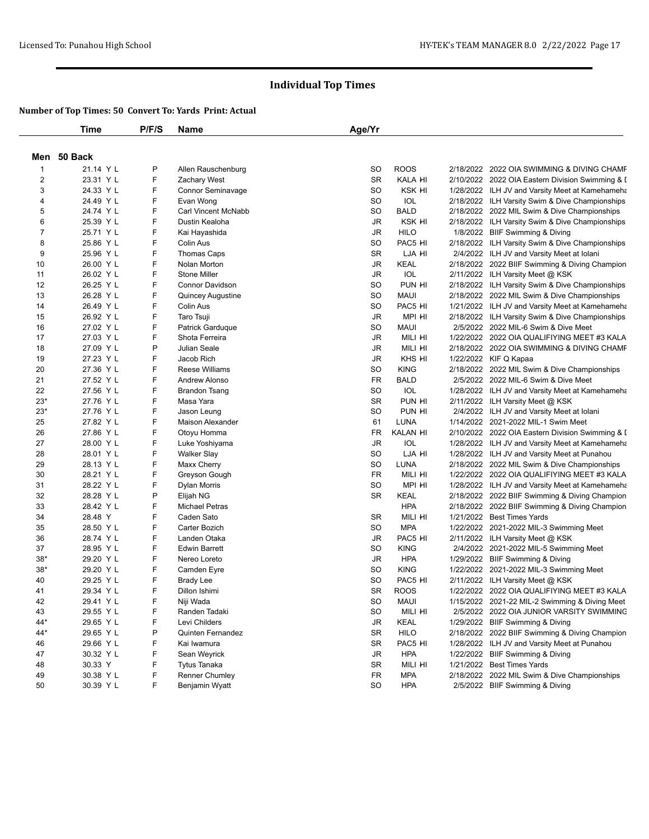|                | <b>Time</b> | P/F/S  | Name                     | Age/Yr                 |                 |          |                                                                                   |
|----------------|-------------|--------|--------------------------|------------------------|-----------------|----------|-----------------------------------------------------------------------------------|
|                | Men 50 Back |        |                          |                        |                 |          |                                                                                   |
| $\mathbf 1$    | 21.14 Y L   | P      | Allen Rauschenburg       | <b>SO</b>              | <b>ROOS</b>     |          | 2/18/2022 2022 OIA SWIMMING & DIVING CHAMF                                        |
| 2              | 23.31 Y L   | F      | Zachary West             | <b>SR</b>              | KALA HI         |          | 2/10/2022 2022 OIA Eastern Division Swimming & I                                  |
| 3              | 24.33 Y L   | F      | <b>Connor Seminavage</b> | SO                     | KSK HI          |          | 1/28/2022 ILH JV and Varsity Meet at Kamehameha                                   |
| 4              | 24.49 Y L   | F      | Evan Wong                | SO.                    | IOL             |          | 2/18/2022 ILH Varsity Swim & Dive Championships                                   |
| 5              | 24.74 Y L   | F      | Carl Vincent McNabb      | SO                     | <b>BALD</b>     |          | 2/18/2022 2022 MIL Swim & Dive Championships                                      |
| 6              | 25.39 Y L   | F      | Dustin Kealoha           | JR                     | KSK HI          |          | 2/18/2022 ILH Varsity Swim & Dive Championships                                   |
| $\overline{7}$ | 25.71 Y L   | F      | Kai Hayashida            | JR                     | <b>HILO</b>     |          | 1/8/2022 BIIF Swimming & Diving                                                   |
| 8              | 25.86 Y L   | F      | Colin Aus                | SO                     | PAC5 HI         |          | 2/18/2022 ILH Varsity Swim & Dive Championships                                   |
| 9              | 25.96 Y L   | F      | <b>Thomas Caps</b>       | SR                     | LJA HI          |          | 2/4/2022 ILH JV and Varsity Meet at Iolani                                        |
| 10             | 26.00 Y L   | F      | Nolan Morton             | JR                     | KEAL            |          | 2/18/2022 2022 BIIF Swimming & Diving Champion                                    |
| 11             | 26.02 Y L   | F      | <b>Stone Miller</b>      | $\mathsf{J}\mathsf{R}$ | IOL             |          | 2/11/2022 ILH Varsity Meet @ KSK                                                  |
| 12             | 26.25 Y L   | F      | <b>Connor Davidson</b>   | SO                     | PUN HI          |          | 2/18/2022 ILH Varsity Swim & Dive Championships                                   |
| 13             | 26.28 Y L   | F      | Quincey Augustine        | SO                     | <b>MAUI</b>     |          | 2/18/2022 2022 MIL Swim & Dive Championships                                      |
| 14             | 26.49 Y L   | F      | Colin Aus                | SO                     | PAC5 HI         |          | 1/21/2022 ILH JV and Varsity Meet at Kamehameha                                   |
| 15             | 26.92 Y L   | F      | Taro Tsuji               | JR                     | MPI HI          |          | 2/18/2022 ILH Varsity Swim & Dive Championships                                   |
| 16             | 27.02 Y L   | F      | Patrick Garduque         | SO                     | <b>MAUI</b>     |          | 2/5/2022 2022 MIL-6 Swim & Dive Meet                                              |
| 17             | 27.03 Y L   | F      | Shota Ferreira           | JR                     | MILI HI         |          | 1/22/2022 2022 OIA QUALIFIYING MEET #3 KALA                                       |
| 18             | 27.09 Y L   | P      | Julian Seale             | JR                     | MILI HI         |          | 2/18/2022 2022 OIA SWIMMING & DIVING CHAMF                                        |
| 19             | 27.23 Y L   | F      | Jacob Rich               | $\mathsf{J}\mathsf{R}$ | KHS HI          |          | 1/22/2022 KIF Q Kapaa                                                             |
| 20             | 27.36 Y L   | F      | <b>Reese Williams</b>    | SO                     | <b>KING</b>     |          | 2/18/2022 2022 MIL Swim & Dive Championships                                      |
| 21             | 27.52 Y L   | F      | Andrew Alonso            | FR                     | <b>BALD</b>     | 2/5/2022 | 2022 MIL-6 Swim & Dive Meet                                                       |
| 22             | 27.56 Y L   | F      | Brandon Tsang            | SO                     | IOL             |          | 1/28/2022 ILH JV and Varsity Meet at Kamehameha                                   |
| $23*$          | 27.76 Y L   | F      | Masa Yara                | <b>SR</b>              | PUN HI          |          | 2/11/2022 ILH Varsity Meet @ KSK                                                  |
| $23*$          | 27.76 Y L   | F      | Jason Leung              | SO                     | PUN HI          |          |                                                                                   |
| 25             | 27.82 Y L   | F      |                          | 61                     | LUNA            |          | 2/4/2022 ILH JV and Varsity Meet at Iolani<br>1/14/2022 2021-2022 MIL-1 Swim Meet |
| 26             | 27.86 Y L   | F      | Maison Alexander         | <b>FR</b>              | KALAN HI        |          |                                                                                   |
|                |             | F      | Otoyu Homma              |                        |                 |          | 2/10/2022 2022 OIA Eastern Division Swimming & I                                  |
| 27             | 28.00 Y L   | F      | Luke Yoshiyama           | JR<br>SO.              | IOL<br>LJA HI   |          | 1/28/2022 ILH JV and Varsity Meet at Kamehameha                                   |
| 28             | 28.01 Y L   | F      | Walker Slay              |                        |                 |          | 1/28/2022 ILH JV and Varsity Meet at Punahou                                      |
| 29             | 28.13 Y L   | F      | Maxx Cherry              | SO<br><b>FR</b>        | LUNA<br>MILI HI |          | 2/18/2022 2022 MIL Swim & Dive Championships                                      |
| 30             | 28.21 Y L   | F      | Greyson Gough            | <b>SO</b>              | MPI HI          |          | 1/22/2022 2022 OIA QUALIFIYING MEET #3 KALA                                       |
| 31             | 28.22 Y L   | P      | Dylan Morris             | <b>SR</b>              |                 |          | 1/28/2022 ILH JV and Varsity Meet at Kamehameha                                   |
| 32             | 28.28 Y L   |        | Elijah NG                |                        | KEAL            |          | 2/18/2022 2022 BIIF Swimming & Diving Champion                                    |
| 33             | 28.42 Y L   | F      | Michael Petras           |                        | <b>HPA</b>      |          | 2/18/2022 2022 BIIF Swimming & Diving Champion                                    |
| 34             | 28.48 Y     | F<br>F | Caden Sato               | SR                     | MILI HI         |          | 1/21/2022 Best Times Yards                                                        |
| 35             | 28.50 Y L   |        | Carter Bozich            | SO                     | <b>MPA</b>      |          | 1/22/2022 2021-2022 MIL-3 Swimming Meet                                           |
| 36             | 28.74 Y L   | F<br>F | Landen Otaka             | JR                     | PAC5 HI         |          | 2/11/2022 ILH Varsity Meet @ KSK                                                  |
| 37             | 28.95 Y L   |        | <b>Edwin Barrett</b>     | SO                     | <b>KING</b>     |          | 2/4/2022 2021-2022 MIL-5 Swimming Meet                                            |
| $38*$          | 29.20 Y L   | F      | Nereo Loreto             | JR                     | <b>HPA</b>      |          | 1/29/2022 BIIF Swimming & Diving                                                  |
| $38*$          | 29.20 Y L   | F      | Camden Eyre              | SO                     | <b>KING</b>     |          | 1/22/2022 2021-2022 MIL-3 Swimming Meet                                           |
| 40             | 29.25 Y L   | F<br>F | <b>Brady Lee</b>         | <b>SO</b>              | PAC5 HI         |          | 2/11/2022 ILH Varsity Meet @ KSK                                                  |
| 41             | 29.34 Y L   |        | Dillon Ishimi            | <b>SR</b>              | <b>ROOS</b>     |          | 1/22/2022 2022 OIA QUALIFIYING MEET #3 KALA                                       |
| 42             | 29.41 Y L   | F      | Niji Wada                | SO                     | Maui            |          | 1/15/2022 2021-22 MIL-2 Swimming & Diving Meet                                    |
| 43             | 29.55 Y L   | F      | Randen Tadaki            | SO                     | MILI HI         |          | 2/5/2022 2022 OIA JUNIOR VARSITY SWIMMING                                         |
| 44*            | 29.65 Y L   | F      | Levi Childers            | JR                     | KEAL            |          | 1/29/2022 BIIF Swimming & Diving                                                  |
| $44*$          | 29.65 Y L   | P      | Quinten Fernandez        | SR                     | <b>HILO</b>     |          | 2/18/2022 2022 BIIF Swimming & Diving Champion                                    |
| 46             | 29.66 Y L   | F      | Kai Iwamura              | SR                     | PAC5 HI         |          | 1/28/2022 ILH JV and Varsity Meet at Punahou                                      |
| 47             | 30.32 Y L   | F      | Sean Weyrick             | JR                     | <b>HPA</b>      |          | 1/22/2022 BIIF Swimming & Diving                                                  |
| 48             | 30.33 Y     | F      | Tytus Tanaka             | SR                     | MILI HI         |          | 1/21/2022 Best Times Yards                                                        |
| 49             | 30.38 Y L   | F      | Renner Chumley           | FR                     | <b>MPA</b>      |          | 2/18/2022 2022 MIL Swim & Dive Championships                                      |
| 50             | 30.39 Y L   | F      | Benjamin Wyatt           | SO                     | <b>HPA</b>      |          | 2/5/2022 BIIF Swimming & Diving                                                   |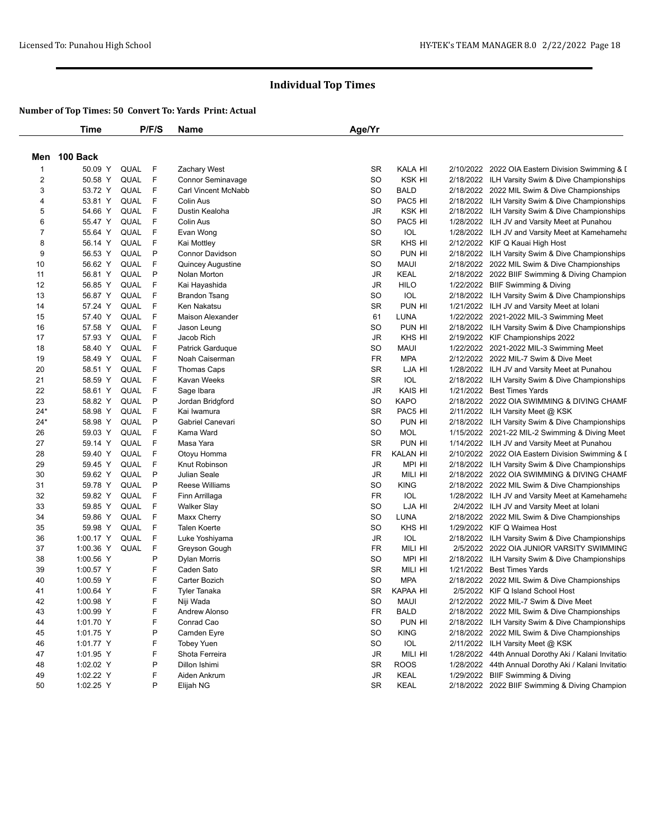|                | <b>Time</b>  |      | P/F/S       | Name                       | Age/Yr    |                 |                                                                                       |
|----------------|--------------|------|-------------|----------------------------|-----------|-----------------|---------------------------------------------------------------------------------------|
|                | Men 100 Back |      |             |                            |           |                 |                                                                                       |
| $\mathbf 1$    | 50.09 Y      | QUAL | F           | Zachary West               | <b>SR</b> | KALA HI         | 2/10/2022 2022 OIA Eastern Division Swimming & I                                      |
| $\overline{c}$ | 50.58 Y      | QUAL | F           | <b>Connor Seminavage</b>   | SO        | KSK HI          | 2/18/2022 ILH Varsity Swim & Dive Championships                                       |
| 3              | 53.72 Y      | QUAL | F           | <b>Carl Vincent McNabb</b> | SO        | <b>BALD</b>     | 2/18/2022 2022 MIL Swim & Dive Championships                                          |
| 4              | 53.81 Y      | QUAL | F           | Colin Aus                  | SO        | PAC5 HI         | 2/18/2022 ILH Varsity Swim & Dive Championships                                       |
| 5              | 54.66 Y      | QUAL | F           | Dustin Kealoha             | JR        | KSK HI          | 2/18/2022 ILH Varsity Swim & Dive Championships                                       |
| 6              | 55.47 Y      | QUAL | F           | Colin Aus                  | <b>SO</b> | PAC5 HI         | 1/28/2022 ILH JV and Varsity Meet at Punahou                                          |
| $\overline{7}$ | 55.64 Y      | QUAL | F           | Evan Wong                  | <b>SO</b> | <b>IOL</b>      | 1/28/2022 ILH JV and Varsity Meet at Kamehameha                                       |
| 8              | 56.14 Y      | QUAL | F           | Kai Mottley                | <b>SR</b> | KHS HI          | 2/12/2022 KIF Q Kauai High Host                                                       |
| 9              | 56.53 Y      | QUAL | P           | <b>Connor Davidson</b>     | SO        | PUN HI          | 2/18/2022 ILH Varsity Swim & Dive Championships                                       |
| 10             | 56.62 Y      | QUAL | F           | Quincey Augustine          | SO        | <b>MAUI</b>     | 2/18/2022 2022 MIL Swim & Dive Championships                                          |
| 11             | 56.81 Y      | QUAL | P           | Nolan Morton               | JR        | KEAL            | 2/18/2022 2022 BIIF Swimming & Diving Champion                                        |
| 12             | 56.85 Y      | QUAL | F           | Kai Hayashida              | JR        | <b>HILO</b>     | 1/22/2022 BIIF Swimming & Diving                                                      |
| 13             | 56.87 Y      | QUAL | F           | Brandon Tsang              | SO        | <b>IOL</b>      | 2/18/2022 ILH Varsity Swim & Dive Championships                                       |
| 14             | 57.24 Y      | QUAL | F           | Ken Nakatsu                | <b>SR</b> | PUN HI          | 1/21/2022 ILH JV and Varsity Meet at Iolani                                           |
| 15             | 57.40 Y      | QUAL | $\mathsf F$ | <b>Maison Alexander</b>    | 61        | <b>LUNA</b>     | 1/22/2022 2021-2022 MIL-3 Swimming Meet                                               |
| 16             | 57.58 Y      | QUAL | F           | Jason Leung                | SO        | PUN HI          | 2/18/2022 ILH Varsity Swim & Dive Championships                                       |
| 17             | 57.93 Y      | QUAL | F           | Jacob Rich                 | JR        | KHS HI          | 2/19/2022 KIF Championships 2022                                                      |
| 18             | 58.40 Y      | QUAL | $\mathsf F$ | Patrick Garduque           | SO        | <b>MAUI</b>     |                                                                                       |
| 19             | 58.49 Y      | QUAL | F           |                            | <b>FR</b> | <b>MPA</b>      | 1/22/2022 2021-2022 MIL-3 Swimming Meet                                               |
| 20             | 58.51 Y      | QUAL | F           | Noah Caiserman             | <b>SR</b> | LJA HI          | 2/12/2022 2022 MIL-7 Swim & Dive Meet<br>1/28/2022 ILH JV and Varsity Meet at Punahou |
|                |              |      | F           | Thomas Caps                |           | IOL             |                                                                                       |
| 21             | 58.59 Y      | QUAL | F           | Kavan Weeks                | <b>SR</b> |                 | 2/18/2022 ILH Varsity Swim & Dive Championships                                       |
| 22             | 58.61 Y      | QUAL |             | Sage Ibara                 | JR        | KAIS HI         | 1/21/2022 Best Times Yards                                                            |
| 23             | 58.82 Y      | QUAL | P           | Jordan Bridgford           | SO        | <b>KAPO</b>     | 2/18/2022 2022 OIA SWIMMING & DIVING CHAMF                                            |
| 24*            | 58.98 Y      | QUAL | F           | Kai Iwamura                | <b>SR</b> | PAC5 HI         | 2/11/2022 ILH Varsity Meet @ KSK                                                      |
| $24*$          | 58.98 Y      | QUAL | P           | Gabriel Canevari           | SO        | PUN HI          | 2/18/2022 ILH Varsity Swim & Dive Championships                                       |
| 26             | 59.03 Y      | QUAL | F           | Kama Ward                  | <b>SO</b> | <b>MOL</b>      | 1/15/2022 2021-22 MIL-2 Swimming & Diving Meet                                        |
| 27             | 59.14 Y      | QUAL | F           | Masa Yara                  | <b>SR</b> | PUN HI          | 1/14/2022 ILH JV and Varsity Meet at Punahou                                          |
| 28             | 59.40 Y      | QUAL | F           | Otoyu Homma                | FR        | <b>KALAN HI</b> | 2/10/2022 2022 OIA Eastern Division Swimming & I                                      |
| 29             | 59.45 Y      | QUAL | F           | Knut Robinson              | <b>JR</b> | MPI HI          | 2/18/2022 ILH Varsity Swim & Dive Championships                                       |
| 30             | 59.62 Y      | QUAL | P           | Julian Seale               | JR        | MILI HI         | 2/18/2022 2022 OIA SWIMMING & DIVING CHAMF                                            |
| 31             | 59.78 Y      | QUAL | P           | Reese Williams             | SO        | <b>KING</b>     | 2/18/2022 2022 MIL Swim & Dive Championships                                          |
| 32             | 59.82 Y      | QUAL | F           | Finn Arrillaga             | <b>FR</b> | IOL             | 1/28/2022 ILH JV and Varsity Meet at Kamehameha                                       |
| 33             | 59.85 Y      | QUAL | F           | <b>Walker Slay</b>         | SO        | LJA HI          | 2/4/2022 ILH JV and Varsity Meet at Iolani                                            |
| 34             | 59.86 Y      | QUAL | F           | Maxx Cherry                | SO        | <b>LUNA</b>     | 2/18/2022 2022 MIL Swim & Dive Championships                                          |
| 35             | 59.98 Y      | QUAL | F           | <b>Talen Koerte</b>        | <b>SO</b> | KHS HI          | 1/29/2022 KIF Q Waimea Host                                                           |
| 36             | 1:00.17 Y    | QUAL | F           | Luke Yoshiyama             | JR        | IOL             | 2/18/2022 ILH Varsity Swim & Dive Championships                                       |
| 37             | 1:00.36 Y    | QUAL | F           | Greyson Gough              | <b>FR</b> | MILI HI         | 2/5/2022 2022 OIA JUNIOR VARSITY SWIMMING                                             |
| 38             | 1:00.56 Y    |      | P           | Dylan Morris               | <b>SO</b> | MPI HI          | 2/18/2022 ILH Varsity Swim & Dive Championships                                       |
| 39             | 1:00.57 Y    |      | F           | Caden Sato                 | SR        | MILI HI         | 1/21/2022 Best Times Yards                                                            |
| 40             | 1:00.59 Y    |      | F           | Carter Bozich              | <b>SO</b> | <b>MPA</b>      | 2/18/2022 2022 MIL Swim & Dive Championships                                          |
| 41             | 1:00.64 Y    |      | F           | <b>Tyler Tanaka</b>        | <b>SR</b> | KAPAA HI        | 2/5/2022 KIF Q Island School Host                                                     |
| 42             | 1:00.98 Y    |      | F           | Niji Wada                  | SO        | MAUI            | 2/12/2022   2022 MIL-7 Swim & Dive Meet                                               |
| 43             | 1:00.99 Y    |      | F           | Andrew Alonso              | FR        | <b>BALD</b>     | 2/18/2022 2022 MIL Swim & Dive Championships                                          |
| 44             | 1:01.70 Y    |      | F           | Conrad Cao                 | SO        | PUN HI          | 2/18/2022 ILH Varsity Swim & Dive Championships                                       |
| 45             | 1:01.75 Y    |      | P           | Camden Eyre                | SO        | <b>KING</b>     | 2/18/2022 2022 MIL Swim & Dive Championships                                          |
| 46             | 1:01.77 Y    |      | F           | <b>Tobey Yuen</b>          | SO        | <b>IOL</b>      | 2/11/2022 ILH Varsity Meet @ KSK                                                      |
| 47             | 1:01.95 Y    |      | F           | Shota Ferreira             | JR        | MILI HI         | 1/28/2022 44th Annual Dorothy Aki / Kalani Invitatio                                  |
| 48             | 1:02.02 Y    |      | P           | Dillon Ishimi              | SR        | <b>ROOS</b>     | 1/28/2022 44th Annual Dorothy Aki / Kalani Invitatio                                  |
| 49             | 1:02.22 Y    |      | F           | Aiden Ankrum               | JR        | KEAL            | 1/29/2022 BIIF Swimming & Diving                                                      |
| 50             | 1:02.25 Y    |      | P           | Elijah NG                  | SR        | KEAL            | 2/18/2022 2022 BIIF Swimming & Diving Champion                                        |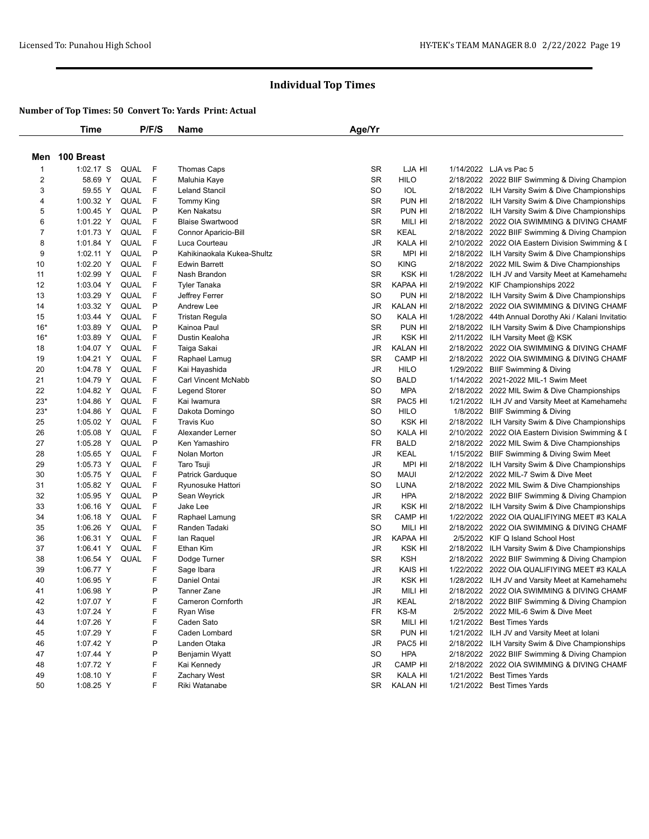|                | <b>Time</b>    |             | P/F/S | Name                       | Age/Yr    |                 |                                                      |
|----------------|----------------|-------------|-------|----------------------------|-----------|-----------------|------------------------------------------------------|
|                | Men 100 Breast |             |       |                            |           |                 |                                                      |
| -1             | 1:02.17 S      | <b>QUAL</b> | F     | Thomas Caps                | <b>SR</b> | LJA HI          | 1/14/2022 LJA vs Pac 5                               |
| $\overline{c}$ | 58.69 Y        | QUAL        | F     | Maluhia Kaye               | <b>SR</b> | <b>HILO</b>     | 2/18/2022 2022 BIIF Swimming & Diving Champion       |
| 3              | 59.55 Y        | QUAL        | F     | <b>Leland Stancil</b>      | SO        | <b>IOL</b>      | 2/18/2022 ILH Varsity Swim & Dive Championships      |
| 4              | 1:00.32 Y      | QUAL        | F     | <b>Tommy King</b>          | <b>SR</b> | PUN HI          | 2/18/2022 ILH Varsity Swim & Dive Championships      |
| 5              | 1:00.45 Y      | QUAL        | P     | Ken Nakatsu                | <b>SR</b> | PUN HI          | 2/18/2022 ILH Varsity Swim & Dive Championships      |
| 6              | 1:01.22 Y      | <b>QUAL</b> | F     | <b>Blaise Swartwood</b>    | <b>SR</b> | Mili hi         | 2/18/2022 2022 OIA SWIMMING & DIVING CHAMF           |
| 7              | 1:01.73 Y      | QUAL        | F     | Connor Aparicio-Bill       | <b>SR</b> | <b>KEAL</b>     | 2/18/2022 2022 BIIF Swimming & Diving Champion       |
| 8              | 1:01.84 Y      | QUAL        | F     | Luca Courteau              | JR        | KALA HI         | 2/10/2022 2022 OIA Eastern Division Swimming & I     |
| 9              | 1:02.11 Y      | <b>QUAL</b> | P     | Kahikinaokala Kukea-Shultz | <b>SR</b> | MPI HI          | 2/18/2022 ILH Varsity Swim & Dive Championships      |
| 10             | 1:02.20 Y      | QUAL        | F     | <b>Edwin Barrett</b>       | <b>SO</b> | <b>KING</b>     | 2/18/2022 2022 MIL Swim & Dive Championships         |
| 11             | 1:02.99 Y      | QUAL        | F     | Nash Brandon               | <b>SR</b> | KSK HI          | 1/28/2022 ILH JV and Varsity Meet at Kamehameha      |
| 12             | 1:03.04 Y      | QUAL        | F     | <b>Tyler Tanaka</b>        | <b>SR</b> | KAPAA HI        | 2/19/2022 KIF Championships 2022                     |
| 13             | 1:03.29 Y      | QUAL        | F     | Jeffrey Ferrer             | SO        | PUN HI          | 2/18/2022 ILH Varsity Swim & Dive Championships      |
| 14             | 1:03.32 Y      | QUAL        | P     | Andrew Lee                 | JR        | KALAN HI        | 2/18/2022 2022 OIA SWIMMING & DIVING CHAMF           |
| 15             | 1:03.44 Y      | QUAL        | F     | Tristan Regula             | <b>SO</b> | KALA HI         | 1/28/2022 44th Annual Dorothy Aki / Kalani Invitatio |
| $16*$          | 1:03.89 Y      | QUAL        | P     | Kainoa Paul                | <b>SR</b> | PUN HI          | 2/18/2022 ILH Varsity Swim & Dive Championships      |
| $16*$          | 1:03.89 Y      | QUAL        | F     | Dustin Kealoha             | <b>JR</b> | KSK HI          | 2/11/2022 ILH Varsity Meet @ KSK                     |
| 18             | 1:04.07 Y      | QUAL        | F     | Taiga Sakai                | <b>JR</b> | <b>KALAN HI</b> | 2/18/2022 2022 OIA SWIMMING & DIVING CHAMF           |
| 19             | 1:04.21 Y      | QUAL        | F     | Raphael Lamug              | <b>SR</b> | CAMP HI         | 2/18/2022 2022 OIA SWIMMING & DIVING CHAMF           |
| 20             | 1:04.78 Y      | QUAL        | F     |                            | JR        | <b>HILO</b>     | 1/29/2022 BIIF Swimming & Diving                     |
| 21             |                | QUAL        | F     | Kai Hayashida              | <b>SO</b> | <b>BALD</b>     |                                                      |
|                | 1:04.79 Y      |             | F     | Carl Vincent McNabb        | SO        |                 | 1/14/2022 2021-2022 MIL-1 Swim Meet                  |
| 22             | 1:04.82 Y      | QUAL        |       | <b>Legend Storer</b>       |           | <b>MPA</b>      | 2/18/2022 2022 MIL Swim & Dive Championships         |
| $23*$          | 1:04.86 Y      | <b>QUAL</b> | F     | Kai Iwamura                | <b>SR</b> | PAC5 HI         | 1/21/2022 ILH JV and Varsity Meet at Kamehameha      |
| 23*            | 1:04.86 Y      | QUAL        | F     | Dakota Domingo             | <b>SO</b> | <b>HILO</b>     | 1/8/2022 BIIF Swimming & Diving                      |
| 25             | 1:05.02 Y      | <b>QUAL</b> | F     | <b>Travis Kuo</b>          | SO        | KSK HI          | 2/18/2022 ILH Varsity Swim & Dive Championships      |
| 26             | 1:05.08 Y      | QUAL        | F     | Alexander Lerner           | <b>SO</b> | KALA HI         | 2/10/2022 2022 OIA Eastern Division Swimming & I     |
| 27             | 1:05.28 Y      | QUAL        | P     | Ken Yamashiro              | FR        | <b>BALD</b>     | 2/18/2022 2022 MIL Swim & Dive Championships         |
| 28             | 1:05.65 Y      | QUAL        | F     | Nolan Morton               | JR        | <b>KEAL</b>     | 1/15/2022 BIIF Swimming & Diving Swim Meet           |
| 29             | 1:05.73 Y      | <b>QUAL</b> | F     | Taro Tsuji                 | <b>JR</b> | MPI HI          | 2/18/2022 ILH Varsity Swim & Dive Championships      |
| 30             | 1:05.75 Y      | QUAL        | F     | Patrick Garduque           | SO        | <b>MAUI</b>     | 2/12/2022 2022 MIL-7 Swim & Dive Meet                |
| 31             | 1:05.82 Y      | QUAL        | F     | Ryunosuke Hattori          | SO        | LUNA            | 2/18/2022 2022 MIL Swim & Dive Championships         |
| 32             | 1:05.95 Y      | QUAL        | P     | Sean Weyrick               | JR        | <b>HPA</b>      | 2/18/2022 2022 BIIF Swimming & Diving Champion       |
| 33             | 1:06.16 Y      | QUAL        | F     | Jake Lee                   | JR        | KSK HI          | 2/18/2022 ILH Varsity Swim & Dive Championships      |
| 34             | 1:06.18 Y      | QUAL        | F     | Raphael Lamung             | <b>SR</b> | CAMP HI         | 1/22/2022 2022 OIA QUALIFIYING MEET #3 KALA          |
| 35             | 1:06.26 Y      | <b>QUAL</b> | F     | Randen Tadaki              | <b>SO</b> | MILI HI         | 2/18/2022 2022 OIA SWIMMING & DIVING CHAMF           |
| 36             | 1:06.31 Y      | QUAL        | F     | lan Raquel                 | <b>JR</b> | KAPAA HI        | 2/5/2022 KIF Q Island School Host                    |
| 37             | 1:06.41 Y      | QUAL        | F     | Ethan Kim                  | JR        | KSK HI          | 2/18/2022 ILH Varsity Swim & Dive Championships      |
| 38             | 1:06.54 Y      | QUAL        | F     | Dodge Turner               | <b>SR</b> | <b>KSH</b>      | 2/18/2022 2022 BIIF Swimming & Diving Champion       |
| 39             | 1:06.77 Y      |             | F     | Sage Ibara                 | JR        | KAIS HI         | 1/22/2022 2022 OIA QUALIFIYING MEET #3 KALA          |
| 40             | 1:06.95 Y      |             | F     | Daniel Ontai               | JR        | KSK HI          | 1/28/2022 ILH JV and Varsity Meet at Kamehamehang    |
| 41             | 1:06.98 Y      |             | P     | <b>Tanner Zane</b>         | <b>JR</b> | MILI HI         | 2/18/2022   2022 OIA SWIMMING & DIVING CHAMF         |
| 42             | 1:07.07 Y      |             | F     | Cameron Cornforth          | JR        | KEAL            | 2/18/2022 2022 BIIF Swimming & Diving Champion       |
| 43             | 1:07.24 Y      |             | F     | Ryan Wise                  | FR        | KS-M            | 2/5/2022 2022 MIL-6 Swim & Dive Meet                 |
| 44             | 1:07.26 Y      |             | F     | Caden Sato                 | SR        | MILI HI         | 1/21/2022 Best Times Yards                           |
| 45             | 1:07.29 Y      |             | F     | Caden Lombard              | SR        | PUN HI          | 1/21/2022 ILH JV and Varsity Meet at Iolani          |
| 46             | 1:07.42 Y      |             | P     | Landen Otaka               | JR        | PAC5 HI         | 2/18/2022 ILH Varsity Swim & Dive Championships      |
| 47             | 1:07.44 Y      |             | P     | Benjamin Wyatt             | SO        | <b>HPA</b>      | 2/18/2022 2022 BIIF Swimming & Diving Champion       |
| 48             | 1:07.72 Y      |             | F     | Kai Kennedy                | JR        | CAMP HI         | 2/18/2022 2022 OIA SWIMMING & DIVING CHAMF           |
| 49             | 1:08.10 Y      |             | F     | Zachary West               | SR        | KALA HI         | 1/21/2022 Best Times Yards                           |
| 50             | 1:08.25 Y      |             | F     | Riki Watanabe              | SR        | KALAN HI        | 1/21/2022 Best Times Yards                           |
|                |                |             |       |                            |           |                 |                                                      |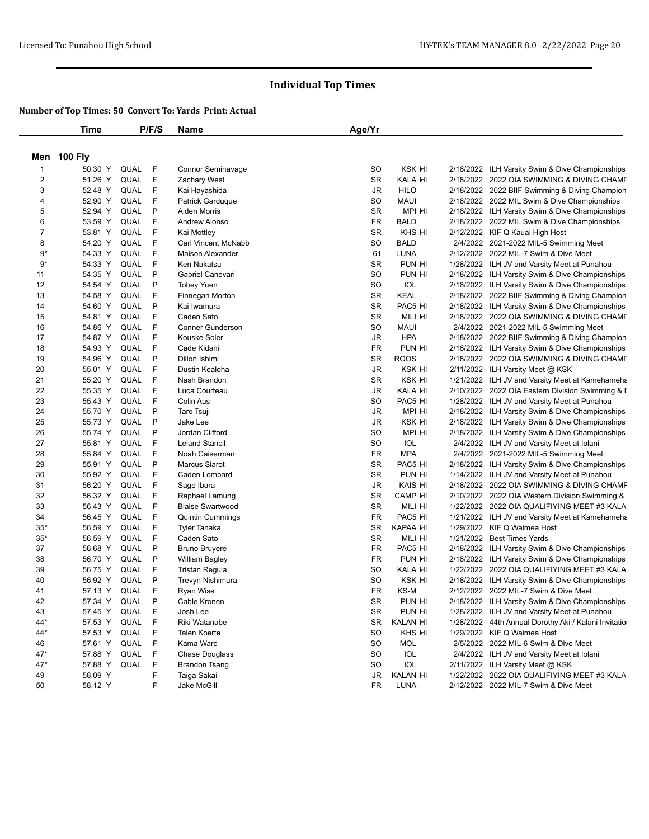|                | <b>Time</b> |             | P/F/S        | Name                    | Age/Yr    |             |                                                      |
|----------------|-------------|-------------|--------------|-------------------------|-----------|-------------|------------------------------------------------------|
|                | Men 100 Fly |             |              |                         |           |             |                                                      |
| $\mathbf{1}$   | 50.30 Y     | QUAL        | F            | Connor Seminavage       | <b>SO</b> | KSK HI      | 2/18/2022 ILH Varsity Swim & Dive Championships      |
| $\overline{c}$ | 51.26 Y     | QUAL        | F            | Zachary West            | <b>SR</b> | KALA HI     | 2/18/2022 2022 OIA SWIMMING & DIVING CHAMF           |
| 3              | 52.48 Y     | QUAL        | F            | Kai Hayashida           | JR        | <b>HILO</b> | 2/18/2022 2022 BIIF Swimming & Diving Champion       |
| 4              | 52.90 Y     | <b>QUAL</b> | F            | Patrick Garduque        | <b>SO</b> | <b>MAUI</b> | 2/18/2022 2022 MIL Swim & Dive Championships         |
| 5              | 52.94 Y     | <b>QUAL</b> | P            | Aiden Morris            | <b>SR</b> | MPI HI      | 2/18/2022 ILH Varsity Swim & Dive Championships      |
| 6              | 53.59 Y     | QUAL        | F            | Andrew Alonso           | FR        | <b>BALD</b> | 2/18/2022 2022 MIL Swim & Dive Championships         |
| 7              | 53.81 Y     | QUAL        | F            | Kai Mottley             | <b>SR</b> | KHS HI      | 2/12/2022 KIF Q Kauai High Host                      |
| 8              | 54.20 Y     | QUAL        | F            | Carl Vincent McNabb     | <b>SO</b> | <b>BALD</b> | 2/4/2022 2021-2022 MIL-5 Swimming Meet               |
| 9*             | 54.33 Y     | QUAL        | F            | <b>Maison Alexander</b> | 61        | <b>LUNA</b> | 2/12/2022 2022 MIL-7 Swim & Dive Meet                |
| $9*$           | 54.33 Y     | QUAL        | F            | Ken Nakatsu             | <b>SR</b> | PUN HI      | 1/28/2022 ILH JV and Varsity Meet at Punahou         |
| 11             | 54.35 Y     | <b>QUAL</b> | P            | Gabriel Canevari        | <b>SO</b> | PUN HI      | 2/18/2022 ILH Varsity Swim & Dive Championships      |
| 12             | 54.54 Y     | QUAL        | P            | <b>Tobey Yuen</b>       | <b>SO</b> | IOL         | 2/18/2022 ILH Varsity Swim & Dive Championships      |
| 13             | 54.58 Y     | QUAL        | F            | Finnegan Morton         | <b>SR</b> | <b>KEAL</b> | 2/18/2022 2022 BIIF Swimming & Diving Champion       |
| 14             | 54.60 Y     | QUAL        | P            | Kai Iwamura             | <b>SR</b> | PAC5 HI     | 2/18/2022 ILH Varsity Swim & Dive Championships      |
| 15             | 54.81 Y     | QUAL        | F            | Caden Sato              | <b>SR</b> | MILI HI     | 2/18/2022 2022 OIA SWIMMING & DIVING CHAMF           |
| 16             | 54.86 Y     | QUAL        | F            | <b>Conner Gunderson</b> | SO        | <b>MAUI</b> | 2/4/2022 2021-2022 MIL-5 Swimming Meet               |
| 17             | 54.87 Y     | QUAL        | F            | Kouske Soler            | <b>JR</b> | <b>HPA</b>  | 2/18/2022 2022 BIIF Swimming & Diving Champion       |
| 18             | 54.93 Y     | QUAL        | F            | Cade Kidani             | <b>FR</b> | PUN HI      | 2/18/2022 ILH Varsity Swim & Dive Championships      |
| 19             | 54.96 Y     | QUAL        | P            | Dillon Ishimi           | <b>SR</b> | <b>ROOS</b> | 2/18/2022 2022 OIA SWIMMING & DIVING CHAMF           |
| 20             | 55.01 Y     | <b>QUAL</b> | F            | Dustin Kealoha          | <b>JR</b> | KSK HI      | 2/11/2022 ILH Varsity Meet @ KSK                     |
| 21             | 55.20 Y     | QUAL        | F            | Nash Brandon            | <b>SR</b> | KSK HI      | 1/21/2022 ILH JV and Varsity Meet at Kamehameha      |
| 22             | 55.35 Y     | QUAL        | F            | Luca Courteau           | JR        | KALA HI     | 2/10/2022 2022 OIA Eastern Division Swimming & I     |
| 23             | 55.43 Y     | <b>QUAL</b> | F            | Colin Aus               | <b>SO</b> | PAC5 HI     | 1/28/2022 ILH JV and Varsity Meet at Punahou         |
| 24             | 55.70 Y     | QUAL        | P            | Taro Tsuji              | JR        | MPI HI      | 2/18/2022 ILH Varsity Swim & Dive Championships      |
| 25             | 55.73 Y     | QUAL        | P            | Jake Lee                | JR        | KSK HI      | 2/18/2022 ILH Varsity Swim & Dive Championships      |
| 26             | 55.74 Y     | QUAL        | P            | Jordan Clifford         | <b>SO</b> | MPI HI      | 2/18/2022 ILH Varsity Swim & Dive Championships      |
| 27             | 55.81 Y     | QUAL        | F            | <b>Leland Stancil</b>   | <b>SO</b> | IOL         | 2/4/2022 ILH JV and Varsity Meet at Iolani           |
| 28             | 55.84 Y     | QUAL        | F            | Noah Caiserman          | FR        | <b>MPA</b>  | 2/4/2022 2021-2022 MIL-5 Swimming Meet               |
| 29             | 55.91 Y     | <b>QUAL</b> | P            | <b>Marcus Siarot</b>    | <b>SR</b> | PAC5 HI     | 2/18/2022 ILH Varsity Swim & Dive Championships      |
| 30             | 55.92 Y     | QUAL        | F            | Caden Lombard           | <b>SR</b> | PUN HI      | 1/14/2022 ILH JV and Varsity Meet at Punahou         |
| 31             | 56.20 Y     | QUAL        | F            | Sage Ibara              | JR        | KAIS HI     | 2/18/2022 2022 OIA SWIMMING & DIVING CHAMF           |
| 32             | 56.32 Y     | QUAL        | F            | Raphael Lamung          | <b>SR</b> | CAMP HI     | 2/10/2022 2022 OIA Western Division Swimming &       |
| 33             | 56.43 Y     | QUAL        | F            | <b>Blaise Swartwood</b> | <b>SR</b> | MILI HI     | 1/22/2022 2022 OIA QUALIFIYING MEET #3 KALA          |
| 34             | 56.45 Y     | QUAL        | F            | <b>Quintin Cummings</b> | <b>FR</b> | PAC5 HI     | 1/21/2022 ILH JV and Varsity Meet at Kamehameha      |
| $35*$          | 56.59 Y     | QUAL        | F            | <b>Tyler Tanaka</b>     | <b>SR</b> | KAPAA HI    | 1/29/2022 KIF Q Waimea Host                          |
| $35*$          | 56.59 Y     | QUAL        | F            | Caden Sato              | <b>SR</b> | MILI HI     | 1/21/2022 Best Times Yards                           |
| 37             | 56.68 Y     | QUAL        | P            | <b>Bruno Bruyere</b>    | FR        | PAC5 HI     | 2/18/2022 ILH Varsity Swim & Dive Championships      |
| 38             | 56.70 Y     | QUAL        | P            | <b>William Bagley</b>   | FR        | PUN HI      | 2/18/2022 ILH Varsity Swim & Dive Championships      |
| 39             | 56.75 Y     | QUAL        | F            | <b>Tristan Regula</b>   | SO        | KALA HI     | 1/22/2022 2022 OIA QUALIFIYING MEET #3 KALA          |
| 40             | 56.92 Y     | QUAL        | P            | Trevyn Nishimura        | <b>SO</b> | KSK HI      | 2/18/2022 ILH Varsity Swim & Dive Championships      |
| 41             | 57.13 Y     | QUAL        | - F          | <b>Ryan Wise</b>        | FR        | KS-M        | 2/12/2022 2022 MIL-7 Swim & Dive Meet                |
| 42             | 57.34 Y     | QUAL        | $\mathsf{P}$ | Cable Kronen            | SR        | PUN HI      | 2/18/2022 ILH Varsity Swim & Dive Championships      |
| 43             | 57.45 Y     | QUAL        | - F          | Josh Lee                | SR        | PUN HI      | 1/28/2022 ILH JV and Varsity Meet at Punahou         |
| 44*            | 57.53 Y     | QUAL        | F            | Riki Watanabe           | SR        | KALAN HI    | 1/28/2022 44th Annual Dorothy Aki / Kalani Invitatio |
| 44*            | 57.53 Y     | QUAL        | F            | Talen Koerte            | SO        | KHS HI      | 1/29/2022 KIF Q Waimea Host                          |
| 46             | 57.61 Y     | QUAL F      |              | Kama Ward               | SO        | <b>MOL</b>  | 2/5/2022 2022 MIL-6 Swim & Dive Meet                 |
| 47*            | 57.88 Y     | QUAL F      |              | <b>Chase Douglass</b>   | SO        | IOL         | 2/4/2022 ILH JV and Varsity Meet at Iolani           |
| $47*$          | 57.88 Y     | QUAL F      |              | <b>Brandon Tsang</b>    | SO        | IOL         | 2/11/2022 ILH Varsity Meet @ KSK                     |
| 49             | 58.09 Y     |             | F            | Taiga Sakai             | JR        | KALAN HI    | 1/22/2022 2022 OIA QUALIFIYING MEET #3 KALA          |
| 50             | 58.12 Y     |             | F            | Jake McGill             | FR        | LUNA        | 2/12/2022 2022 MIL-7 Swim & Dive Meet                |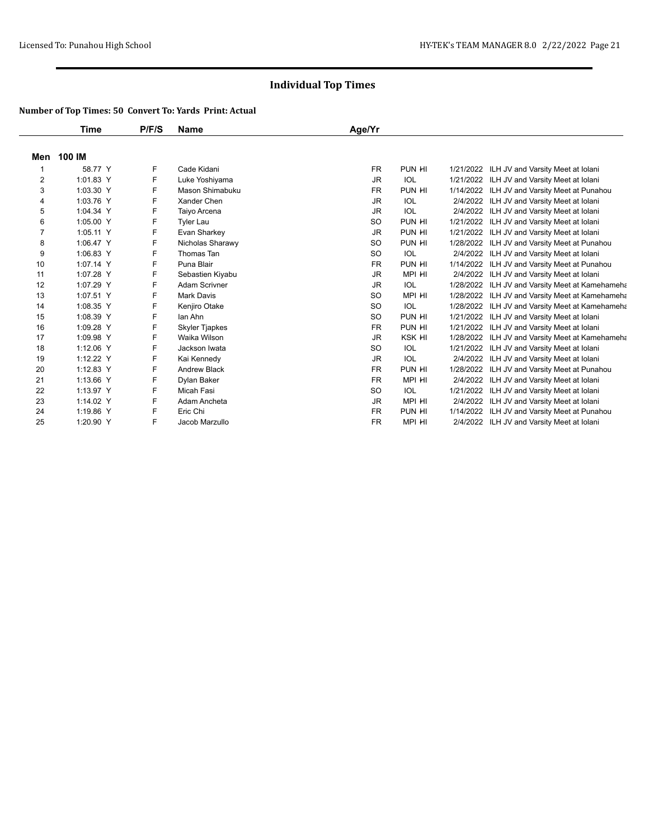|                | Time      | P/F/S | <b>Name</b>          | Age/Yr    |               |           |                                       |
|----------------|-----------|-------|----------------------|-----------|---------------|-----------|---------------------------------------|
| Men            | 100 IM    |       |                      |           |               |           |                                       |
|                | 58.77 Y   | F     | Cade Kidani          | <b>FR</b> | PUN HI        | 1/21/2022 | ILH JV and Varsity Meet at Iolani     |
| $\overline{2}$ | 1:01.83 Y | F     | Luke Yoshiyama       | <b>JR</b> | <b>IOL</b>    | 1/21/2022 | ILH JV and Varsity Meet at Iolani     |
| 3              | 1:03.30 Y | F     | Mason Shimabuku      | <b>FR</b> | PUN HI        | 1/14/2022 | ILH JV and Varsity Meet at Punahou    |
| 4              | 1:03.76 Y | F     | Xander Chen          | JR.       | IOL           | 2/4/2022  | ILH JV and Varsity Meet at Iolani     |
| 5              | 1:04.34 Y | F     | Taiyo Arcena         | <b>JR</b> | <b>IOL</b>    | 2/4/2022  | ILH JV and Varsity Meet at Iolani     |
| 6              | 1:05.00 Y | F     | <b>Tyler Lau</b>     | <b>SO</b> | PUN HI        | 1/21/2022 | ILH JV and Varsity Meet at Iolani     |
| $\overline{7}$ | 1:05.11 Y | F     | Evan Sharkey         | <b>JR</b> | PUN HI        | 1/21/2022 | ILH JV and Varsity Meet at Iolani     |
| 8              | 1:06.47 Y | F     | Nicholas Sharawy     | <b>SO</b> | PUN HI        | 1/28/2022 | ILH JV and Varsity Meet at Punahou    |
| 9              | 1:06.83 Y | F     | Thomas Tan           | <b>SO</b> | <b>IOL</b>    | 2/4/2022  | ILH JV and Varsity Meet at Iolani     |
| 10             | 1:07.14 Y | F     | Puna Blair           | <b>FR</b> | PUN HI        | 1/14/2022 | ILH JV and Varsity Meet at Punahou    |
| 11             | 1:07.28 Y | F     | Sebastien Kiyabu     | <b>JR</b> | MPI HI        | 2/4/2022  | ILH JV and Varsity Meet at Iolani     |
| 12             | 1:07.29 Y | F     | <b>Adam Scrivner</b> | <b>JR</b> | <b>IOL</b>    | 1/28/2022 | ILH JV and Varsity Meet at Kamehameha |
| 13             | 1:07.51 Y | F     | <b>Mark Davis</b>    | <b>SO</b> | MPI HI        | 1/28/2022 | ILH JV and Varsity Meet at Kamehameha |
| 14             | 1:08.35 Y | F     | Kenjiro Otake        | <b>SO</b> | <b>IOL</b>    | 1/28/2022 | ILH JV and Varsity Meet at Kamehameha |
| 15             | 1:08.39 Y | F     | lan Ahn              | <b>SO</b> | PUN HI        | 1/21/2022 | ILH JV and Varsity Meet at Iolani     |
| 16             | 1:09.28 Y | F     | Skyler Tjapkes       | <b>FR</b> | PUN HI        | 1/21/2022 | ILH JV and Varsity Meet at Iolani     |
| 17             | 1:09.98 Y | F     | Waika Wilson         | <b>JR</b> | <b>KSK HI</b> | 1/28/2022 | ILH JV and Varsity Meet at Kamehameha |
| 18             | 1:12.06 Y | F     | Jackson Iwata        | SO        | IOL           | 1/21/2022 | ILH JV and Varsity Meet at Iolani     |
| 19             | 1:12.22 Y | F     | Kai Kennedy          | <b>JR</b> | <b>IOL</b>    | 2/4/2022  | ILH JV and Varsity Meet at Iolani     |
| 20             | 1:12.83 Y | F     | <b>Andrew Black</b>  | <b>FR</b> | PUN HI        | 1/28/2022 | ILH JV and Varsity Meet at Punahou    |
| 21             | 1:13.66 Y | F     | Dylan Baker          | <b>FR</b> | MPI HI        | 2/4/2022  | ILH JV and Varsity Meet at Iolani     |
| 22             | 1:13.97 Y | F     | Micah Fasi           | <b>SO</b> | <b>IOL</b>    | 1/21/2022 | ILH JV and Varsity Meet at Iolani     |
| 23             | 1:14.02 Y | F     | Adam Ancheta         | <b>JR</b> | MPI HI        | 2/4/2022  | ILH JV and Varsity Meet at Iolani     |
| 24             | 1:19.86 Y | F     | Eric Chi             | <b>FR</b> | PUN HI        | 1/14/2022 | ILH JV and Varsity Meet at Punahou    |
| 25             | 1:20.90 Y | F     | Jacob Marzullo       | <b>FR</b> | MPI HI        | 2/4/2022  | ILH JV and Varsity Meet at Iolani     |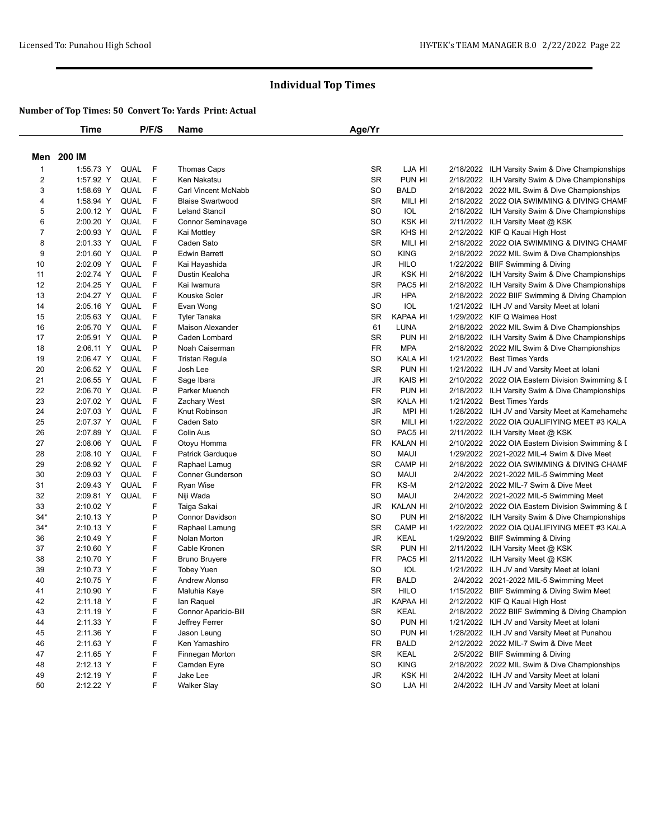|                | Time       |             | P/F/S | Name                       | Age/Yr    |             |                                                                               |
|----------------|------------|-------------|-------|----------------------------|-----------|-------------|-------------------------------------------------------------------------------|
|                | Men 200 IM |             |       |                            |           |             |                                                                               |
| $\mathbf{1}$   | 1:55.73 Y  | QUAL        | -F    | Thomas Caps                | <b>SR</b> | LJA HI      | 2/18/2022 ILH Varsity Swim & Dive Championships                               |
| $\overline{c}$ | 1:57.92 Y  | QUAL        | F     | Ken Nakatsu                | <b>SR</b> | PUN HI      | 2/18/2022 ILH Varsity Swim & Dive Championships                               |
| 3              | 1:58.69 Y  | QUAL        | E     | <b>Carl Vincent McNabb</b> | SO        | <b>BALD</b> | 2/18/2022 2022 MIL Swim & Dive Championships                                  |
| 4              | 1:58.94 Y  | QUAL        | F     | <b>Blaise Swartwood</b>    | <b>SR</b> | MILI HI     | 2/18/2022 2022 OIA SWIMMING & DIVING CHAMF                                    |
| 5              | 2:00.12 Y  | QUAL        | F     | <b>Leland Stancil</b>      | <b>SO</b> | IOL         | 2/18/2022 ILH Varsity Swim & Dive Championships                               |
| 6              | 2:00.20 Y  | QUAL        | F     | Connor Seminavage          | <b>SO</b> | KSK HI      | 2/11/2022 ILH Varsity Meet @ KSK                                              |
| 7              | 2:00.93 Y  | QUAL        | F     | Kai Mottley                | <b>SR</b> | KHS HI      | 2/12/2022 KIF Q Kauai High Host                                               |
| 8              | 2:01.33 Y  | QUAL        | F     | Caden Sato                 | <b>SR</b> | MILI HI     | 2/18/2022 2022 OIA SWIMMING & DIVING CHAMF                                    |
| 9              | 2:01.60 Y  | QUAL        | P     | <b>Edwin Barrett</b>       | SO        | <b>KING</b> | 2/18/2022 2022 MIL Swim & Dive Championships                                  |
| 10             | 2:02.09 Y  | QUAL        | F     | Kai Hayashida              | <b>JR</b> | <b>HILO</b> | 1/22/2022 BIIF Swimming & Diving                                              |
| 11             | 2:02.74 Y  | <b>QUAL</b> | F     | Dustin Kealoha             | JR        | KSK HI      | 2/18/2022 ILH Varsity Swim & Dive Championships                               |
| 12             | 2:04.25 Y  | QUAL        | F     | Kai Iwamura                | <b>SR</b> | PAC5 HI     | 2/18/2022 ILH Varsity Swim & Dive Championships                               |
| 13             | 2:04.27 Y  | QUAL        | F     | Kouske Soler               | <b>JR</b> | <b>HPA</b>  | 2/18/2022 2022 BIIF Swimming & Diving Champion                                |
| 14             | 2:05.16 Y  | QUAL        | F     | Evan Wong                  | <b>SO</b> | IOL         | 1/21/2022 ILH JV and Varsity Meet at Iolani                                   |
| 15             | 2:05.63 Y  | QUAL        | F     | <b>Tyler Tanaka</b>        | <b>SR</b> | KAPAA HI    | 1/29/2022 KIF Q Waimea Host                                                   |
| 16             | 2:05.70 Y  | QUAL        | F     | Maison Alexander           | 61        | LUNA        | 2/18/2022 2022 MIL Swim & Dive Championships                                  |
| 17             | 2:05.91 Y  | QUAL        | P     | Caden Lombard              | <b>SR</b> | PUN HI      | 2/18/2022 ILH Varsity Swim & Dive Championships                               |
| 18             | 2:06.11 Y  | QUAL        | P     | Noah Caiserman             | <b>FR</b> | <b>MPA</b>  | 2/18/2022 2022 MIL Swim & Dive Championships                                  |
| 19             | 2:06.47 Y  | QUAL        | F     | <b>Tristan Regula</b>      | SO        | KALA HI     | 1/21/2022 Best Times Yards                                                    |
| 20             | 2:06.52 Y  | <b>QUAL</b> | F     | Josh Lee                   | <b>SR</b> | PUN HI      | 1/21/2022 ILH JV and Varsity Meet at Iolani                                   |
| 21             | 2:06.55 Y  | QUAL        | F     | Sage Ibara                 | JR        | KAIS HI     | 2/10/2022 2022 OIA Eastern Division Swimming & I                              |
| 22             | 2:06.70 Y  | QUAL        | P     | Parker Muench              | <b>FR</b> | PUN HI      |                                                                               |
|                | 2:07.02 Y  | <b>QUAL</b> | F     | Zachary West               | <b>SR</b> | KALA HI     | 2/18/2022 ILH Varsity Swim & Dive Championships<br>1/21/2022 Best Times Yards |
| 23             |            |             | F     |                            |           |             |                                                                               |
| 24             | 2:07.03 Y  | QUAL        |       | Knut Robinson              | JR        | MPI HI      | 1/28/2022 ILH JV and Varsity Meet at Kamehameha                               |
| 25             | 2:07.37 Y  | QUAL        | F     | Caden Sato                 | SR        | MILI HI     | 1/22/2022 2022 OIA QUALIFIYING MEET #3 KALA                                   |
| 26             | 2:07.89 Y  | <b>QUAL</b> | F     | Colin Aus                  | SO        | PAC5 HI     | 2/11/2022 ILH Varsity Meet @ KSK                                              |
| 27             | 2:08.06 Y  | QUAL        | F     | Otoyu Homma                | <b>FR</b> | KALAN HI    | 2/10/2022 2022 OIA Eastern Division Swimming & I                              |
| 28             | 2:08.10 Y  | QUAL        | F     | Patrick Garduque           | <b>SO</b> | <b>MAUI</b> | 1/29/2022 2021-2022 MIL-4 Swim & Dive Meet                                    |
| 29             | 2:08.92 Y  | <b>QUAL</b> | F     | Raphael Lamug              | <b>SR</b> | CAMP HI     | 2/18/2022 2022 OIA SWIMMING & DIVING CHAMF                                    |
| 30             | 2:09.03 Y  | QUAL        | F     | <b>Conner Gunderson</b>    | <b>SO</b> | <b>MAUI</b> | 2/4/2022 2021-2022 MIL-5 Swimming Meet                                        |
| 31             | 2:09.43 Y  | QUAL        | F     | Ryan Wise                  | <b>FR</b> | KS-M        | 2/12/2022 2022 MIL-7 Swim & Dive Meet                                         |
| 32             | 2:09.81 Y  | QUAL        | F     | Niji Wada                  | SO        | <b>MAUI</b> | 2/4/2022 2021-2022 MIL-5 Swimming Meet                                        |
| 33             | 2:10.02 Y  |             | F     | Taiga Sakai                | JR        | KALAN HI    | 2/10/2022 2022 OIA Eastern Division Swimming & I                              |
| $34*$          | 2:10.13 Y  |             | P     | <b>Connor Davidson</b>     | SO        | PUN HI      | 2/18/2022 ILH Varsity Swim & Dive Championships                               |
| $34*$          | 2:10.13 Y  |             | F     | Raphael Lamung             | <b>SR</b> | CAMP HI     | 1/22/2022 2022 OIA QUALIFIYING MEET #3 KALA                                   |
| 36             | 2:10.49 Y  |             | F     | Nolan Morton               | <b>JR</b> | <b>KEAL</b> | 1/29/2022 BIIF Swimming & Diving                                              |
| 37             | 2:10.60 Y  |             | F     | Cable Kronen               | <b>SR</b> | PUN HI      | 2/11/2022 ILH Varsity Meet @ KSK                                              |
| 38             | 2:10.70 Y  |             | F     | <b>Bruno Bruyere</b>       | <b>FR</b> | PAC5 HI     | 2/11/2022 ILH Varsity Meet @ KSK                                              |
| 39             | 2:10.73 Y  |             | F     | <b>Tobey Yuen</b>          | SO        | IOL         | 1/21/2022 ILH JV and Varsity Meet at Iolani                                   |
| 40             | 2:10.75 Y  |             | F     | Andrew Alonso              | <b>FR</b> | <b>BALD</b> | 2/4/2022 2021-2022 MIL-5 Swimming Meet                                        |
| 41             | 2:10.90 Y  |             | F     | Maluhia Kaye               | <b>SR</b> | <b>HILO</b> | 1/15/2022 BIIF Swimming & Diving Swim Meet                                    |
| 42             | 2:11.18 Y  |             | F     | lan Raquel                 | JR        | KAPAA HI    | 2/12/2022 KIF Q Kauai High Host                                               |
| 43             | 2:11.19 Y  |             | F     | Connor Aparicio-Bill       | SR        | <b>KEAL</b> | 2/18/2022 2022 BIIF Swimming & Diving Champion                                |
| 44             | 2:11.33 Y  |             | F     | Jeffrey Ferrer             | SO        | PUN HI      | 1/21/2022 ILH JV and Varsity Meet at Iolani                                   |
| 45             | 2:11.36 Y  |             | F     | Jason Leung                | <b>SO</b> | PUN HI      | 1/28/2022 ILH JV and Varsity Meet at Punahou                                  |
| 46             | 2:11.63 Y  |             | F     | Ken Yamashiro              | <b>FR</b> | <b>BALD</b> | 2/12/2022 2022 MIL-7 Swim & Dive Meet                                         |
| 47             | 2:11.65 Y  |             | F     | Finnegan Morton            | SR        | KEAL        | 2/5/2022 BIIF Swimming & Diving                                               |
| 48             | 2:12.13 Y  |             | F     | Camden Eyre                | SO        | <b>KING</b> | 2/18/2022 2022 MIL Swim & Dive Championships                                  |
| 49             | 2:12.19 Y  |             | F     | Jake Lee                   | JR        | KSK HI      | 2/4/2022 ILH JV and Varsity Meet at Iolani                                    |
| 50             | 2:12.22 Y  |             | F     | <b>Walker Slay</b>         | SO        | LJA HI      | 2/4/2022 ILH JV and Varsity Meet at Iolani                                    |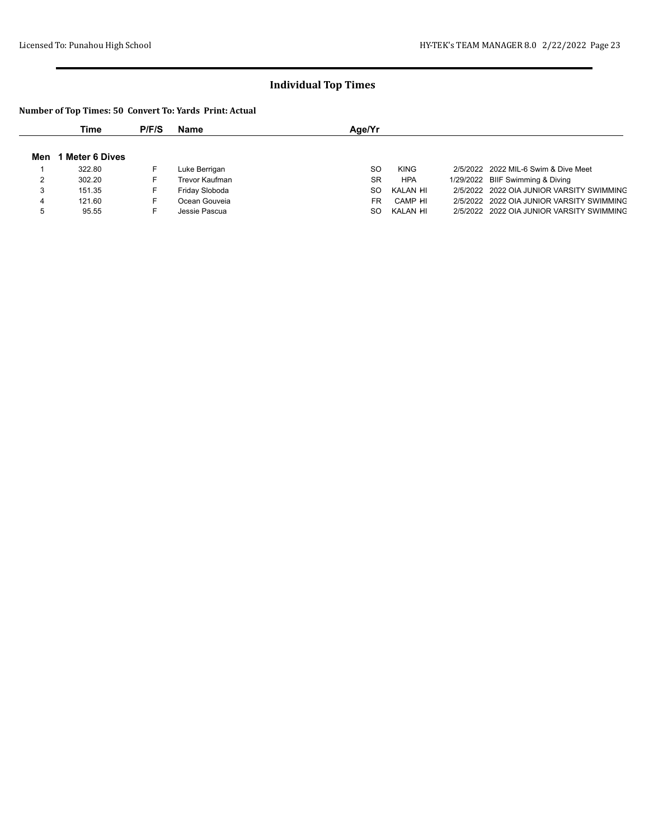|     | Time                 | P/F/S | Name           | Age/Yr                                                            |
|-----|----------------------|-------|----------------|-------------------------------------------------------------------|
|     |                      |       |                |                                                                   |
| Men | <b>Meter 6 Dives</b> |       |                |                                                                   |
|     | 322.80               | F.    | Luke Berrigan  | SO.<br>2/5/2022 2022 MIL-6 Swim & Dive Meet<br><b>KING</b>        |
|     | 302.20               | F.    | Trevor Kaufman | <b>SR</b><br>1/29/2022 BIIF Swimming & Diving<br><b>HPA</b>       |
| 3   | 151.35               | F.    | Friday Sloboda | KALAN HI<br>2/5/2022 2022 OIA JUNIOR VARSITY SWIMMING<br>SO.      |
| 4   | 121.60               | F.    | Ocean Gouveia  | <b>FR</b><br>CAMP HI<br>2/5/2022 2022 OIA JUNIOR VARSITY SWIMMING |
| 5   | 95.55                |       | Jessie Pascua  | 2/5/2022 2022 OIA JUNIOR VARSITY SWIMMING<br>SO.<br>KALAN HI      |
|     |                      |       |                |                                                                   |